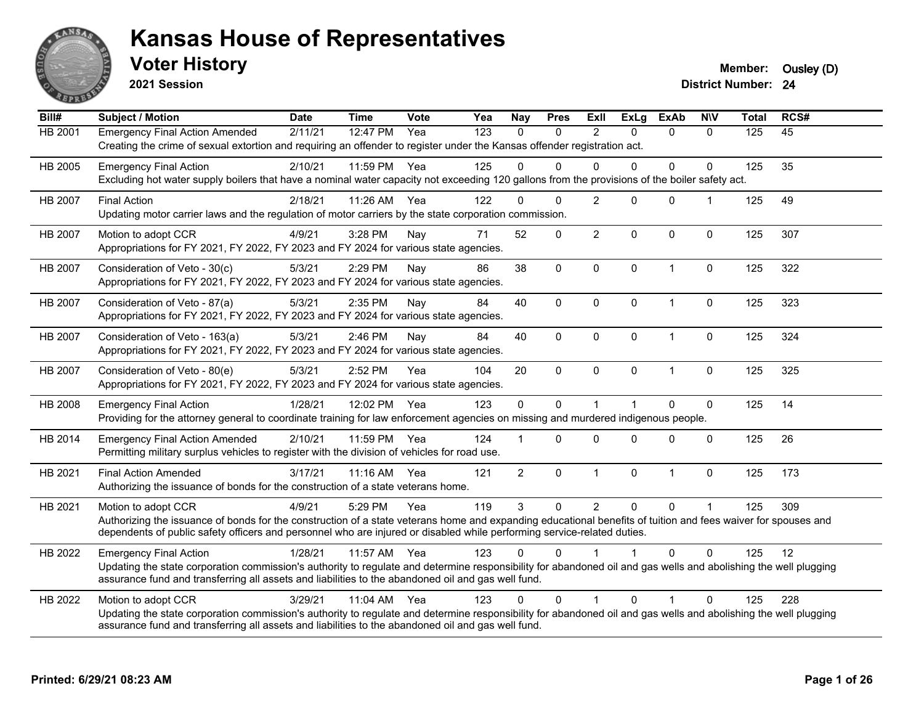

**2021 Session**

**Voter History Member:** Ousley (D)

| Bill#          | Subject / Motion                                                                                                                                                                                                                                                                                                | <b>Date</b> | <b>Time</b> | <b>Vote</b> | Yea | <b>Nay</b>     | <b>Pres</b> | Exll           | ExLg         | <b>ExAb</b>    | <b>NIV</b>   | <b>Total</b> | RCS# |
|----------------|-----------------------------------------------------------------------------------------------------------------------------------------------------------------------------------------------------------------------------------------------------------------------------------------------------------------|-------------|-------------|-------------|-----|----------------|-------------|----------------|--------------|----------------|--------------|--------------|------|
| HB 2001        | <b>Emergency Final Action Amended</b><br>Creating the crime of sexual extortion and requiring an offender to register under the Kansas offender registration act.                                                                                                                                               | 2/11/21     | 12:47 PM    | Yea         | 123 | $\Omega$       | $\Omega$    | 2              | $\Omega$     | $\Omega$       | $\Omega$     | 125          | 45   |
| HB 2005        | <b>Emergency Final Action</b><br>Excluding hot water supply boilers that have a nominal water capacity not exceeding 120 gallons from the provisions of the boiler safety act.                                                                                                                                  | 2/10/21     | 11:59 PM    | Yea         | 125 | $\Omega$       | 0           | $\Omega$       | $\Omega$     | $\mathbf{0}$   | $\Omega$     | 125          | 35   |
| HB 2007        | <b>Final Action</b><br>Updating motor carrier laws and the regulation of motor carriers by the state corporation commission.                                                                                                                                                                                    | 2/18/21     | 11:26 AM    | Yea         | 122 | $\Omega$       | $\Omega$    | 2              | $\Omega$     | $\Omega$       | $\mathbf 1$  | 125          | 49   |
| HB 2007        | Motion to adopt CCR<br>Appropriations for FY 2021, FY 2022, FY 2023 and FY 2024 for various state agencies.                                                                                                                                                                                                     | 4/9/21      | 3:28 PM     | Nay         | 71  | 52             | $\mathbf 0$ | $\overline{2}$ | $\mathbf 0$  | $\mathbf 0$    | $\mathbf 0$  | 125          | 307  |
| HB 2007        | Consideration of Veto - 30(c)<br>Appropriations for FY 2021, FY 2022, FY 2023 and FY 2024 for various state agencies.                                                                                                                                                                                           | 5/3/21      | 2:29 PM     | Nay         | 86  | 38             | 0           | $\mathbf 0$    | $\mathbf 0$  | $\overline{1}$ | $\mathbf 0$  | 125          | 322  |
| <b>HB 2007</b> | Consideration of Veto - 87(a)<br>Appropriations for FY 2021, FY 2022, FY 2023 and FY 2024 for various state agencies.                                                                                                                                                                                           | 5/3/21      | 2:35 PM     | Nav         | 84  | 40             | $\Omega$    | $\Omega$       | $\mathbf{0}$ | $\overline{1}$ | 0            | 125          | 323  |
| HB 2007        | Consideration of Veto - 163(a)<br>Appropriations for FY 2021, FY 2022, FY 2023 and FY 2024 for various state agencies.                                                                                                                                                                                          | 5/3/21      | 2:46 PM     | Nay         | 84  | 40             | 0           | $\mathbf 0$    | $\mathbf 0$  | $\overline{1}$ | $\pmb{0}$    | 125          | 324  |
| HB 2007        | Consideration of Veto - 80(e)<br>Appropriations for FY 2021, FY 2022, FY 2023 and FY 2024 for various state agencies.                                                                                                                                                                                           | 5/3/21      | 2:52 PM     | Yea         | 104 | 20             | 0           | $\mathbf 0$    | $\mathbf{0}$ | $\overline{1}$ | $\mathbf 0$  | 125          | 325  |
| HB 2008        | <b>Emergency Final Action</b><br>Providing for the attorney general to coordinate training for law enforcement agencies on missing and murdered indigenous people.                                                                                                                                              | 1/28/21     | 12:02 PM    | Yea         | 123 | $\mathbf 0$    | $\Omega$    | 1              |              | $\Omega$       | $\mathbf 0$  | 125          | 14   |
| HB 2014        | <b>Emergency Final Action Amended</b><br>Permitting military surplus vehicles to register with the division of vehicles for road use.                                                                                                                                                                           | 2/10/21     | 11:59 PM    | Yea         | 124 |                | 0           | $\Omega$       | $\Omega$     | $\Omega$       | $\mathbf{0}$ | 125          | 26   |
| HB 2021        | <b>Final Action Amended</b><br>Authorizing the issuance of bonds for the construction of a state veterans home.                                                                                                                                                                                                 | 3/17/21     | 11:16 AM    | Yea         | 121 | $\overline{2}$ | 0           | $\mathbf 1$    | $\mathbf 0$  | $\overline{1}$ | 0            | 125          | 173  |
| HB 2021        | Motion to adopt CCR<br>Authorizing the issuance of bonds for the construction of a state veterans home and expanding educational benefits of tuition and fees waiver for spouses and<br>dependents of public safety officers and personnel who are injured or disabled while performing service-related duties. | 4/9/21      | 5:29 PM     | Yea         | 119 | 3              | $\Omega$    | $\overline{2}$ | $\Omega$     | $\mathbf 0$    | $\mathbf{1}$ | 125          | 309  |
| HB 2022        | <b>Emergency Final Action</b><br>Updating the state corporation commission's authority to regulate and determine responsibility for abandoned oil and gas wells and abolishing the well plugging<br>assurance fund and transferring all assets and liabilities to the abandoned oil and gas well fund.          | 1/28/21     | 11:57 AM    | Yea         | 123 | $\Omega$       | $\Omega$    |                |              | $\Omega$       | $\Omega$     | 125          | 12   |
| HB 2022        | Motion to adopt CCR<br>Updating the state corporation commission's authority to regulate and determine responsibility for abandoned oil and gas wells and abolishing the well plugging<br>assurance fund and transferring all assets and liabilities to the abandoned oil and gas well fund.                    | 3/29/21     | 11:04 AM    | Yea         | 123 | $\Omega$       | $\Omega$    |                | $\Omega$     | 1              | $\mathbf{0}$ | 125          | 228  |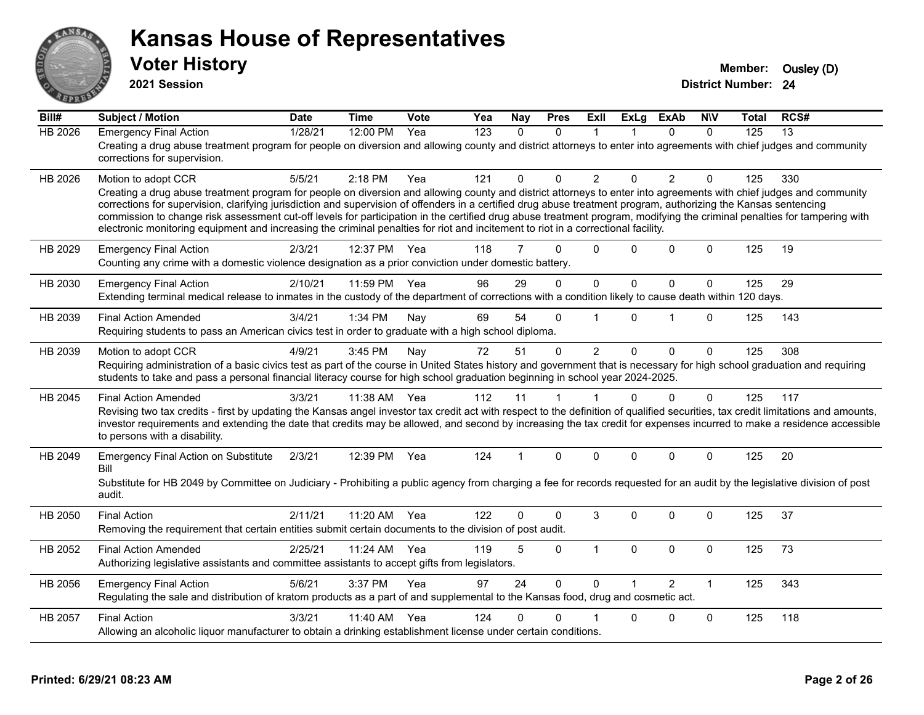

**2021 Session**

| Bill#          | <b>Subject / Motion</b>                                                                                                                                                                                                                                                                                                                                                                                                                                                                                                                                                                                                                                                         | <b>Date</b> | <b>Time</b> | Vote | Yea              | Nay          | <b>Pres</b> | ExII           | <b>ExLg</b>  | <b>ExAb</b>    | <b>NIV</b>   | Total | RCS# |
|----------------|---------------------------------------------------------------------------------------------------------------------------------------------------------------------------------------------------------------------------------------------------------------------------------------------------------------------------------------------------------------------------------------------------------------------------------------------------------------------------------------------------------------------------------------------------------------------------------------------------------------------------------------------------------------------------------|-------------|-------------|------|------------------|--------------|-------------|----------------|--------------|----------------|--------------|-------|------|
| <b>HB 2026</b> | <b>Emergency Final Action</b><br>Creating a drug abuse treatment program for people on diversion and allowing county and district attorneys to enter into agreements with chief judges and community<br>corrections for supervision.                                                                                                                                                                                                                                                                                                                                                                                                                                            | 1/28/21     | 12:00 PM    | Yea  | $\overline{123}$ | $\mathbf{0}$ | 0           | $\overline{1}$ |              | $\Omega$       | $\mathbf 0$  | 125   | 13   |
| HB 2026        | Motion to adopt CCR<br>Creating a drug abuse treatment program for people on diversion and allowing county and district attorneys to enter into agreements with chief judges and community<br>corrections for supervision, clarifying jurisdiction and supervision of offenders in a certified drug abuse treatment program, authorizing the Kansas sentencing<br>commission to change risk assessment cut-off levels for participation in the certified drug abuse treatment program, modifying the criminal penalties for tampering with<br>electronic monitoring equipment and increasing the criminal penalties for riot and incitement to riot in a correctional facility. | 5/5/21      | $2:18$ PM   | Yea  | 121              | $\Omega$     | $\Omega$    | 2              | $\Omega$     | 2              | $\mathbf{0}$ | 125   | 330  |
| HB 2029        | <b>Emergency Final Action</b><br>Counting any crime with a domestic violence designation as a prior conviction under domestic battery.                                                                                                                                                                                                                                                                                                                                                                                                                                                                                                                                          | 2/3/21      | 12:37 PM    | Yea  | 118              | 7            | $\Omega$    | $\Omega$       | $\Omega$     | $\Omega$       | $\Omega$     | 125   | 19   |
| HB 2030        | <b>Emergency Final Action</b><br>Extending terminal medical release to inmates in the custody of the department of corrections with a condition likely to cause death within 120 days.                                                                                                                                                                                                                                                                                                                                                                                                                                                                                          | 2/10/21     | 11:59 PM    | Yea  | 96               | 29           | $\Omega$    | $\mathbf 0$    | $\Omega$     | $\mathbf 0$    | $\Omega$     | 125   | 29   |
| HB 2039        | <b>Final Action Amended</b><br>Requiring students to pass an American civics test in order to graduate with a high school diploma.                                                                                                                                                                                                                                                                                                                                                                                                                                                                                                                                              | 3/4/21      | 1:34 PM     | Nay  | 69               | 54           | 0           |                | $\Omega$     | 1              | $\mathbf 0$  | 125   | 143  |
| HB 2039        | Motion to adopt CCR<br>Requiring administration of a basic civics test as part of the course in United States history and government that is necessary for high school graduation and requiring<br>students to take and pass a personal financial literacy course for high school graduation beginning in school year 2024-2025.                                                                                                                                                                                                                                                                                                                                                | 4/9/21      | 3:45 PM     | Nay  | 72               | 51           | 0           | $\overline{2}$ | $\Omega$     | $\mathbf 0$    | $\mathbf 0$  | 125   | 308  |
| HB 2045        | <b>Final Action Amended</b><br>Revising two tax credits - first by updating the Kansas angel investor tax credit act with respect to the definition of qualified securities, tax credit limitations and amounts,<br>investor requirements and extending the date that credits may be allowed, and second by increasing the tax credit for expenses incurred to make a residence accessible<br>to persons with a disability.                                                                                                                                                                                                                                                     | 3/3/21      | 11:38 AM    | Yea  | 112              | 11           | 1           |                | $\Omega$     | $\mathbf 0$    | $\Omega$     | 125   | 117  |
| HB 2049        | <b>Emergency Final Action on Substitute</b><br>Bill<br>Substitute for HB 2049 by Committee on Judiciary - Prohibiting a public agency from charging a fee for records requested for an audit by the legislative division of post<br>audit.                                                                                                                                                                                                                                                                                                                                                                                                                                      | 2/3/21      | 12:39 PM    | Yea  | 124              |              | $\Omega$    | $\Omega$       | $\Omega$     | $\Omega$       | $\mathbf{0}$ | 125   | 20   |
| HB 2050        | <b>Final Action</b><br>Removing the requirement that certain entities submit certain documents to the division of post audit.                                                                                                                                                                                                                                                                                                                                                                                                                                                                                                                                                   | 2/11/21     | 11:20 AM    | Yea  | 122              | 0            | $\Omega$    | 3              | $\Omega$     | $\Omega$       | $\mathbf{0}$ | 125   | 37   |
| HB 2052        | <b>Final Action Amended</b><br>Authorizing legislative assistants and committee assistants to accept gifts from legislators.                                                                                                                                                                                                                                                                                                                                                                                                                                                                                                                                                    | 2/25/21     | 11:24 AM    | Yea  | 119              | 5            | 0           | $\mathbf{1}$   | $\mathbf{0}$ | $\Omega$       | $\mathbf 0$  | 125   | 73   |
| HB 2056        | <b>Emergency Final Action</b><br>Regulating the sale and distribution of kratom products as a part of and supplemental to the Kansas food, drug and cosmetic act.                                                                                                                                                                                                                                                                                                                                                                                                                                                                                                               | 5/6/21      | 3:37 PM     | Yea  | 97               | 24           | $\Omega$    | $\Omega$       |              | $\mathfrak{p}$ | $\mathbf{1}$ | 125   | 343  |
| HB 2057        | <b>Final Action</b><br>Allowing an alcoholic liquor manufacturer to obtain a drinking establishment license under certain conditions.                                                                                                                                                                                                                                                                                                                                                                                                                                                                                                                                           | 3/3/21      | 11:40 AM    | Yea  | 124              | 0            | 0           |                | $\Omega$     | $\mathbf 0$    | $\mathbf 0$  | 125   | 118  |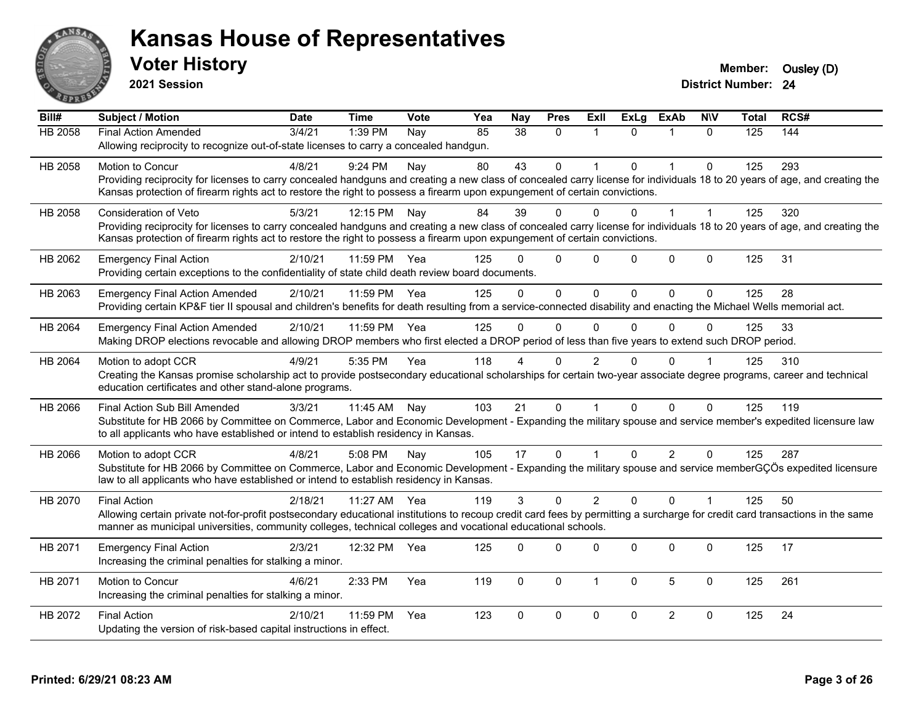

**2021 Session**

| Bill#          | Subject / Motion                                                                                                                                                             | <b>Date</b> | <b>Time</b> | Vote | Yea | <b>Nay</b> | <b>Pres</b>  | ExII           | <b>ExLg</b> | <b>ExAb</b>    | <b>NIV</b>   | Total | RCS# |
|----------------|------------------------------------------------------------------------------------------------------------------------------------------------------------------------------|-------------|-------------|------|-----|------------|--------------|----------------|-------------|----------------|--------------|-------|------|
| <b>HB 2058</b> | <b>Final Action Amended</b>                                                                                                                                                  | 3/4/21      | 1:39 PM     | Nay  | 85  | 38         | $\Omega$     |                | $\Omega$    |                | $\Omega$     | 125   | 144  |
|                | Allowing reciprocity to recognize out-of-state licenses to carry a concealed handgun.                                                                                        |             |             |      |     |            |              |                |             |                |              |       |      |
| HB 2058        | Motion to Concur                                                                                                                                                             | 4/8/21      | 9:24 PM     | Nay  | 80  | 43         | $\mathbf 0$  |                | $\Omega$    | $\mathbf{1}$   | $\mathbf 0$  | 125   | 293  |
|                | Providing reciprocity for licenses to carry concealed handguns and creating a new class of concealed carry license for individuals 18 to 20 years of age, and creating the   |             |             |      |     |            |              |                |             |                |              |       |      |
|                | Kansas protection of firearm rights act to restore the right to possess a firearm upon expungement of certain convictions.                                                   |             |             |      |     |            |              |                |             |                |              |       |      |
| HB 2058        | <b>Consideration of Veto</b>                                                                                                                                                 | 5/3/21      | 12:15 PM    | Nay  | 84  | 39         | $\Omega$     | 0              | 0           |                |              | 125   | 320  |
|                | Providing reciprocity for licenses to carry concealed handguns and creating a new class of concealed carry license for individuals 18 to 20 years of age, and creating the   |             |             |      |     |            |              |                |             |                |              |       |      |
|                | Kansas protection of firearm rights act to restore the right to possess a firearm upon expungement of certain convictions.                                                   |             |             |      |     |            |              |                |             |                |              |       |      |
| HB 2062        | <b>Emergency Final Action</b>                                                                                                                                                | 2/10/21     | 11:59 PM    | Yea  | 125 | U          | $\mathbf{0}$ | $\Omega$       | $\Omega$    | $\mathbf{0}$   | $\mathbf 0$  | 125   | 31   |
|                | Providing certain exceptions to the confidentiality of state child death review board documents.                                                                             |             |             |      |     |            |              |                |             |                |              |       |      |
| HB 2063        | <b>Emergency Final Action Amended</b>                                                                                                                                        | 2/10/21     | 11:59 PM    | Yea  | 125 | $\Omega$   | $\mathbf{0}$ | $\Omega$       | $\Omega$    | $\Omega$       | $\Omega$     | 125   | 28   |
|                | Providing certain KP&F tier II spousal and children's benefits for death resulting from a service-connected disability and enacting the Michael Wells memorial act.          |             |             |      |     |            |              |                |             |                |              |       |      |
| HB 2064        | <b>Emergency Final Action Amended</b>                                                                                                                                        | 2/10/21     | 11:59 PM    | Yea  | 125 | $\Omega$   | $\Omega$     | $\Omega$       | $\Omega$    | $\Omega$       | $\Omega$     | 125   | 33   |
|                | Making DROP elections revocable and allowing DROP members who first elected a DROP period of less than five years to extend such DROP period.                                |             |             |      |     |            |              |                |             |                |              |       |      |
| HB 2064        | Motion to adopt CCR                                                                                                                                                          | 4/9/21      | 5:35 PM     | Yea  | 118 |            | $\Omega$     | 2              | 0           | $\Omega$       |              | 125   | 310  |
|                | Creating the Kansas promise scholarship act to provide postsecondary educational scholarships for certain two-year associate degree programs, career and technical           |             |             |      |     |            |              |                |             |                |              |       |      |
|                | education certificates and other stand-alone programs.                                                                                                                       |             |             |      |     |            |              |                |             |                |              |       |      |
| HB 2066        | Final Action Sub Bill Amended                                                                                                                                                | 3/3/21      | 11:45 AM    | Nay  | 103 | 21         | $\mathbf{0}$ |                | $\Omega$    | $\Omega$       | $\Omega$     | 125   | 119  |
|                | Substitute for HB 2066 by Committee on Commerce, Labor and Economic Development - Expanding the military spouse and service member's expedited licensure law                 |             |             |      |     |            |              |                |             |                |              |       |      |
|                | to all applicants who have established or intend to establish residency in Kansas.                                                                                           |             |             |      |     |            |              |                |             |                |              |       |      |
| HB 2066        | Motion to adopt CCR                                                                                                                                                          | 4/8/21      | 5:08 PM     | Nay  | 105 | 17         | $\mathbf 0$  |                | $\Omega$    | $\overline{2}$ | $\mathbf{0}$ | 125   | 287  |
|                | Substitute for HB 2066 by Committee on Commerce, Labor and Economic Development - Expanding the military spouse and service memberGÇÖs expedited licensure                   |             |             |      |     |            |              |                |             |                |              |       |      |
|                | law to all applicants who have established or intend to establish residency in Kansas.                                                                                       |             |             |      |     |            |              |                |             |                |              |       |      |
| HB 2070        | <b>Final Action</b>                                                                                                                                                          | 2/18/21     | 11:27 AM    | Yea  | 119 | 3          | $\mathbf 0$  | $\overline{2}$ | $\Omega$    | $\Omega$       | $\mathbf{1}$ | 125   | 50   |
|                | Allowing certain private not-for-profit postsecondary educational institutions to recoup credit card fees by permitting a surcharge for credit card transactions in the same |             |             |      |     |            |              |                |             |                |              |       |      |
|                | manner as municipal universities, community colleges, technical colleges and vocational educational schools.                                                                 |             |             |      |     |            |              |                |             |                |              |       |      |
| HB 2071        | <b>Emergency Final Action</b>                                                                                                                                                | 2/3/21      | 12:32 PM    | Yea  | 125 | $\Omega$   | $\Omega$     | $\Omega$       | $\Omega$    | $\Omega$       | $\mathbf 0$  | 125   | 17   |
|                | Increasing the criminal penalties for stalking a minor.                                                                                                                      |             |             |      |     |            |              |                |             |                |              |       |      |
| HB 2071        | Motion to Concur                                                                                                                                                             | 4/6/21      | 2:33 PM     | Yea  | 119 | $\Omega$   | $\mathbf{0}$ | $\mathbf{1}$   | $\Omega$    | 5              | $\mathbf{0}$ | 125   | 261  |
|                | Increasing the criminal penalties for stalking a minor.                                                                                                                      |             |             |      |     |            |              |                |             |                |              |       |      |
| HB 2072        | <b>Final Action</b>                                                                                                                                                          | 2/10/21     | 11:59 PM    | Yea  | 123 | $\Omega$   | $\mathbf 0$  | $\mathbf 0$    | $\mathbf 0$ | $\overline{2}$ | $\mathbf 0$  | 125   | 24   |
|                | Updating the version of risk-based capital instructions in effect.                                                                                                           |             |             |      |     |            |              |                |             |                |              |       |      |
|                |                                                                                                                                                                              |             |             |      |     |            |              |                |             |                |              |       |      |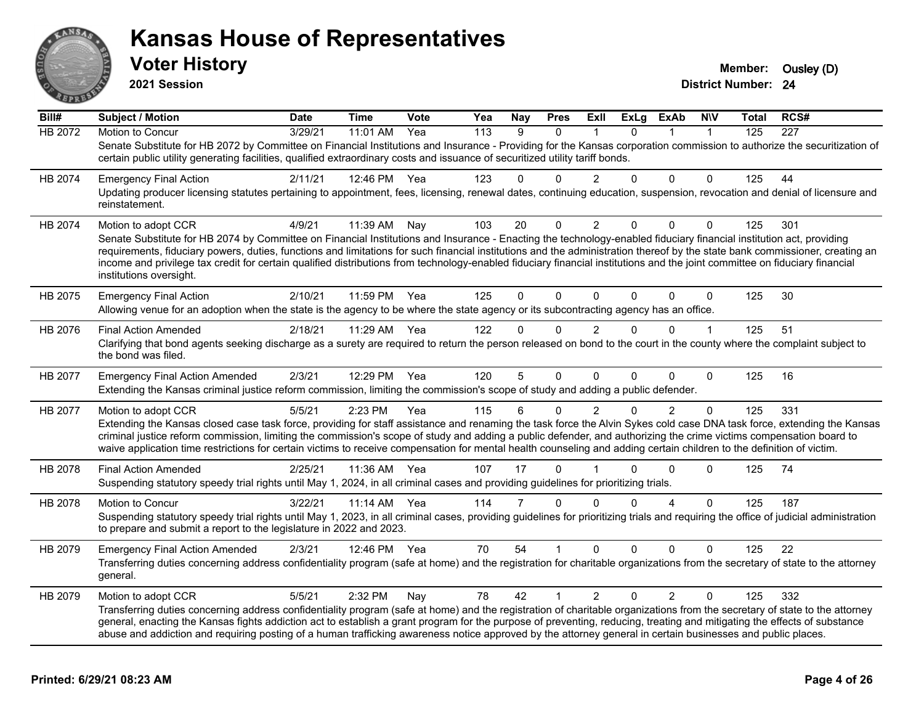

**2021 Session**

| Bill#   | <b>Subject / Motion</b>                                                                                                                                                                                                                                                                                                                                                                                                                                                                                                                                       | <b>Date</b> | <b>Time</b>  | Vote | Yea | Nay            | <b>Pres</b> | ExII           | <b>ExLg</b> | <b>ExAb</b>    | <b>N\V</b>   | <b>Total</b> | RCS# |
|---------|---------------------------------------------------------------------------------------------------------------------------------------------------------------------------------------------------------------------------------------------------------------------------------------------------------------------------------------------------------------------------------------------------------------------------------------------------------------------------------------------------------------------------------------------------------------|-------------|--------------|------|-----|----------------|-------------|----------------|-------------|----------------|--------------|--------------|------|
| HB 2072 | Motion to Concur                                                                                                                                                                                                                                                                                                                                                                                                                                                                                                                                              | 3/29/21     | 11:01 AM     | Yea  | 113 | 9              | $\Omega$    |                | $\Omega$    | $\mathbf{1}$   | $\mathbf{1}$ | 125          | 227  |
|         | Senate Substitute for HB 2072 by Committee on Financial Institutions and Insurance - Providing for the Kansas corporation commission to authorize the securitization of<br>certain public utility generating facilities, qualified extraordinary costs and issuance of securitized utility tariff bonds.                                                                                                                                                                                                                                                      |             |              |      |     |                |             |                |             |                |              |              |      |
| HB 2074 | <b>Emergency Final Action</b>                                                                                                                                                                                                                                                                                                                                                                                                                                                                                                                                 | 2/11/21     | 12:46 PM Yea |      | 123 | $\Omega$       | 0           | 2              | $\Omega$    | $\mathbf{0}$   | $\mathbf{0}$ | 125          | 44   |
|         | Updating producer licensing statutes pertaining to appointment, fees, licensing, renewal dates, continuing education, suspension, revocation and denial of licensure and<br>reinstatement.                                                                                                                                                                                                                                                                                                                                                                    |             |              |      |     |                |             |                |             |                |              |              |      |
| HB 2074 | Motion to adopt CCR                                                                                                                                                                                                                                                                                                                                                                                                                                                                                                                                           | 4/9/21      | 11:39 AM     | Nay  | 103 | 20             | 0           | $\overline{2}$ | $\mathbf 0$ | $\mathbf 0$    | $\Omega$     | 125          | 301  |
|         | Senate Substitute for HB 2074 by Committee on Financial Institutions and Insurance - Enacting the technology-enabled fiduciary financial institution act, providing<br>requirements, fiduciary powers, duties, functions and limitations for such financial institutions and the administration thereof by the state bank commissioner, creating an<br>income and privilege tax credit for certain qualified distributions from technology-enabled fiduciary financial institutions and the joint committee on fiduciary financial<br>institutions oversight. |             |              |      |     |                |             |                |             |                |              |              |      |
| HB 2075 | <b>Emergency Final Action</b><br>Allowing venue for an adoption when the state is the agency to be where the state agency or its subcontracting agency has an office.                                                                                                                                                                                                                                                                                                                                                                                         | 2/10/21     | 11:59 PM     | Yea  | 125 | $\mathbf{0}$   | $\mathbf 0$ | $\Omega$       | $\Omega$    | $\Omega$       | $\Omega$     | 125          | 30   |
| HB 2076 | <b>Final Action Amended</b><br>Clarifying that bond agents seeking discharge as a surety are required to return the person released on bond to the court in the county where the complaint subject to                                                                                                                                                                                                                                                                                                                                                         | 2/18/21     | 11:29 AM     | Yea  | 122 | $\Omega$       | $\Omega$    | $\mathcal{P}$  | $\Omega$    | $\Omega$       |              | 125          | 51   |
|         | the bond was filed.                                                                                                                                                                                                                                                                                                                                                                                                                                                                                                                                           |             |              |      |     |                |             |                |             |                |              |              |      |
| HB 2077 | <b>Emergency Final Action Amended</b>                                                                                                                                                                                                                                                                                                                                                                                                                                                                                                                         | 2/3/21      | 12:29 PM     | Yea  | 120 | 5              | $\Omega$    | 0              | $\Omega$    | $\Omega$       | $\Omega$     | 125          | 16   |
|         | Extending the Kansas criminal justice reform commission, limiting the commission's scope of study and adding a public defender.                                                                                                                                                                                                                                                                                                                                                                                                                               |             |              |      |     |                |             |                |             |                |              |              |      |
| HB 2077 | Motion to adopt CCR                                                                                                                                                                                                                                                                                                                                                                                                                                                                                                                                           | 5/5/21      | 2:23 PM      | Yea  | 115 | 6              | $\mathbf 0$ | 2              | $\Omega$    | $\overline{2}$ | $\Omega$     | 125          | 331  |
|         | Extending the Kansas closed case task force, providing for staff assistance and renaming the task force the Alvin Sykes cold case DNA task force, extending the Kansas<br>criminal justice reform commission, limiting the commission's scope of study and adding a public defender, and authorizing the crime victims compensation board to<br>waive application time restrictions for certain victims to receive compensation for mental health counseling and adding certain children to the definition of victim.                                         |             |              |      |     |                |             |                |             |                |              |              |      |
| HB 2078 | <b>Final Action Amended</b>                                                                                                                                                                                                                                                                                                                                                                                                                                                                                                                                   | 2/25/21     | 11:36 AM     | Yea  | 107 | 17             | $\mathbf 0$ |                | $\Omega$    | $\Omega$       | $\Omega$     | 125          | 74   |
|         | Suspending statutory speedy trial rights until May 1, 2024, in all criminal cases and providing guidelines for prioritizing trials.                                                                                                                                                                                                                                                                                                                                                                                                                           |             |              |      |     |                |             |                |             |                |              |              |      |
| HB 2078 | Motion to Concur                                                                                                                                                                                                                                                                                                                                                                                                                                                                                                                                              | 3/22/21     | 11:14 AM     | Yea  | 114 | $\overline{7}$ | $\Omega$    | $\Omega$       | $\Omega$    | 4              | $\mathbf{0}$ | 125          | 187  |
|         | Suspending statutory speedy trial rights until May 1, 2023, in all criminal cases, providing guidelines for prioritizing trials and requiring the office of judicial administration<br>to prepare and submit a report to the legislature in 2022 and 2023.                                                                                                                                                                                                                                                                                                    |             |              |      |     |                |             |                |             |                |              |              |      |
| HB 2079 | <b>Emergency Final Action Amended</b>                                                                                                                                                                                                                                                                                                                                                                                                                                                                                                                         | 2/3/21      | 12:46 PM Yea |      | 70  | 54             |             | $\Omega$       | $\Omega$    | $\mathbf{0}$   | $\Omega$     | 125          | 22   |
|         | Transferring duties concerning address confidentiality program (safe at home) and the registration for charitable organizations from the secretary of state to the attorney<br>general.                                                                                                                                                                                                                                                                                                                                                                       |             |              |      |     |                |             |                |             |                |              |              |      |
| HB 2079 | Motion to adopt CCR                                                                                                                                                                                                                                                                                                                                                                                                                                                                                                                                           | 5/5/21      | 2:32 PM      | Nav  | 78  | 42             |             | $\overline{2}$ | $\Omega$    | $\overline{2}$ | $\Omega$     | 125          | 332  |
|         | Transferring duties concerning address confidentiality program (safe at home) and the registration of charitable organizations from the secretary of state to the attorney<br>general, enacting the Kansas fights addiction act to establish a grant program for the purpose of preventing, reducing, treating and mitigating the effects of substance                                                                                                                                                                                                        |             |              |      |     |                |             |                |             |                |              |              |      |
|         | abuse and addiction and requiring posting of a human trafficking awareness notice approved by the attorney general in certain businesses and public places.                                                                                                                                                                                                                                                                                                                                                                                                   |             |              |      |     |                |             |                |             |                |              |              |      |
|         |                                                                                                                                                                                                                                                                                                                                                                                                                                                                                                                                                               |             |              |      |     |                |             |                |             |                |              |              |      |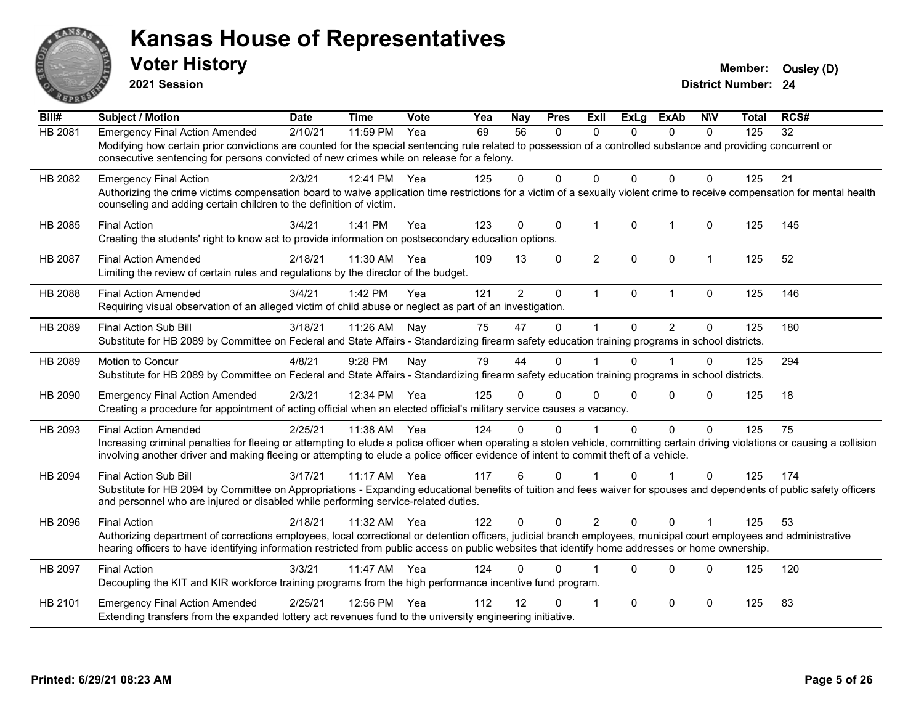

**2021 Session**

| Bill#          | <b>Subject / Motion</b>                                                                                                                                                                                                                                                                                                                                | <b>Date</b> | <b>Time</b> | Vote | Yea | Nay            | <b>Pres</b>  | Exll           | <b>ExLg</b> | <b>ExAb</b>    | <b>NIV</b>   | <b>Total</b> | RCS# |
|----------------|--------------------------------------------------------------------------------------------------------------------------------------------------------------------------------------------------------------------------------------------------------------------------------------------------------------------------------------------------------|-------------|-------------|------|-----|----------------|--------------|----------------|-------------|----------------|--------------|--------------|------|
| HB 2081        | <b>Emergency Final Action Amended</b><br>Modifying how certain prior convictions are counted for the special sentencing rule related to possession of a controlled substance and providing concurrent or<br>consecutive sentencing for persons convicted of new crimes while on release for a felony.                                                  | 2/10/21     | 11:59 PM    | Yea  | 69  | 56             | $\mathbf{0}$ | $\Omega$       | $\Omega$    | $\mathbf{0}$   | $\mathbf 0$  | 125          | 32   |
| HB 2082        | <b>Emergency Final Action</b><br>Authorizing the crime victims compensation board to waive application time restrictions for a victim of a sexually violent crime to receive compensation for mental health<br>counseling and adding certain children to the definition of victim.                                                                     | 2/3/21      | 12:41 PM    | Yea  | 125 | 0              | 0            | 0              | 0           | $\mathbf 0$    | $\Omega$     | 125          | 21   |
| HB 2085        | <b>Final Action</b><br>Creating the students' right to know act to provide information on postsecondary education options.                                                                                                                                                                                                                             | 3/4/21      | 1:41 PM     | Yea  | 123 | $\Omega$       | $\Omega$     | 1              | $\Omega$    | $\overline{1}$ | $\mathbf{0}$ | 125          | 145  |
| <b>HB 2087</b> | <b>Final Action Amended</b><br>Limiting the review of certain rules and regulations by the director of the budget.                                                                                                                                                                                                                                     | 2/18/21     | 11:30 AM    | Yea  | 109 | 13             | $\Omega$     | $\overline{2}$ | $\Omega$    | $\mathbf 0$    | $\mathbf 1$  | 125          | 52   |
| HB 2088        | <b>Final Action Amended</b><br>Requiring visual observation of an alleged victim of child abuse or neglect as part of an investigation.                                                                                                                                                                                                                | 3/4/21      | 1:42 PM     | Yea  | 121 | $\overline{2}$ | $\mathbf 0$  | $\mathbf 1$    | $\Omega$    | $\mathbf{1}$   | 0            | 125          | 146  |
| HB 2089        | Final Action Sub Bill<br>Substitute for HB 2089 by Committee on Federal and State Affairs - Standardizing firearm safety education training programs in school districts.                                                                                                                                                                              | 3/18/21     | 11:26 AM    | Nay  | 75  | 47             | $\Omega$     | 1              | $\Omega$    | 2              | $\Omega$     | 125          | 180  |
| HB 2089        | Motion to Concur<br>Substitute for HB 2089 by Committee on Federal and State Affairs - Standardizing firearm safety education training programs in school districts.                                                                                                                                                                                   | 4/8/21      | 9:28 PM     | Nay  | 79  | 44             | $\Omega$     |                | $\Omega$    |                | $\Omega$     | 125          | 294  |
| HB 2090        | <b>Emergency Final Action Amended</b><br>Creating a procedure for appointment of acting official when an elected official's military service causes a vacancy.                                                                                                                                                                                         | 2/3/21      | 12:34 PM    | Yea  | 125 | 0              | $\Omega$     | $\Omega$       | $\Omega$    | $\Omega$       | $\Omega$     | 125          | 18   |
| HB 2093        | <b>Final Action Amended</b><br>Increasing criminal penalties for fleeing or attempting to elude a police officer when operating a stolen vehicle, committing certain driving violations or causing a collision<br>involving another driver and making fleeing or attempting to elude a police officer evidence of intent to commit theft of a vehicle. | 2/25/21     | 11:38 AM    | Yea  | 124 | U              | $\Omega$     |                | $\Omega$    | $\mathbf{0}$   | $\Omega$     | 125          | 75   |
| HB 2094        | <b>Final Action Sub Bill</b><br>Substitute for HB 2094 by Committee on Appropriations - Expanding educational benefits of tuition and fees waiver for spouses and dependents of public safety officers<br>and personnel who are injured or disabled while performing service-related duties.                                                           | 3/17/21     | $11:17$ AM  | Yea  | 117 | 6              | $\Omega$     |                | $\Omega$    |                | $\Omega$     | 125          | 174  |
| HB 2096        | <b>Final Action</b><br>Authorizing department of corrections employees, local correctional or detention officers, judicial branch employees, municipal court employees and administrative<br>hearing officers to have identifying information restricted from public access on public websites that identify home addresses or home ownership.         | 2/18/21     | 11:32 AM    | Yea  | 122 | $\Omega$       | $\Omega$     | $\overline{2}$ | $\Omega$    | $\Omega$       |              | 125          | 53   |
| HB 2097        | <b>Final Action</b><br>Decoupling the KIT and KIR workforce training programs from the high performance incentive fund program.                                                                                                                                                                                                                        | 3/3/21      | 11:47 AM    | Yea  | 124 | U              | 0            |                | $\Omega$    | $\Omega$       | $\Omega$     | 125          | 120  |
| HB 2101        | <b>Emergency Final Action Amended</b><br>Extending transfers from the expanded lottery act revenues fund to the university engineering initiative.                                                                                                                                                                                                     | 2/25/21     | 12:56 PM    | Yea  | 112 | 12             | <sup>n</sup> |                | $\Omega$    | $\mathbf 0$    | $\Omega$     | 125          | 83   |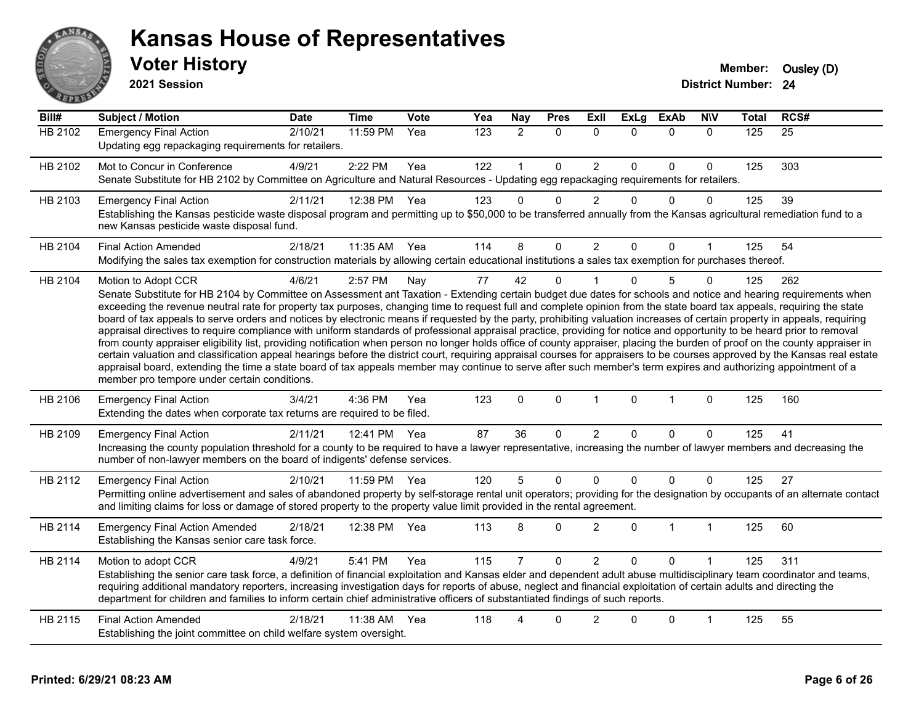

**2021 Session**

| Bill#          | <b>Subject / Motion</b>                                                                                                                                                                                                                                                                                                                                                                                                                                                                                                                                                                                                                                                                                                                                                                                                                                                                                                                                                                                                                                                                                                                                                                                                                                                                                     | <b>Date</b> | Time     | <b>Vote</b> | Yea | Nay            | <b>Pres</b>  | Exll           | <b>ExLg</b> | <b>ExAb</b>  | <b>NIV</b>   | <b>Total</b> | RCS# |
|----------------|-------------------------------------------------------------------------------------------------------------------------------------------------------------------------------------------------------------------------------------------------------------------------------------------------------------------------------------------------------------------------------------------------------------------------------------------------------------------------------------------------------------------------------------------------------------------------------------------------------------------------------------------------------------------------------------------------------------------------------------------------------------------------------------------------------------------------------------------------------------------------------------------------------------------------------------------------------------------------------------------------------------------------------------------------------------------------------------------------------------------------------------------------------------------------------------------------------------------------------------------------------------------------------------------------------------|-------------|----------|-------------|-----|----------------|--------------|----------------|-------------|--------------|--------------|--------------|------|
| <b>HB 2102</b> | <b>Emergency Final Action</b><br>Updating egg repackaging requirements for retailers.                                                                                                                                                                                                                                                                                                                                                                                                                                                                                                                                                                                                                                                                                                                                                                                                                                                                                                                                                                                                                                                                                                                                                                                                                       | 2/10/21     | 11:59 PM | Yea         | 123 | $\overline{2}$ | $\mathbf{0}$ | $\Omega$       | $\Omega$    | $\mathbf{0}$ | $\mathbf{0}$ | 125          | 25   |
| HB 2102        | Mot to Concur in Conference<br>Senate Substitute for HB 2102 by Committee on Agriculture and Natural Resources - Updating egg repackaging requirements for retailers.                                                                                                                                                                                                                                                                                                                                                                                                                                                                                                                                                                                                                                                                                                                                                                                                                                                                                                                                                                                                                                                                                                                                       | 4/9/21      | 2:22 PM  | Yea         | 122 |                | $\mathbf 0$  | $\overline{c}$ | $\Omega$    | $\mathbf 0$  | $\Omega$     | 125          | 303  |
| HB 2103        | <b>Emergency Final Action</b><br>Establishing the Kansas pesticide waste disposal program and permitting up to \$50,000 to be transferred annually from the Kansas agricultural remediation fund to a<br>new Kansas pesticide waste disposal fund.                                                                                                                                                                                                                                                                                                                                                                                                                                                                                                                                                                                                                                                                                                                                                                                                                                                                                                                                                                                                                                                          | 2/11/21     | 12:38 PM | Yea         | 123 | $\Omega$       | $\mathbf 0$  | $\overline{2}$ | $\Omega$    | $\mathbf{0}$ | $\Omega$     | 125          | 39   |
| HB 2104        | <b>Final Action Amended</b><br>Modifying the sales tax exemption for construction materials by allowing certain educational institutions a sales tax exemption for purchases thereof.                                                                                                                                                                                                                                                                                                                                                                                                                                                                                                                                                                                                                                                                                                                                                                                                                                                                                                                                                                                                                                                                                                                       | 2/18/21     | 11:35 AM | Yea         | 114 | 8              | 0            | $\overline{c}$ | $\Omega$    | $\mathbf 0$  |              | 125          | 54   |
| HB 2104        | Motion to Adopt CCR<br>Senate Substitute for HB 2104 by Committee on Assessment ant Taxation - Extending certain budget due dates for schools and notice and hearing requirements when<br>exceeding the revenue neutral rate for property tax purposes, changing time to request full and complete opinion from the state board tax appeals, requiring the state<br>board of tax appeals to serve orders and notices by electronic means if requested by the party, prohibiting valuation increases of certain property in appeals, requiring<br>appraisal directives to require compliance with uniform standards of professional appraisal practice, providing for notice and opportunity to be heard prior to removal<br>from county appraiser eligibility list, providing notification when person no longer holds office of county appraiser, placing the burden of proof on the county appraiser in<br>certain valuation and classification appeal hearings before the district court, requiring appraisal courses for appraisers to be courses approved by the Kansas real estate<br>appraisal board, extending the time a state board of tax appeals member may continue to serve after such member's term expires and authorizing appointment of a<br>member pro tempore under certain conditions. | 4/6/21      | 2:57 PM  | Nay         | 77  | 42             | $\mathbf{0}$ |                | $\Omega$    | 5            | $\Omega$     | 125          | 262  |
| HB 2106        | <b>Emergency Final Action</b><br>Extending the dates when corporate tax returns are required to be filed.                                                                                                                                                                                                                                                                                                                                                                                                                                                                                                                                                                                                                                                                                                                                                                                                                                                                                                                                                                                                                                                                                                                                                                                                   | 3/4/21      | 4:36 PM  | Yea         | 123 | $\Omega$       | $\mathbf{0}$ | $\mathbf 1$    | $\Omega$    | $\mathbf{1}$ | $\mathbf{0}$ | 125          | 160  |
| HB 2109        | <b>Emergency Final Action</b><br>Increasing the county population threshold for a county to be required to have a lawyer representative, increasing the number of lawyer members and decreasing the<br>number of non-lawyer members on the board of indigents' defense services.                                                                                                                                                                                                                                                                                                                                                                                                                                                                                                                                                                                                                                                                                                                                                                                                                                                                                                                                                                                                                            | 2/11/21     | 12:41 PM | Yea         | 87  | 36             | $\Omega$     | $\overline{2}$ | 0           | 0            | $\Omega$     | 125          | 41   |
| HB 2112        | <b>Emergency Final Action</b><br>Permitting online advertisement and sales of abandoned property by self-storage rental unit operators; providing for the designation by occupants of an alternate contact<br>and limiting claims for loss or damage of stored property to the property value limit provided in the rental agreement.                                                                                                                                                                                                                                                                                                                                                                                                                                                                                                                                                                                                                                                                                                                                                                                                                                                                                                                                                                       | 2/10/21     | 11:59 PM | Yea         | 120 | 5              | $\Omega$     | $\mathbf 0$    | $\Omega$    | $\mathbf 0$  | $\Omega$     | 125          | 27   |
| HB 2114        | <b>Emergency Final Action Amended</b><br>Establishing the Kansas senior care task force.                                                                                                                                                                                                                                                                                                                                                                                                                                                                                                                                                                                                                                                                                                                                                                                                                                                                                                                                                                                                                                                                                                                                                                                                                    | 2/18/21     | 12:38 PM | Yea         | 113 | 8              | 0            | $\overline{2}$ | $\Omega$    | $\mathbf{1}$ | $\mathbf{1}$ | 125          | 60   |
| HB 2114        | Motion to adopt CCR<br>Establishing the senior care task force, a definition of financial exploitation and Kansas elder and dependent adult abuse multidisciplinary team coordinator and teams,<br>requiring additional mandatory reporters, increasing investigation days for reports of abuse, neglect and financial exploitation of certain adults and directing the<br>department for children and families to inform certain chief administrative officers of substantiated findings of such reports.                                                                                                                                                                                                                                                                                                                                                                                                                                                                                                                                                                                                                                                                                                                                                                                                  | 4/9/21      | 5:41 PM  | Yea         | 115 | $\overline{7}$ | $\Omega$     | $\overline{2}$ | $\Omega$    | $\Omega$     |              | 125          | 311  |
| HB 2115        | <b>Final Action Amended</b><br>Establishing the joint committee on child welfare system oversight.                                                                                                                                                                                                                                                                                                                                                                                                                                                                                                                                                                                                                                                                                                                                                                                                                                                                                                                                                                                                                                                                                                                                                                                                          | 2/18/21     | 11:38 AM | Yea         | 118 |                | 0            | $\overline{2}$ |             | $\Omega$     | 1            | 125          | 55   |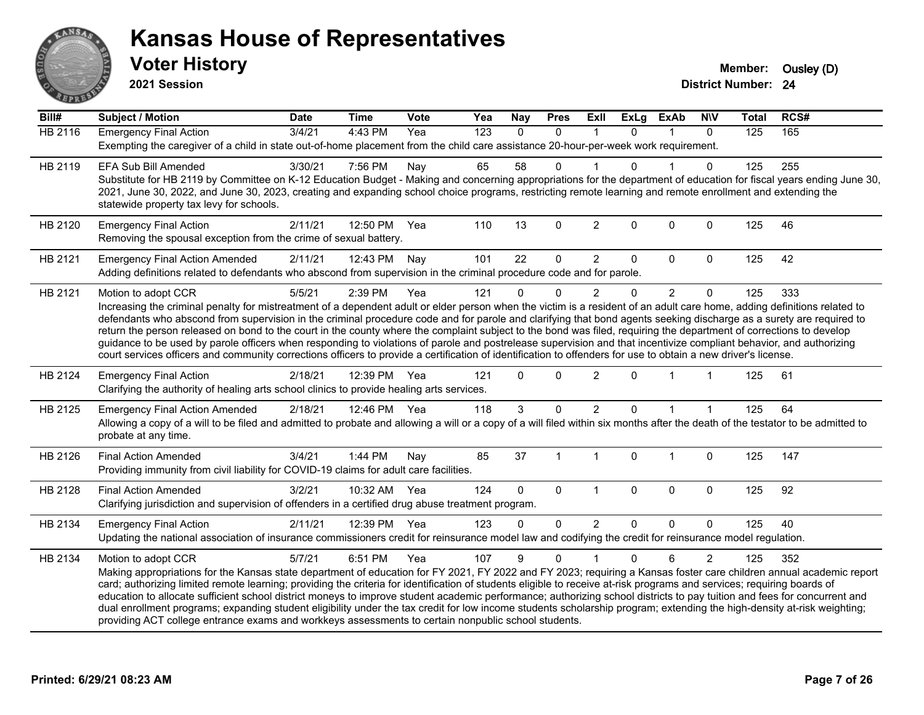

**2021 Session**

| Bill#          | <b>Subject / Motion</b>                                                                                                                                                                                                                                                                                                                                                                                                                                                                                                                                                                                                                                                                                                                                                                                                                                                                | <b>Date</b> | <b>Time</b>  | Vote | Yea | <b>Nay</b> | <b>Pres</b> | Exll           | <b>ExLg</b>  | <b>ExAb</b>    | <b>NIV</b>     | <b>Total</b> | RCS# |
|----------------|----------------------------------------------------------------------------------------------------------------------------------------------------------------------------------------------------------------------------------------------------------------------------------------------------------------------------------------------------------------------------------------------------------------------------------------------------------------------------------------------------------------------------------------------------------------------------------------------------------------------------------------------------------------------------------------------------------------------------------------------------------------------------------------------------------------------------------------------------------------------------------------|-------------|--------------|------|-----|------------|-------------|----------------|--------------|----------------|----------------|--------------|------|
| <b>HB 2116</b> | <b>Emergency Final Action</b><br>Exempting the caregiver of a child in state out-of-home placement from the child care assistance 20-hour-per-week work requirement.                                                                                                                                                                                                                                                                                                                                                                                                                                                                                                                                                                                                                                                                                                                   | 3/4/21      | 4:43 PM      | Yea  | 123 | $\Omega$   | $\mathbf 0$ | $\mathbf 1$    | $\Omega$     | $\mathbf 1$    | $\mathbf{0}$   | 125          | 165  |
| HB 2119        | <b>EFA Sub Bill Amended</b><br>Substitute for HB 2119 by Committee on K-12 Education Budget - Making and concerning appropriations for the department of education for fiscal years ending June 30,<br>2021, June 30, 2022, and June 30, 2023, creating and expanding school choice programs, restricting remote learning and remote enrollment and extending the<br>statewide property tax levy for schools.                                                                                                                                                                                                                                                                                                                                                                                                                                                                          | 3/30/21     | 7:56 PM      | Nay  | 65  | 58         | 0           |                | U            |                | 0              | 125          | 255  |
| HB 2120        | <b>Emergency Final Action</b><br>Removing the spousal exception from the crime of sexual battery.                                                                                                                                                                                                                                                                                                                                                                                                                                                                                                                                                                                                                                                                                                                                                                                      | 2/11/21     | 12:50 PM     | Yea  | 110 | 13         | $\mathbf 0$ | $\overline{2}$ | $\mathbf 0$  | $\mathbf 0$    | $\mathbf 0$    | 125          | 46   |
| HB 2121        | <b>Emergency Final Action Amended</b><br>Adding definitions related to defendants who abscond from supervision in the criminal procedure code and for parole.                                                                                                                                                                                                                                                                                                                                                                                                                                                                                                                                                                                                                                                                                                                          | 2/11/21     | 12:43 PM     | Nay  | 101 | 22         | $\mathbf 0$ | $\overline{2}$ | 0            | $\Omega$       | $\Omega$       | 125          | 42   |
| HB 2121        | Motion to adopt CCR<br>Increasing the criminal penalty for mistreatment of a dependent adult or elder person when the victim is a resident of an adult care home, adding definitions related to<br>defendants who abscond from supervision in the criminal procedure code and for parole and clarifying that bond agents seeking discharge as a surety are required to<br>return the person released on bond to the court in the county where the complaint subject to the bond was filed, requiring the department of corrections to develop<br>guidance to be used by parole officers when responding to violations of parole and postrelease supervision and that incentivize compliant behavior, and authorizing<br>court services officers and community corrections officers to provide a certification of identification to offenders for use to obtain a new driver's license. | 5/5/21      | 2:39 PM      | Yea  | 121 | $\Omega$   | $\mathbf 0$ | $\overline{2}$ | 0            | $\overline{2}$ | $\mathbf 0$    | 125          | 333  |
| HB 2124        | <b>Emergency Final Action</b><br>Clarifying the authority of healing arts school clinics to provide healing arts services.                                                                                                                                                                                                                                                                                                                                                                                                                                                                                                                                                                                                                                                                                                                                                             | 2/18/21     | 12:39 PM     | Yea  | 121 | $\Omega$   | $\Omega$    | $\overline{2}$ | $\Omega$     |                |                | 125          | 61   |
| HB 2125        | <b>Emergency Final Action Amended</b><br>Allowing a copy of a will to be filed and admitted to probate and allowing a will or a copy of a will filed within six months after the death of the testator to be admitted to<br>probate at any time.                                                                                                                                                                                                                                                                                                                                                                                                                                                                                                                                                                                                                                       | 2/18/21     | 12:46 PM Yea |      | 118 | 3          | $\Omega$    | $\overline{c}$ | $\Omega$     |                |                | 125          | 64   |
| HB 2126        | <b>Final Action Amended</b><br>Providing immunity from civil liability for COVID-19 claims for adult care facilities.                                                                                                                                                                                                                                                                                                                                                                                                                                                                                                                                                                                                                                                                                                                                                                  | 3/4/21      | 1:44 PM      | Nay  | 85  | 37         | 1           | $\overline{1}$ | 0            | $\overline{1}$ | $\mathbf 0$    | 125          | 147  |
| HB 2128        | <b>Final Action Amended</b><br>Clarifying jurisdiction and supervision of offenders in a certified drug abuse treatment program.                                                                                                                                                                                                                                                                                                                                                                                                                                                                                                                                                                                                                                                                                                                                                       | 3/2/21      | 10:32 AM     | Yea  | 124 | $\Omega$   | $\mathbf 0$ | $\mathbf{1}$   | $\mathbf{0}$ | $\mathbf{0}$   | $\mathbf 0$    | 125          | 92   |
| HB 2134        | <b>Emergency Final Action</b><br>Updating the national association of insurance commissioners credit for reinsurance model law and codifying the credit for reinsurance model regulation.                                                                                                                                                                                                                                                                                                                                                                                                                                                                                                                                                                                                                                                                                              | 2/11/21     | 12:39 PM Yea |      | 123 | $\Omega$   | 0           | $\overline{2}$ | $\Omega$     | $\Omega$       | $\Omega$       | 125          | 40   |
| HB 2134        | Motion to adopt CCR<br>Making appropriations for the Kansas state department of education for FY 2021, FY 2022 and FY 2023; requiring a Kansas foster care children annual academic report<br>card; authorizing limited remote learning; providing the criteria for identification of students eligible to receive at-risk programs and services; requiring boards of<br>education to allocate sufficient school district moneys to improve student academic performance; authorizing school districts to pay tuition and fees for concurrent and<br>dual enrollment programs; expanding student eligibility under the tax credit for low income students scholarship program; extending the high-density at-risk weighting;<br>providing ACT college entrance exams and workkeys assessments to certain nonpublic school students.                                                    | 5/7/21      | 6:51 PM      | Yea  | 107 | 9          | $\mathbf 0$ |                | 0            | 6              | $\overline{2}$ | 125          | 352  |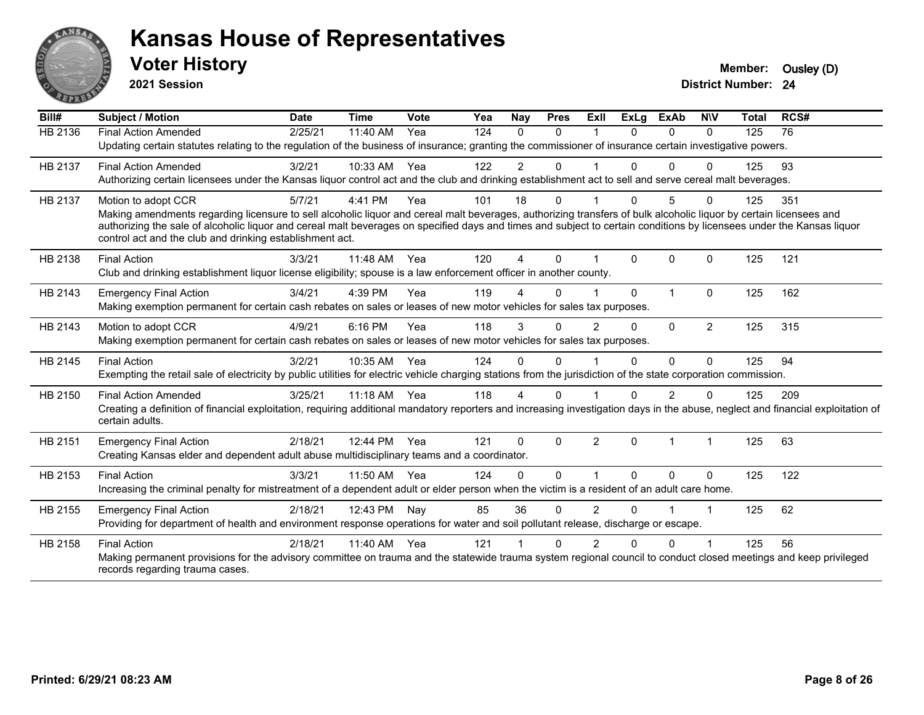

**2021 Session**

| Bill#   | <b>Subject / Motion</b>                                                                                                                                                                                                                                                                                                                                                                                                       | <b>Date</b> | <b>Time</b> | Vote | Yea | Nay            | <b>Pres</b> | ExII           | <b>ExLg</b> | <b>ExAb</b> | <b>NIV</b>     | <b>Total</b> | RCS# |  |
|---------|-------------------------------------------------------------------------------------------------------------------------------------------------------------------------------------------------------------------------------------------------------------------------------------------------------------------------------------------------------------------------------------------------------------------------------|-------------|-------------|------|-----|----------------|-------------|----------------|-------------|-------------|----------------|--------------|------|--|
| HB 2136 | <b>Final Action Amended</b><br>Updating certain statutes relating to the regulation of the business of insurance; granting the commissioner of insurance certain investigative powers.                                                                                                                                                                                                                                        | 2/25/21     | 11:40 AM    | Yea  | 124 | $\Omega$       | $\Omega$    |                | 0           | $\Omega$    | 0              | 125          | 76   |  |
| HB 2137 | <b>Final Action Amended</b><br>Authorizing certain licensees under the Kansas liquor control act and the club and drinking establishment act to sell and serve cereal malt beverages.                                                                                                                                                                                                                                         | 3/2/21      | 10:33 AM    | Yea  | 122 | $\overline{2}$ | $\Omega$    |                | $\Omega$    | 0           | 0              | 125          | 93   |  |
| HB 2137 | Motion to adopt CCR<br>Making amendments regarding licensure to sell alcoholic liquor and cereal malt beverages, authorizing transfers of bulk alcoholic liquor by certain licensees and<br>authorizing the sale of alcoholic liquor and cereal malt beverages on specified days and times and subject to certain conditions by licensees under the Kansas liquor<br>control act and the club and drinking establishment act. | 5/7/21      | 4:41 PM     | Yea  | 101 | 18             | $\Omega$    |                |             | 5           | U              | 125          | 351  |  |
| HB 2138 | <b>Final Action</b><br>Club and drinking establishment liquor license eligibility; spouse is a law enforcement officer in another county.                                                                                                                                                                                                                                                                                     | 3/3/21      | 11:48 AM    | Yea  | 120 | 4              | $\Omega$    |                | $\Omega$    | $\Omega$    | 0              | 125          | 121  |  |
| HB 2143 | <b>Emergency Final Action</b><br>Making exemption permanent for certain cash rebates on sales or leases of new motor vehicles for sales tax purposes.                                                                                                                                                                                                                                                                         | 3/4/21      | 4:39 PM     | Yea  | 119 | 4              | $\Omega$    |                | $\Omega$    |             | 0              | 125          | 162  |  |
| HB 2143 | Motion to adopt CCR<br>Making exemption permanent for certain cash rebates on sales or leases of new motor vehicles for sales tax purposes.                                                                                                                                                                                                                                                                                   | 4/9/21      | 6:16 PM     | Yea  | 118 | 3              | $\Omega$    | 2              | 0           | $\Omega$    | $\overline{2}$ | 125          | 315  |  |
| HB 2145 | <b>Final Action</b><br>Exempting the retail sale of electricity by public utilities for electric vehicle charging stations from the jurisdiction of the state corporation commission.                                                                                                                                                                                                                                         | 3/2/21      | 10:35 AM    | Yea  | 124 | 0              | $\Omega$    |                | $\Omega$    | $\Omega$    | 0              | 125          | 94   |  |
| HB 2150 | <b>Final Action Amended</b><br>Creating a definition of financial exploitation, requiring additional mandatory reporters and increasing investigation days in the abuse, neglect and financial exploitation of<br>certain adults.                                                                                                                                                                                             | 3/25/21     | 11:18 AM    | Yea  | 118 | 4              | $\Omega$    |                | 0           | 2           | 0              | 125          | 209  |  |
| HB 2151 | <b>Emergency Final Action</b><br>Creating Kansas elder and dependent adult abuse multidisciplinary teams and a coordinator.                                                                                                                                                                                                                                                                                                   | 2/18/21     | 12:44 PM    | Yea  | 121 | 0              | $\Omega$    | $\overline{2}$ | $\Omega$    |             |                | 125          | 63   |  |
| HB 2153 | <b>Final Action</b><br>Increasing the criminal penalty for mistreatment of a dependent adult or elder person when the victim is a resident of an adult care home.                                                                                                                                                                                                                                                             | 3/3/21      | 11:50 AM    | Yea  | 124 | $\Omega$       | $\Omega$    |                | $\Omega$    | $\Omega$    | $\Omega$       | 125          | 122  |  |
| HB 2155 | <b>Emergency Final Action</b><br>Providing for department of health and environment response operations for water and soil pollutant release, discharge or escape.                                                                                                                                                                                                                                                            | 2/18/21     | 12:43 PM    | Nay  | 85  | 36             | $\Omega$    | $\mathfrak{p}$ | $\Omega$    |             |                | 125          | 62   |  |
| HB 2158 | <b>Final Action</b><br>Making permanent provisions for the advisory committee on trauma and the statewide trauma system regional council to conduct closed meetings and keep privileged<br>records regarding trauma cases.                                                                                                                                                                                                    | 2/18/21     | 11:40 AM    | Yea  | 121 |                | U           |                |             |             |                | 125          | 56   |  |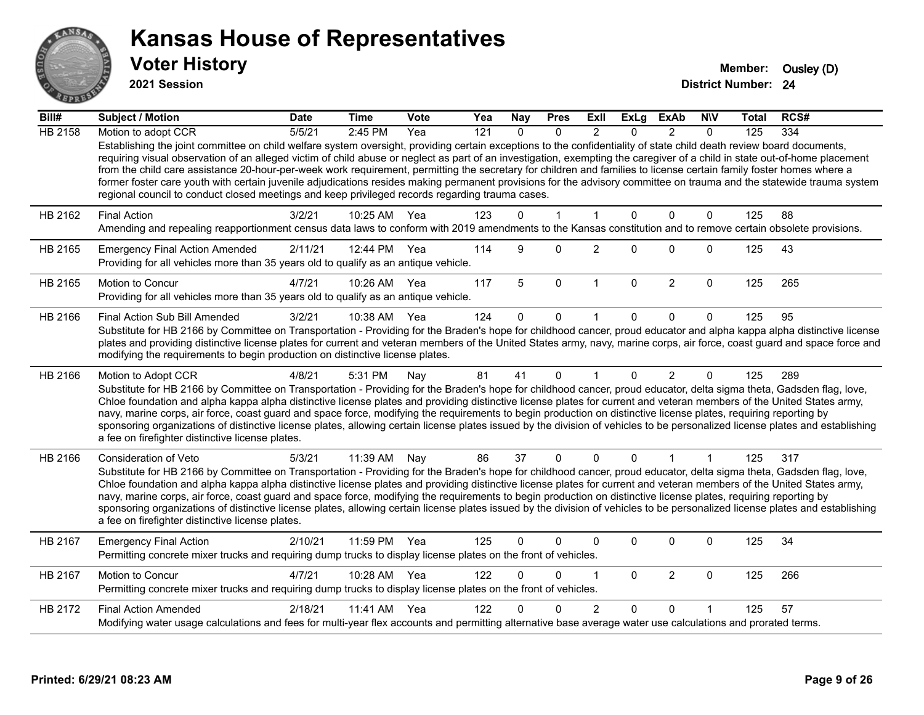

**2021 Session**

| Bill#          | Subject / Motion                                                                                                                                                                                                                                                                                                                                                                                                                                                                                                                                                                                                                                                                                                                                                                                      | <b>Date</b> | <b>Time</b>  | Vote | Yea | <b>Nay</b> | <b>Pres</b>  | ExII           | <b>ExLg</b>  | <b>ExAb</b>    | <b>NIV</b>   | Total | RCS# |
|----------------|-------------------------------------------------------------------------------------------------------------------------------------------------------------------------------------------------------------------------------------------------------------------------------------------------------------------------------------------------------------------------------------------------------------------------------------------------------------------------------------------------------------------------------------------------------------------------------------------------------------------------------------------------------------------------------------------------------------------------------------------------------------------------------------------------------|-------------|--------------|------|-----|------------|--------------|----------------|--------------|----------------|--------------|-------|------|
| <b>HB 2158</b> | Motion to adopt CCR                                                                                                                                                                                                                                                                                                                                                                                                                                                                                                                                                                                                                                                                                                                                                                                   | 5/5/21      | 2:45 PM      | Yea  | 121 | $\Omega$   | $\Omega$     | $\mathfrak{p}$ | $\Omega$     | $\mathcal{P}$  | $\Omega$     | 125   | 334  |
|                | Establishing the joint committee on child welfare system oversight, providing certain exceptions to the confidentiality of state child death review board documents,<br>requiring visual observation of an alleged victim of child abuse or neglect as part of an investigation, exempting the caregiver of a child in state out-of-home placement<br>from the child care assistance 20-hour-per-week work requirement, permitting the secretary for children and families to license certain family foster homes where a<br>former foster care youth with certain juvenile adjudications resides making permanent provisions for the advisory committee on trauma and the statewide trauma system<br>regional council to conduct closed meetings and keep privileged records regarding trauma cases. |             |              |      |     |            |              |                |              |                |              |       |      |
| HB 2162        | <b>Final Action</b>                                                                                                                                                                                                                                                                                                                                                                                                                                                                                                                                                                                                                                                                                                                                                                                   | 3/2/21      | 10:25 AM     | Yea  | 123 | $\Omega$   | 1            | 1              | $\Omega$     | $\mathbf{0}$   | $\mathbf{0}$ | 125   | 88   |
|                | Amending and repealing reapportionment census data laws to conform with 2019 amendments to the Kansas constitution and to remove certain obsolete provisions.                                                                                                                                                                                                                                                                                                                                                                                                                                                                                                                                                                                                                                         |             |              |      |     |            |              |                |              |                |              |       |      |
| HB 2165        | <b>Emergency Final Action Amended</b><br>Providing for all vehicles more than 35 years old to qualify as an antique vehicle.                                                                                                                                                                                                                                                                                                                                                                                                                                                                                                                                                                                                                                                                          | 2/11/21     | 12:44 PM Yea |      | 114 | 9          | $\Omega$     | $\overline{c}$ | $\Omega$     | $\Omega$       | $\mathbf 0$  | 125   | 43   |
| HB 2165        | <b>Motion to Concur</b><br>Providing for all vehicles more than 35 years old to qualify as an antique vehicle.                                                                                                                                                                                                                                                                                                                                                                                                                                                                                                                                                                                                                                                                                        | 4/7/21      | 10:26 AM     | Yea  | 117 | 5          | $\mathbf 0$  | $\overline{1}$ | $\mathbf{0}$ | $\overline{2}$ | $\mathbf{0}$ | 125   | 265  |
| HB 2166        | Final Action Sub Bill Amended                                                                                                                                                                                                                                                                                                                                                                                                                                                                                                                                                                                                                                                                                                                                                                         | 3/2/21      | 10:38 AM     | Yea  | 124 | $\Omega$   | $\Omega$     |                | 0            | $\Omega$       | $\Omega$     | 125   | 95   |
|                | Substitute for HB 2166 by Committee on Transportation - Providing for the Braden's hope for childhood cancer, proud educator and alpha kappa alpha distinctive license<br>plates and providing distinctive license plates for current and veteran members of the United States army, navy, marine corps, air force, coast guard and space force and<br>modifying the requirements to begin production on distinctive license plates.                                                                                                                                                                                                                                                                                                                                                                  |             |              |      |     |            |              |                |              |                |              |       |      |
| HB 2166        | Motion to Adopt CCR                                                                                                                                                                                                                                                                                                                                                                                                                                                                                                                                                                                                                                                                                                                                                                                   | 4/8/21      | 5:31 PM      | Nay  | 81  | 41         | $\mathbf{0}$ | $\mathbf{1}$   | $\Omega$     | $\overline{2}$ | $\Omega$     | 125   | 289  |
|                | Substitute for HB 2166 by Committee on Transportation - Providing for the Braden's hope for childhood cancer, proud educator, delta sigma theta, Gadsden flag, love,<br>Chloe foundation and alpha kappa alpha distinctive license plates and providing distinctive license plates for current and veteran members of the United States army,<br>navy, marine corps, air force, coast guard and space force, modifying the requirements to begin production on distinctive license plates, requiring reporting by<br>sponsoring organizations of distinctive license plates, allowing certain license plates issued by the division of vehicles to be personalized license plates and establishing<br>a fee on firefighter distinctive license plates.                                                |             |              |      |     |            |              |                |              |                |              |       |      |
| HB 2166        | <b>Consideration of Veto</b>                                                                                                                                                                                                                                                                                                                                                                                                                                                                                                                                                                                                                                                                                                                                                                          | 5/3/21      | 11:39 AM     | Nav  | 86  | 37         | $\mathbf{0}$ | $\Omega$       | $\Omega$     | 1              | $\mathbf{1}$ | 125   | 317  |
|                | Substitute for HB 2166 by Committee on Transportation - Providing for the Braden's hope for childhood cancer, proud educator, delta sigma theta, Gadsden flag, love,<br>Chloe foundation and alpha kappa alpha distinctive license plates and providing distinctive license plates for current and veteran members of the United States army,<br>navy, marine corps, air force, coast guard and space force, modifying the requirements to begin production on distinctive license plates, requiring reporting by<br>sponsoring organizations of distinctive license plates, allowing certain license plates issued by the division of vehicles to be personalized license plates and establishing<br>a fee on firefighter distinctive license plates.                                                |             |              |      |     |            |              |                |              |                |              |       |      |
| HB 2167        | <b>Emergency Final Action</b><br>Permitting concrete mixer trucks and requiring dump trucks to display license plates on the front of vehicles.                                                                                                                                                                                                                                                                                                                                                                                                                                                                                                                                                                                                                                                       | 2/10/21     | 11:59 PM     | Yea  | 125 | $\Omega$   | 0            | $\mathbf{0}$   | 0            | 0              | $\mathbf 0$  | 125   | 34   |
| HB 2167        | Motion to Concur<br>Permitting concrete mixer trucks and requiring dump trucks to display license plates on the front of vehicles.                                                                                                                                                                                                                                                                                                                                                                                                                                                                                                                                                                                                                                                                    | 4/7/21      | 10:28 AM     | Yea  | 122 | $\Omega$   | $\Omega$     | 1              | $\Omega$     | $\overline{2}$ | $\mathbf 0$  | 125   | 266  |
| HB 2172        | <b>Final Action Amended</b>                                                                                                                                                                                                                                                                                                                                                                                                                                                                                                                                                                                                                                                                                                                                                                           | 2/18/21     | 11:41 AM     | Yea  | 122 |            | 0            | $\overline{2}$ | $\Omega$     | $\Omega$       |              | 125   | 57   |
|                | Modifying water usage calculations and fees for multi-year flex accounts and permitting alternative base average water use calculations and prorated terms.                                                                                                                                                                                                                                                                                                                                                                                                                                                                                                                                                                                                                                           |             |              |      |     |            |              |                |              |                |              |       |      |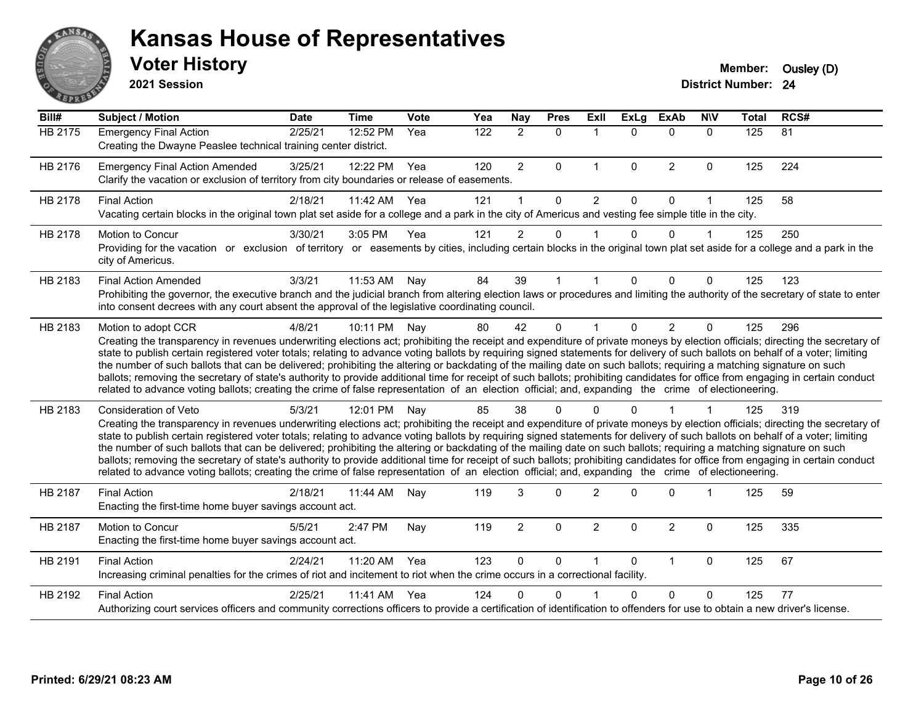

**2021 Session**

| Bill#          | <b>Subject / Motion</b>                                                                                                                                                                                                                                                                                                                                                                                                                                                                                                                                                                                                                                                                                                                                                                                                                                                                                           | <b>Date</b> | <b>Time</b> | Vote | Yea | <b>Nay</b>     | <b>Pres</b> | ExIl                 | <b>ExLg</b>  | <b>ExAb</b>    | <b>NIV</b>   | <b>Total</b> | RCS#            |
|----------------|-------------------------------------------------------------------------------------------------------------------------------------------------------------------------------------------------------------------------------------------------------------------------------------------------------------------------------------------------------------------------------------------------------------------------------------------------------------------------------------------------------------------------------------------------------------------------------------------------------------------------------------------------------------------------------------------------------------------------------------------------------------------------------------------------------------------------------------------------------------------------------------------------------------------|-------------|-------------|------|-----|----------------|-------------|----------------------|--------------|----------------|--------------|--------------|-----------------|
| <b>HB 2175</b> | <b>Emergency Final Action</b><br>Creating the Dwayne Peaslee technical training center district.                                                                                                                                                                                                                                                                                                                                                                                                                                                                                                                                                                                                                                                                                                                                                                                                                  | 2/25/21     | 12:52 PM    | Yea  | 122 | $\overline{2}$ | $\mathbf 0$ | $\mathbf{1}$         | $\Omega$     | $\Omega$       | $\mathbf{0}$ | 125          | $\overline{81}$ |
| HB 2176        | <b>Emergency Final Action Amended</b><br>Clarify the vacation or exclusion of territory from city boundaries or release of easements.                                                                                                                                                                                                                                                                                                                                                                                                                                                                                                                                                                                                                                                                                                                                                                             | 3/25/21     | 12:22 PM    | Yea  | 120 | $\overline{2}$ | $\Omega$    | $\mathbf{1}$         | $\mathbf{0}$ | $\overline{2}$ | $\mathbf 0$  | 125          | 224             |
| HB 2178        | <b>Final Action</b><br>Vacating certain blocks in the original town plat set aside for a college and a park in the city of Americus and vesting fee simple title in the city.                                                                                                                                                                                                                                                                                                                                                                                                                                                                                                                                                                                                                                                                                                                                     | 2/18/21     | 11:42 AM    | Yea  | 121 |                | $\Omega$    | $\overline{2}$       | $\Omega$     | $\Omega$       | 1            | 125          | 58              |
| HB 2178        | <b>Motion to Concur</b><br>Providing for the vacation or exclusion of territory or easements by cities, including certain blocks in the original town plat set aside for a college and a park in the<br>city of Americus.                                                                                                                                                                                                                                                                                                                                                                                                                                                                                                                                                                                                                                                                                         | 3/30/21     | 3:05 PM     | Yea  | 121 | $\overline{2}$ | $\Omega$    |                      | $\Omega$     | $\Omega$       | 1            | 125          | 250             |
| HB 2183        | <b>Final Action Amended</b><br>Prohibiting the governor, the executive branch and the judicial branch from altering election laws or procedures and limiting the authority of the secretary of state to enter<br>into consent decrees with any court absent the approval of the legislative coordinating council.                                                                                                                                                                                                                                                                                                                                                                                                                                                                                                                                                                                                 | 3/3/21      | 11:53 AM    | Nay  | 84  | 39             |             |                      | 0            | $\Omega$       | 0            | 125          | 123             |
| HB 2183        | Motion to adopt CCR<br>Creating the transparency in revenues underwriting elections act; prohibiting the receipt and expenditure of private moneys by election officials; directing the secretary of<br>state to publish certain registered voter totals; relating to advance voting ballots by requiring signed statements for delivery of such ballots on behalf of a voter; limiting<br>the number of such ballots that can be delivered; prohibiting the altering or backdating of the mailing date on such ballots; requiring a matching signature on such<br>ballots; removing the secretary of state's authority to provide additional time for receipt of such ballots; prohibiting candidates for office from engaging in certain conduct<br>related to advance voting ballots; creating the crime of false representation of an election official; and, expanding the crime of electioneering.          | 4/8/21      | 10:11 PM    | Nav  | 80  | 42             | $\Omega$    | $\blacktriangleleft$ | $\Omega$     | 2              | $\Omega$     | 125          | 296             |
| HB 2183        | <b>Consideration of Veto</b><br>Creating the transparency in revenues underwriting elections act; prohibiting the receipt and expenditure of private moneys by election officials; directing the secretary of<br>state to publish certain registered voter totals; relating to advance voting ballots by requiring signed statements for delivery of such ballots on behalf of a voter; limiting<br>the number of such ballots that can be delivered; prohibiting the altering or backdating of the mailing date on such ballots; requiring a matching signature on such<br>ballots; removing the secretary of state's authority to provide additional time for receipt of such ballots; prohibiting candidates for office from engaging in certain conduct<br>related to advance voting ballots; creating the crime of false representation of an election official; and, expanding the crime of electioneering. | 5/3/21      | 12:01 PM    | Nay  | 85  | 38             | 0           | ∩                    |              |                |              | 125          | 319             |
| HB 2187        | <b>Final Action</b><br>Enacting the first-time home buyer savings account act.                                                                                                                                                                                                                                                                                                                                                                                                                                                                                                                                                                                                                                                                                                                                                                                                                                    | 2/18/21     | 11:44 AM    | Nay  | 119 | 3              | $\Omega$    | $\overline{2}$       | $\Omega$     | $\Omega$       | 1            | 125          | 59              |
| HB 2187        | <b>Motion to Concur</b><br>Enacting the first-time home buyer savings account act.                                                                                                                                                                                                                                                                                                                                                                                                                                                                                                                                                                                                                                                                                                                                                                                                                                | 5/5/21      | 2:47 PM     | Nay  | 119 | $\overline{2}$ | $\Omega$    | $\overline{2}$       | $\Omega$     | $\overline{2}$ | 0            | 125          | 335             |
| HB 2191        | <b>Final Action</b><br>Increasing criminal penalties for the crimes of riot and incitement to riot when the crime occurs in a correctional facility.                                                                                                                                                                                                                                                                                                                                                                                                                                                                                                                                                                                                                                                                                                                                                              | 2/24/21     | 11:20 AM    | Yea  | 123 | $\mathbf{0}$   | $\Omega$    | 1                    | $\Omega$     | $\mathbf{1}$   | $\Omega$     | 125          | 67              |
| HB 2192        | <b>Final Action</b><br>Authorizing court services officers and community corrections officers to provide a certification of identification to offenders for use to obtain a new driver's license.                                                                                                                                                                                                                                                                                                                                                                                                                                                                                                                                                                                                                                                                                                                 | 2/25/21     | 11:41 AM    | Yea  | 124 | 0              | 0           |                      |              | $\Omega$       | $\Omega$     | 125          | 77              |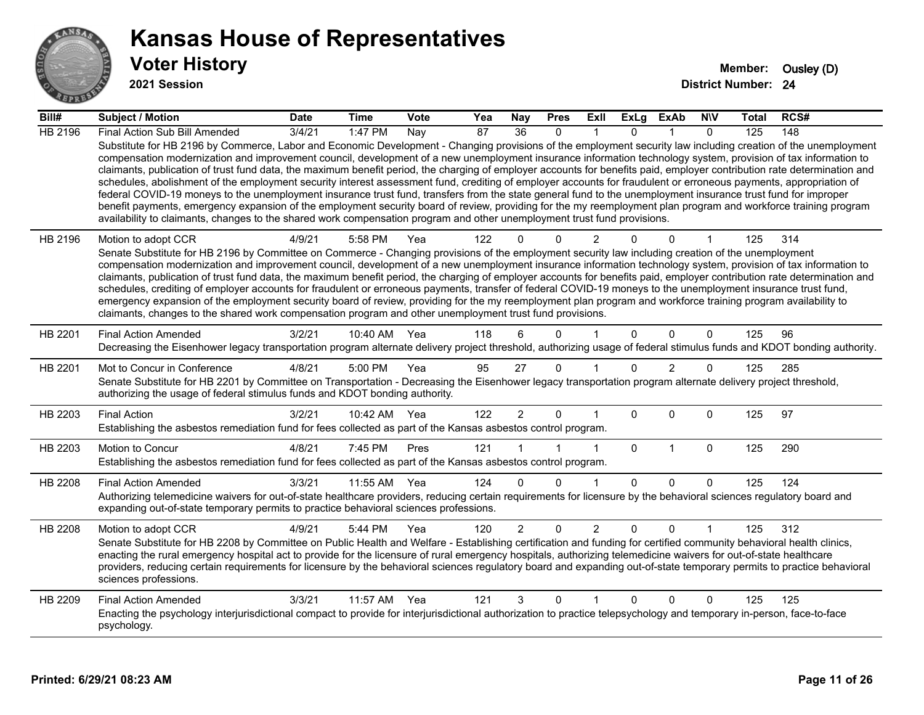

**2021 Session**

| Bill#   | <b>Subject / Motion</b>                                                                                                                                                                                                                                                                                                                                                                                                                                                                                                                                                                                                                                                                                                                                                                                                                                                                                                                                                                                                                                                                                                                           | <b>Date</b>     | <b>Time</b>  | <b>Vote</b> | Yea             | Nay             | <b>Pres</b>  | ExII           | <b>ExLg</b>  | ExAb           | <b>NIV</b>   | Total | RCS# |
|---------|---------------------------------------------------------------------------------------------------------------------------------------------------------------------------------------------------------------------------------------------------------------------------------------------------------------------------------------------------------------------------------------------------------------------------------------------------------------------------------------------------------------------------------------------------------------------------------------------------------------------------------------------------------------------------------------------------------------------------------------------------------------------------------------------------------------------------------------------------------------------------------------------------------------------------------------------------------------------------------------------------------------------------------------------------------------------------------------------------------------------------------------------------|-----------------|--------------|-------------|-----------------|-----------------|--------------|----------------|--------------|----------------|--------------|-------|------|
| HB 2196 | Final Action Sub Bill Amended                                                                                                                                                                                                                                                                                                                                                                                                                                                                                                                                                                                                                                                                                                                                                                                                                                                                                                                                                                                                                                                                                                                     | $\sqrt{3}/4/21$ | 1:47 PM      | Nay         | $\overline{87}$ | $\overline{36}$ | $\Omega$     |                | $\Omega$     |                | $\Omega$     | 125   | 148  |
|         | Substitute for HB 2196 by Commerce, Labor and Economic Development - Changing provisions of the employment security law including creation of the unemployment<br>compensation modernization and improvement council, development of a new unemployment insurance information technology system, provision of tax information to<br>claimants, publication of trust fund data, the maximum benefit period, the charging of employer accounts for benefits paid, employer contribution rate determination and<br>schedules, abolishment of the employment security interest assessment fund, crediting of employer accounts for fraudulent or erroneous payments, appropriation of<br>federal COVID-19 moneys to the unemployment insurance trust fund, transfers from the state general fund to the unemployment insurance trust fund for improper<br>benefit payments, emergency expansion of the employment security board of review, providing for the my reemployment plan program and workforce training program<br>availability to claimants, changes to the shared work compensation program and other unemployment trust fund provisions. |                 |              |             |                 |                 |              |                |              |                |              |       |      |
| HB 2196 | Motion to adopt CCR                                                                                                                                                                                                                                                                                                                                                                                                                                                                                                                                                                                                                                                                                                                                                                                                                                                                                                                                                                                                                                                                                                                               | 4/9/21          | 5:58 PM      | Yea         | 122             |                 | $\Omega$     | 2              |              | 0              |              | 125   | 314  |
|         | Senate Substitute for HB 2196 by Committee on Commerce - Changing provisions of the employment security law including creation of the unemployment                                                                                                                                                                                                                                                                                                                                                                                                                                                                                                                                                                                                                                                                                                                                                                                                                                                                                                                                                                                                |                 |              |             |                 |                 |              |                |              |                |              |       |      |
|         | compensation modernization and improvement council, development of a new unemployment insurance information technology system, provision of tax information to<br>claimants, publication of trust fund data, the maximum benefit period, the charging of employer accounts for benefits paid, employer contribution rate determination and                                                                                                                                                                                                                                                                                                                                                                                                                                                                                                                                                                                                                                                                                                                                                                                                        |                 |              |             |                 |                 |              |                |              |                |              |       |      |
|         | schedules, crediting of employer accounts for fraudulent or erroneous payments, transfer of federal COVID-19 moneys to the unemployment insurance trust fund,                                                                                                                                                                                                                                                                                                                                                                                                                                                                                                                                                                                                                                                                                                                                                                                                                                                                                                                                                                                     |                 |              |             |                 |                 |              |                |              |                |              |       |      |
|         | emergency expansion of the employment security board of review, providing for the my reemployment plan program and workforce training program availability to<br>claimants, changes to the shared work compensation program and other unemployment trust fund provisions.                                                                                                                                                                                                                                                                                                                                                                                                                                                                                                                                                                                                                                                                                                                                                                                                                                                                         |                 |              |             |                 |                 |              |                |              |                |              |       |      |
|         |                                                                                                                                                                                                                                                                                                                                                                                                                                                                                                                                                                                                                                                                                                                                                                                                                                                                                                                                                                                                                                                                                                                                                   |                 |              |             |                 |                 |              |                |              |                |              |       |      |
| HB 2201 | <b>Final Action Amended</b>                                                                                                                                                                                                                                                                                                                                                                                                                                                                                                                                                                                                                                                                                                                                                                                                                                                                                                                                                                                                                                                                                                                       | 3/2/21          | 10:40 AM     | Yea         | 118             | 6               | $\Omega$     |                | $\Omega$     | $\Omega$       | $\mathbf{0}$ | 125   | 96   |
|         | Decreasing the Eisenhower legacy transportation program alternate delivery project threshold, authorizing usage of federal stimulus funds and KDOT bonding authority.                                                                                                                                                                                                                                                                                                                                                                                                                                                                                                                                                                                                                                                                                                                                                                                                                                                                                                                                                                             |                 |              |             |                 |                 |              |                |              |                |              |       |      |
| HB 2201 | Mot to Concur in Conference                                                                                                                                                                                                                                                                                                                                                                                                                                                                                                                                                                                                                                                                                                                                                                                                                                                                                                                                                                                                                                                                                                                       | 4/8/21          | 5:00 PM      | Yea         | 95              | 27              | $\mathbf{0}$ |                | $\Omega$     | $\overline{2}$ | 0            | 125   | 285  |
|         | Senate Substitute for HB 2201 by Committee on Transportation - Decreasing the Eisenhower legacy transportation program alternate delivery project threshold,<br>authorizing the usage of federal stimulus funds and KDOT bonding authority.                                                                                                                                                                                                                                                                                                                                                                                                                                                                                                                                                                                                                                                                                                                                                                                                                                                                                                       |                 |              |             |                 |                 |              |                |              |                |              |       |      |
| HB 2203 | <b>Final Action</b>                                                                                                                                                                                                                                                                                                                                                                                                                                                                                                                                                                                                                                                                                                                                                                                                                                                                                                                                                                                                                                                                                                                               | 3/2/21          | 10:42 AM Yea |             | 122             | $\overline{2}$  | $\mathbf 0$  |                | $\Omega$     | $\Omega$       | $\mathbf{0}$ | 125   | 97   |
|         | Establishing the asbestos remediation fund for fees collected as part of the Kansas asbestos control program.                                                                                                                                                                                                                                                                                                                                                                                                                                                                                                                                                                                                                                                                                                                                                                                                                                                                                                                                                                                                                                     |                 |              |             |                 |                 |              |                |              |                |              |       |      |
| HB 2203 | Motion to Concur                                                                                                                                                                                                                                                                                                                                                                                                                                                                                                                                                                                                                                                                                                                                                                                                                                                                                                                                                                                                                                                                                                                                  | 4/8/21          | 7:45 PM      | Pres        | 121             |                 |              | 1              | $\mathbf{0}$ | $\mathbf{1}$   | $\mathbf 0$  | 125   | 290  |
|         | Establishing the asbestos remediation fund for fees collected as part of the Kansas asbestos control program.                                                                                                                                                                                                                                                                                                                                                                                                                                                                                                                                                                                                                                                                                                                                                                                                                                                                                                                                                                                                                                     |                 |              |             |                 |                 |              |                |              |                |              |       |      |
| HB 2208 | <b>Final Action Amended</b>                                                                                                                                                                                                                                                                                                                                                                                                                                                                                                                                                                                                                                                                                                                                                                                                                                                                                                                                                                                                                                                                                                                       | 3/3/21          | 11:55 AM     | Yea         | 124             | $\Omega$        | $\Omega$     | 1              | $\Omega$     | $\Omega$       | $\Omega$     | 125   | 124  |
|         | Authorizing telemedicine waivers for out-of-state healthcare providers, reducing certain requirements for licensure by the behavioral sciences regulatory board and                                                                                                                                                                                                                                                                                                                                                                                                                                                                                                                                                                                                                                                                                                                                                                                                                                                                                                                                                                               |                 |              |             |                 |                 |              |                |              |                |              |       |      |
|         | expanding out-of-state temporary permits to practice behavioral sciences professions.                                                                                                                                                                                                                                                                                                                                                                                                                                                                                                                                                                                                                                                                                                                                                                                                                                                                                                                                                                                                                                                             |                 |              |             |                 |                 |              |                |              |                |              |       |      |
| HB 2208 | Motion to adopt CCR                                                                                                                                                                                                                                                                                                                                                                                                                                                                                                                                                                                                                                                                                                                                                                                                                                                                                                                                                                                                                                                                                                                               | 4/9/21          | 5:44 PM      | Yea         | 120             | $\overline{2}$  | $\mathbf 0$  | $\overline{2}$ | $\Omega$     | $\Omega$       |              | 125   | 312  |
|         | Senate Substitute for HB 2208 by Committee on Public Health and Welfare - Establishing certification and funding for certified community behavioral health clinics,<br>enacting the rural emergency hospital act to provide for the licensure of rural emergency hospitals, authorizing telemedicine waivers for out-of-state healthcare                                                                                                                                                                                                                                                                                                                                                                                                                                                                                                                                                                                                                                                                                                                                                                                                          |                 |              |             |                 |                 |              |                |              |                |              |       |      |
|         | providers, reducing certain requirements for licensure by the behavioral sciences regulatory board and expanding out-of-state temporary permits to practice behavioral                                                                                                                                                                                                                                                                                                                                                                                                                                                                                                                                                                                                                                                                                                                                                                                                                                                                                                                                                                            |                 |              |             |                 |                 |              |                |              |                |              |       |      |
|         | sciences professions.                                                                                                                                                                                                                                                                                                                                                                                                                                                                                                                                                                                                                                                                                                                                                                                                                                                                                                                                                                                                                                                                                                                             |                 |              |             |                 |                 |              |                |              |                |              |       |      |
| HB 2209 | <b>Final Action Amended</b>                                                                                                                                                                                                                                                                                                                                                                                                                                                                                                                                                                                                                                                                                                                                                                                                                                                                                                                                                                                                                                                                                                                       | 3/3/21          | 11:57 AM     | Yea         | 121             | 3               | $\mathbf{0}$ | 1              | $\Omega$     | $\Omega$       | $\mathbf{0}$ | 125   | 125  |
|         | Enacting the psychology interjurisdictional compact to provide for interjurisdictional authorization to practice telepsychology and temporary in-person, face-to-face<br>psychology.                                                                                                                                                                                                                                                                                                                                                                                                                                                                                                                                                                                                                                                                                                                                                                                                                                                                                                                                                              |                 |              |             |                 |                 |              |                |              |                |              |       |      |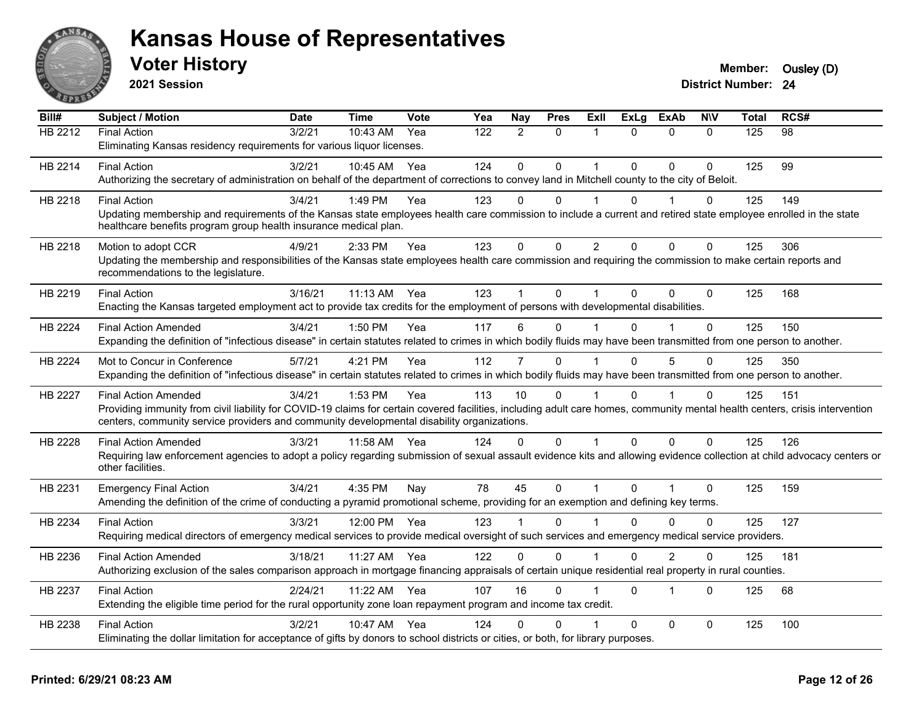

**2021 Session**

| Bill#   | <b>Subject / Motion</b>                                                                                                                                                      | <b>Date</b> | <b>Time</b>  | Vote | Yea | Nay            | <b>Pres</b>  | Exll           | <b>ExLg</b> | <b>ExAb</b>  | <b>NIV</b>   | <b>Total</b> | RCS# |
|---------|------------------------------------------------------------------------------------------------------------------------------------------------------------------------------|-------------|--------------|------|-----|----------------|--------------|----------------|-------------|--------------|--------------|--------------|------|
| HB 2212 | <b>Final Action</b>                                                                                                                                                          | 3/2/21      | $10:43$ AM   | Yea  | 122 | $\mathcal{P}$  | $\Omega$     |                | $\Omega$    | $\Omega$     | $\Omega$     | 125          | 98   |
|         | Eliminating Kansas residency requirements for various liquor licenses.                                                                                                       |             |              |      |     |                |              |                |             |              |              |              |      |
| HB 2214 | <b>Final Action</b>                                                                                                                                                          | 3/2/21      | 10:45 AM     | Yea  | 124 | $\Omega$       | $\Omega$     | 1              | $\Omega$    | $\Omega$     | $\Omega$     | 125          | 99   |
|         | Authorizing the secretary of administration on behalf of the department of corrections to convey land in Mitchell county to the city of Beloit.                              |             |              |      |     |                |              |                |             |              |              |              |      |
| HB 2218 | <b>Final Action</b>                                                                                                                                                          | 3/4/21      | 1:49 PM      | Yea  | 123 | $\Omega$       | $\Omega$     |                | $\Omega$    |              | $\Omega$     | 125          | 149  |
|         | Updating membership and requirements of the Kansas state employees health care commission to include a current and retired state employee enrolled in the state              |             |              |      |     |                |              |                |             |              |              |              |      |
|         | healthcare benefits program group health insurance medical plan.                                                                                                             |             |              |      |     |                |              |                |             |              |              |              |      |
| HB 2218 | Motion to adopt CCR                                                                                                                                                          | 4/9/21      | 2:33 PM      | Yea  | 123 | $\Omega$       | $\Omega$     | $\overline{2}$ | $\Omega$    | $\Omega$     | $\mathbf{0}$ | 125          | 306  |
|         | Updating the membership and responsibilities of the Kansas state employees health care commission and requiring the commission to make certain reports and                   |             |              |      |     |                |              |                |             |              |              |              |      |
|         | recommendations to the legislature.                                                                                                                                          |             |              |      |     |                |              |                |             |              |              |              |      |
| HB 2219 | <b>Final Action</b>                                                                                                                                                          | 3/16/21     | 11:13 AM Yea |      | 123 |                | $\Omega$     |                | $\Omega$    | $\Omega$     | $\Omega$     | 125          | 168  |
|         | Enacting the Kansas targeted employment act to provide tax credits for the employment of persons with developmental disabilities.                                            |             |              |      |     |                |              |                |             |              |              |              |      |
| HB 2224 | <b>Final Action Amended</b>                                                                                                                                                  | 3/4/21      | 1:50 PM      | Yea  | 117 | 6              | $\Omega$     |                | $\Omega$    |              | $\Omega$     | 125          | 150  |
|         | Expanding the definition of "infectious disease" in certain statutes related to crimes in which bodily fluids may have been transmitted from one person to another.          |             |              |      |     |                |              |                |             |              |              |              |      |
| HB 2224 | Mot to Concur in Conference                                                                                                                                                  | 5/7/21      | 4:21 PM      | Yea  | 112 | $\overline{7}$ | $\Omega$     |                | $\Omega$    | 5            | $\Omega$     | 125          | 350  |
|         | Expanding the definition of "infectious disease" in certain statutes related to crimes in which bodily fluids may have been transmitted from one person to another.          |             |              |      |     |                |              |                |             |              |              |              |      |
| HB 2227 | <b>Final Action Amended</b>                                                                                                                                                  | 3/4/21      | 1:53 PM      | Yea  | 113 | 10             | $\Omega$     |                | $\Omega$    |              | $\Omega$     | 125          | 151  |
|         | Providing immunity from civil liability for COVID-19 claims for certain covered facilities, including adult care homes, community mental health centers, crisis intervention |             |              |      |     |                |              |                |             |              |              |              |      |
|         | centers, community service providers and community developmental disability organizations.                                                                                   |             |              |      |     |                |              |                |             |              |              |              |      |
| HB 2228 | <b>Final Action Amended</b>                                                                                                                                                  | 3/3/21      | 11:58 AM     | Yea  | 124 | $\Omega$       | $\Omega$     |                | $\Omega$    | $\Omega$     | $\Omega$     | 125          | 126  |
|         | Requiring law enforcement agencies to adopt a policy regarding submission of sexual assault evidence kits and allowing evidence collection at child advocacy centers or      |             |              |      |     |                |              |                |             |              |              |              |      |
|         | other facilities.                                                                                                                                                            |             |              |      |     |                |              |                |             |              |              |              |      |
| HB 2231 | <b>Emergency Final Action</b>                                                                                                                                                | 3/4/21      | 4:35 PM      | Nay  | 78  | 45             | $\mathbf{0}$ |                | $\Omega$    |              | 0            | 125          | 159  |
|         | Amending the definition of the crime of conducting a pyramid promotional scheme, providing for an exemption and defining key terms.                                          |             |              |      |     |                |              |                |             |              |              |              |      |
| HB 2234 | <b>Final Action</b>                                                                                                                                                          | 3/3/21      | 12:00 PM     | Yea  | 123 |                | $\Omega$     |                | $\Omega$    | $\Omega$     | $\Omega$     | 125          | 127  |
|         | Requiring medical directors of emergency medical services to provide medical oversight of such services and emergency medical service providers.                             |             |              |      |     |                |              |                |             |              |              |              |      |
| HB 2236 | <b>Final Action Amended</b>                                                                                                                                                  | 3/18/21     | 11:27 AM     | Yea  | 122 | $\Omega$       | $\Omega$     |                | $\Omega$    | 2            | 0            | 125          | 181  |
|         | Authorizing exclusion of the sales comparison approach in mortgage financing appraisals of certain unique residential real property in rural counties.                       |             |              |      |     |                |              |                |             |              |              |              |      |
| HB 2237 | <b>Final Action</b>                                                                                                                                                          | 2/24/21     | 11:22 AM     | Yea  | 107 | 16             | $\Omega$     |                | $\Omega$    | 1            | $\Omega$     | 125          | 68   |
|         | Extending the eligible time period for the rural opportunity zone loan repayment program and income tax credit.                                                              |             |              |      |     |                |              |                |             |              |              |              |      |
|         |                                                                                                                                                                              |             |              |      |     |                |              |                |             |              |              |              |      |
| HB 2238 | <b>Final Action</b>                                                                                                                                                          | 3/2/21      | 10:47 AM     | Yea  | 124 | n              | U            |                | $\Omega$    | $\mathbf{0}$ | $\Omega$     | 125          | 100  |
|         | Eliminating the dollar limitation for acceptance of gifts by donors to school districts or cities, or both, for library purposes.                                            |             |              |      |     |                |              |                |             |              |              |              |      |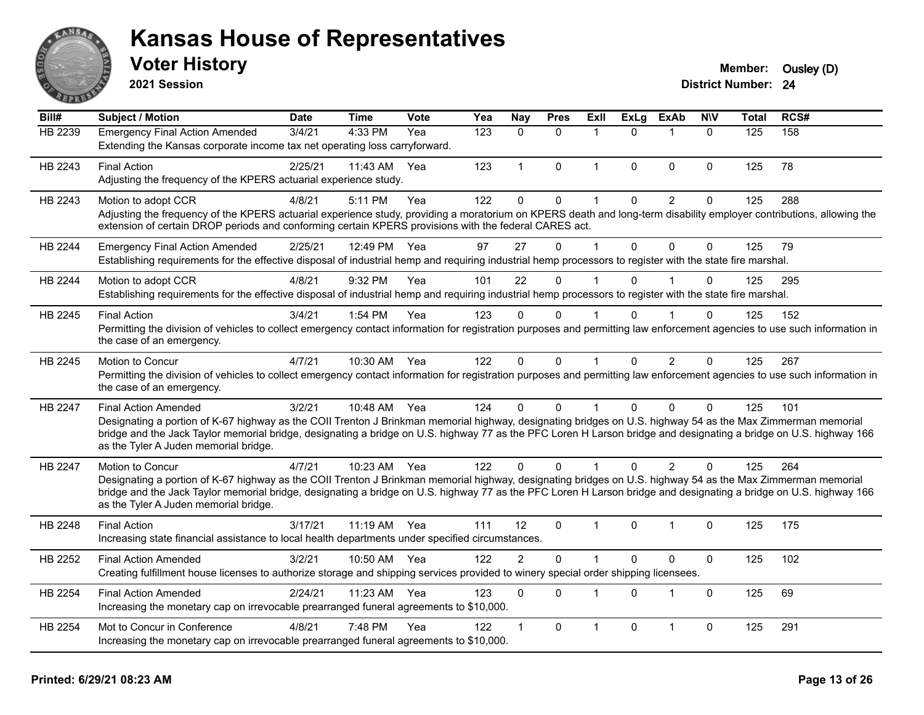

**2021 Session**

| Bill#   | Subject / Motion                                                                                                                                                                                                                                                                                                                                                                                         | <b>Date</b> | <b>Time</b>  | <b>Vote</b> | Yea              | <b>Nay</b>     | <b>Pres</b>  | ExII           | <b>ExLg</b>  | <b>ExAb</b>             | <b>NIV</b>   | Total | RCS# |
|---------|----------------------------------------------------------------------------------------------------------------------------------------------------------------------------------------------------------------------------------------------------------------------------------------------------------------------------------------------------------------------------------------------------------|-------------|--------------|-------------|------------------|----------------|--------------|----------------|--------------|-------------------------|--------------|-------|------|
| HB 2239 | <b>Emergency Final Action Amended</b><br>Extending the Kansas corporate income tax net operating loss carryforward.                                                                                                                                                                                                                                                                                      | 3/4/21      | 4:33 PM      | Yea         | $\overline{123}$ | $\Omega$       | $\Omega$     | $\overline{1}$ | $\Omega$     | $\overline{\mathbf{1}}$ | $\mathbf{0}$ | 125   | 158  |
| HB 2243 | <b>Final Action</b><br>Adjusting the frequency of the KPERS actuarial experience study.                                                                                                                                                                                                                                                                                                                  | 2/25/21     | 11:43 AM     | Yea         | 123              | $\mathbf{1}$   | $\Omega$     | $\mathbf 1$    | $\Omega$     | $\mathbf{0}$            | $\mathbf{0}$ | 125   | 78   |
| HB 2243 | Motion to adopt CCR<br>Adjusting the frequency of the KPERS actuarial experience study, providing a moratorium on KPERS death and long-term disability employer contributions, allowing the<br>extension of certain DROP periods and conforming certain KPERS provisions with the federal CARES act.                                                                                                     | 4/8/21      | 5:11 PM      | Yea         | 122              | 0              | 0            | 1              | 0            | $\overline{c}$          | $\pmb{0}$    | 125   | 288  |
| HB 2244 | <b>Emergency Final Action Amended</b><br>Establishing requirements for the effective disposal of industrial hemp and requiring industrial hemp processors to register with the state fire marshal.                                                                                                                                                                                                       | 2/25/21     | 12:49 PM     | Yea         | 97               | 27             | $\mathbf 0$  | $\overline{1}$ | $\mathbf{0}$ | $\mathbf 0$             | $\mathbf 0$  | 125   | 79   |
| HB 2244 | Motion to adopt CCR<br>Establishing requirements for the effective disposal of industrial hemp and requiring industrial hemp processors to register with the state fire marshal.                                                                                                                                                                                                                         | 4/8/21      | 9:32 PM      | Yea         | 101              | 22             | $\Omega$     |                | $\Omega$     |                         | $\Omega$     | 125   | 295  |
| HB 2245 | <b>Final Action</b><br>Permitting the division of vehicles to collect emergency contact information for registration purposes and permitting law enforcement agencies to use such information in<br>the case of an emergency.                                                                                                                                                                            | 3/4/21      | 1:54 PM      | Yea         | 123              | $\Omega$       | $\mathbf{0}$ |                | 0            |                         | $\Omega$     | 125   | 152  |
| HB 2245 | Motion to Concur<br>Permitting the division of vehicles to collect emergency contact information for registration purposes and permitting law enforcement agencies to use such information in<br>the case of an emergency.                                                                                                                                                                               | 4/7/21      | 10:30 AM     | Yea         | 122              | $\Omega$       | 0            | $\mathbf{1}$   | $\mathbf{0}$ | $\overline{2}$          | 0            | 125   | 267  |
| HB 2247 | <b>Final Action Amended</b><br>Designating a portion of K-67 highway as the COII Trenton J Brinkman memorial highway, designating bridges on U.S. highway 54 as the Max Zimmerman memorial<br>bridge and the Jack Taylor memorial bridge, designating a bridge on U.S. highway 77 as the PFC Loren H Larson bridge and designating a bridge on U.S. highway 166<br>as the Tyler A Juden memorial bridge. | 3/2/21      | 10:48 AM Yea |             | 124              | $\Omega$       | $\Omega$     | 1              | $\Omega$     | $\Omega$                | $\Omega$     | 125   | 101  |
| HB 2247 | Motion to Concur<br>Designating a portion of K-67 highway as the COII Trenton J Brinkman memorial highway, designating bridges on U.S. highway 54 as the Max Zimmerman memorial<br>bridge and the Jack Taylor memorial bridge, designating a bridge on U.S. highway 77 as the PFC Loren H Larson bridge and designating a bridge on U.S. highway 166<br>as the Tyler A Juden memorial bridge.            | 4/7/21      | 10:23 AM Yea |             | 122              | $\Omega$       | $\Omega$     |                | $\Omega$     | 2                       | $\Omega$     | 125   | 264  |
| HB 2248 | <b>Final Action</b><br>Increasing state financial assistance to local health departments under specified circumstances.                                                                                                                                                                                                                                                                                  | 3/17/21     | 11:19 AM Yea |             | 111              | 12             | 0            | $\overline{1}$ | $\Omega$     | $\overline{1}$          | 0            | 125   | 175  |
| HB 2252 | <b>Final Action Amended</b><br>Creating fulfillment house licenses to authorize storage and shipping services provided to winery special order shipping licensees.                                                                                                                                                                                                                                       | 3/2/21      | 10:50 AM     | Yea         | 122              | $\overline{c}$ | 0            | 1              | $\mathbf 0$  | $\mathbf 0$             | $\mathbf 0$  | 125   | 102  |
| HB 2254 | <b>Final Action Amended</b><br>Increasing the monetary cap on irrevocable prearranged funeral agreements to \$10,000.                                                                                                                                                                                                                                                                                    | 2/24/21     | 11:23 AM     | Yea         | 123              | $\Omega$       | $\Omega$     | 1              | $\Omega$     | $\mathbf{1}$            | $\mathbf{0}$ | 125   | 69   |
| HB 2254 | Mot to Concur in Conference<br>Increasing the monetary cap on irrevocable prearranged funeral agreements to \$10,000.                                                                                                                                                                                                                                                                                    | 4/8/21      | 7:48 PM      | Yea         | 122              | $\mathbf{1}$   | 0            | 1              | $\mathbf 0$  | $\overline{\mathbf{1}}$ | $\mathbf 0$  | 125   | 291  |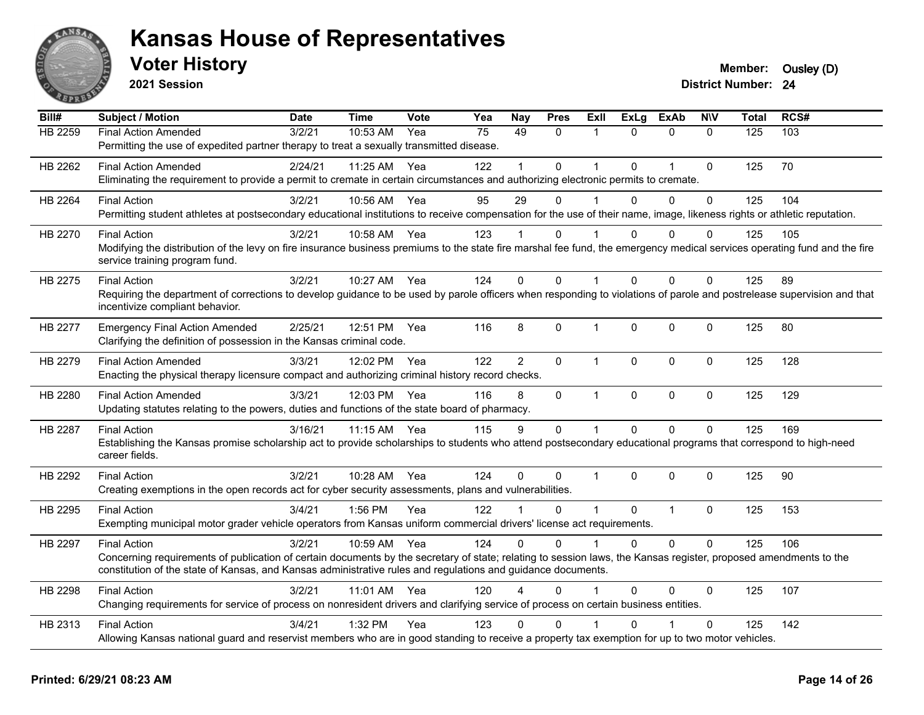

**2021 Session**

| Bill#          | <b>Subject / Motion</b>                                                                                                                                                   | <b>Date</b> | <b>Time</b> | <b>Vote</b> | Yea | <b>Nay</b>     | <b>Pres</b>  | ExII           | <b>ExLg</b>  | <b>ExAb</b>  | <b>NIV</b>   | <b>Total</b>   | RCS# |
|----------------|---------------------------------------------------------------------------------------------------------------------------------------------------------------------------|-------------|-------------|-------------|-----|----------------|--------------|----------------|--------------|--------------|--------------|----------------|------|
| <b>HB 2259</b> | <b>Final Action Amended</b>                                                                                                                                               | 3/2/21      | 10:53 AM    | Yea         | 75  | 49             | $\Omega$     | 1              | $\Omega$     | $\Omega$     | $\Omega$     | $\frac{1}{25}$ | 103  |
|                | Permitting the use of expedited partner therapy to treat a sexually transmitted disease.                                                                                  |             |             |             |     |                |              |                |              |              |              |                |      |
| HB 2262        | <b>Final Action Amended</b>                                                                                                                                               | 2/24/21     | 11:25 AM    | Yea         | 122 |                | $\Omega$     |                | $\Omega$     | 1            | $\mathbf 0$  | 125            | 70   |
|                | Eliminating the requirement to provide a permit to cremate in certain circumstances and authorizing electronic permits to cremate.                                        |             |             |             |     |                |              |                |              |              |              |                |      |
| HB 2264        | <b>Final Action</b>                                                                                                                                                       | 3/2/21      | 10:56 AM    | Yea         | 95  | 29             | $\Omega$     |                | $\Omega$     | $\Omega$     | $\mathbf{0}$ | 125            | 104  |
|                | Permitting student athletes at postsecondary educational institutions to receive compensation for the use of their name, image, likeness rights or athletic reputation.   |             |             |             |     |                |              |                |              |              |              |                |      |
| HB 2270        | <b>Final Action</b>                                                                                                                                                       | 3/2/21      | 10:58 AM    | Yea         | 123 |                | 0            |                | 0            | $\Omega$     | $\Omega$     | 125            | 105  |
|                | Modifying the distribution of the levy on fire insurance business premiums to the state fire marshal fee fund, the emergency medical services operating fund and the fire |             |             |             |     |                |              |                |              |              |              |                |      |
|                | service training program fund.                                                                                                                                            |             |             |             |     |                |              |                |              |              |              |                |      |
| HB 2275        | <b>Final Action</b>                                                                                                                                                       | 3/2/21      | 10:27 AM    | Yea         | 124 | $\Omega$       | $\Omega$     | $\overline{1}$ | $\Omega$     | $\Omega$     | $\mathbf{0}$ | 125            | 89   |
|                | Requiring the department of corrections to develop guidance to be used by parole officers when responding to violations of parole and postrelease supervision and that    |             |             |             |     |                |              |                |              |              |              |                |      |
|                | incentivize compliant behavior.                                                                                                                                           |             |             |             |     |                |              |                |              |              |              |                |      |
| HB 2277        | <b>Emergency Final Action Amended</b>                                                                                                                                     | 2/25/21     | 12:51 PM    | Yea         | 116 | 8              | 0            | $\overline{1}$ | $\Omega$     | $\Omega$     | $\mathbf 0$  | 125            | 80   |
|                | Clarifying the definition of possession in the Kansas criminal code.                                                                                                      |             |             |             |     |                |              |                |              |              |              |                |      |
| HB 2279        | <b>Final Action Amended</b>                                                                                                                                               | 3/3/21      | 12:02 PM    | Yea         | 122 | $\overline{2}$ | $\mathsf{O}$ | $\mathbf{1}$   | $\mathbf{0}$ | $\mathbf{0}$ | $\mathbf{0}$ | 125            | 128  |
|                | Enacting the physical therapy licensure compact and authorizing criminal history record checks.                                                                           |             |             |             |     |                |              |                |              |              |              |                |      |
| HB 2280        | <b>Final Action Amended</b>                                                                                                                                               | 3/3/21      | 12:03 PM    | Yea         | 116 | 8              | $\mathbf 0$  | $\mathbf{1}$   | 0            | $\mathbf 0$  | $\mathbf 0$  | 125            | 129  |
|                | Updating statutes relating to the powers, duties and functions of the state board of pharmacy.                                                                            |             |             |             |     |                |              |                |              |              |              |                |      |
| HB 2287        | <b>Final Action</b>                                                                                                                                                       | 3/16/21     | 11:15 AM    | Yea         | 115 | 9              | $\mathbf{0}$ | $\mathbf{1}$   | $\Omega$     | $\Omega$     | $\mathbf{0}$ | 125            | 169  |
|                | Establishing the Kansas promise scholarship act to provide scholarships to students who attend postsecondary educational programs that correspond to high-need            |             |             |             |     |                |              |                |              |              |              |                |      |
|                | career fields.                                                                                                                                                            |             |             |             |     |                |              |                |              |              |              |                |      |
| HB 2292        | <b>Final Action</b>                                                                                                                                                       | 3/2/21      | 10:28 AM    | Yea         | 124 | $\Omega$       | 0            | $\mathbf{1}$   | $\Omega$     | $\Omega$     | $\mathbf{0}$ | 125            | 90   |
|                | Creating exemptions in the open records act for cyber security assessments, plans and vulnerabilities.                                                                    |             |             |             |     |                |              |                |              |              |              |                |      |
| HB 2295        | <b>Final Action</b>                                                                                                                                                       | 3/4/21      | 1:56 PM     | Yea         | 122 |                | 0            | $\mathbf{1}$   | $\mathbf 0$  | $\mathbf{1}$ | $\mathbf 0$  | 125            | 153  |
|                | Exempting municipal motor grader vehicle operators from Kansas uniform commercial drivers' license act requirements.                                                      |             |             |             |     |                |              |                |              |              |              |                |      |
| HB 2297        | <b>Final Action</b>                                                                                                                                                       | 3/2/21      | 10:59 AM    | Yea         | 124 | $\Omega$       | $\Omega$     | $\mathbf{1}$   | $\Omega$     | $\Omega$     | $\Omega$     | 125            | 106  |
|                | Concerning requirements of publication of certain documents by the secretary of state; relating to session laws, the Kansas register, proposed amendments to the          |             |             |             |     |                |              |                |              |              |              |                |      |
|                | constitution of the state of Kansas, and Kansas administrative rules and regulations and guidance documents.                                                              |             |             |             |     |                |              |                |              |              |              |                |      |
| HB 2298        | <b>Final Action</b>                                                                                                                                                       | 3/2/21      | 11:01 AM    | Yea         | 120 | 4              | $\Omega$     |                | $\Omega$     | $\mathbf 0$  | $\mathbf{0}$ | 125            | 107  |
|                | Changing requirements for service of process on nonresident drivers and clarifying service of process on certain business entities.                                       |             |             |             |     |                |              |                |              |              |              |                |      |
| HB 2313        | <b>Final Action</b>                                                                                                                                                       | 3/4/21      | 1:32 PM     | Yea         | 123 | 0              | 0            |                | n            |              | $\mathbf{0}$ | 125            | 142  |
|                | Allowing Kansas national guard and reservist members who are in good standing to receive a property tax exemption for up to two motor vehicles.                           |             |             |             |     |                |              |                |              |              |              |                |      |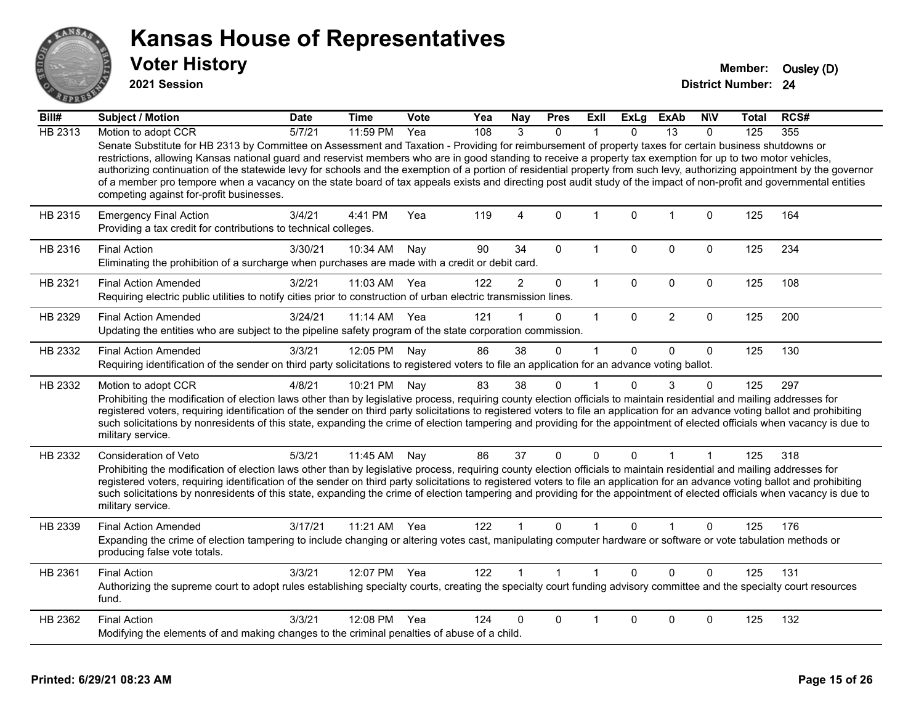

**2021 Session**

| Bill#          | <b>Subject / Motion</b>                                                                                                                                                                                                                                                                                                                                                                                                                                                                                                                                                                                                                                                                                                   | <b>Date</b> | Time       | Vote | Yea | <b>Nay</b>     | <b>Pres</b>    | Exll         | ExLg     | <b>ExAb</b>     | <b>NIV</b>  | <b>Total</b> | RCS# |
|----------------|---------------------------------------------------------------------------------------------------------------------------------------------------------------------------------------------------------------------------------------------------------------------------------------------------------------------------------------------------------------------------------------------------------------------------------------------------------------------------------------------------------------------------------------------------------------------------------------------------------------------------------------------------------------------------------------------------------------------------|-------------|------------|------|-----|----------------|----------------|--------------|----------|-----------------|-------------|--------------|------|
| <b>HB 2313</b> | Motion to adopt CCR                                                                                                                                                                                                                                                                                                                                                                                                                                                                                                                                                                                                                                                                                                       | 5/7/21      | 11:59 PM   | Yea  | 108 | 3              | $\mathbf{0}$   |              | $\Omega$ | $\overline{13}$ | $\Omega$    | 125          | 355  |
|                | Senate Substitute for HB 2313 by Committee on Assessment and Taxation - Providing for reimbursement of property taxes for certain business shutdowns or<br>restrictions, allowing Kansas national guard and reservist members who are in good standing to receive a property tax exemption for up to two motor vehicles,<br>authorizing continuation of the statewide levy for schools and the exemption of a portion of residential property from such levy, authorizing appointment by the governor<br>of a member pro tempore when a vacancy on the state board of tax appeals exists and directing post audit study of the impact of non-profit and governmental entities<br>competing against for-profit businesses. |             |            |      |     |                |                |              |          |                 |             |              |      |
| HB 2315        | <b>Emergency Final Action</b><br>Providing a tax credit for contributions to technical colleges.                                                                                                                                                                                                                                                                                                                                                                                                                                                                                                                                                                                                                          | 3/4/21      | 4:41 PM    | Yea  | 119 | $\overline{4}$ | $\mathbf{0}$   | $\mathbf{1}$ | $\Omega$ | $\mathbf{1}$    | $\Omega$    | 125          | 164  |
| HB 2316        | <b>Final Action</b><br>Eliminating the prohibition of a surcharge when purchases are made with a credit or debit card.                                                                                                                                                                                                                                                                                                                                                                                                                                                                                                                                                                                                    | 3/30/21     | 10:34 AM   | Nay  | 90  | 34             | $\mathbf 0$    | 1            | $\Omega$ | $\mathbf 0$     | 0           | 125          | 234  |
| HB 2321        | <b>Final Action Amended</b><br>Requiring electric public utilities to notify cities prior to construction of urban electric transmission lines.                                                                                                                                                                                                                                                                                                                                                                                                                                                                                                                                                                           | 3/2/21      | 11:03 AM   | Yea  | 122 | $\overline{2}$ | $\mathbf 0$    | $\mathbf{1}$ | $\Omega$ | $\mathbf 0$     | $\Omega$    | 125          | 108  |
| HB 2329        | <b>Final Action Amended</b><br>Updating the entities who are subject to the pipeline safety program of the state corporation commission.                                                                                                                                                                                                                                                                                                                                                                                                                                                                                                                                                                                  | 3/24/21     | $11:14$ AM | Yea  | 121 |                | $\mathbf 0$    | $\mathbf 1$  | $\Omega$ | $\overline{2}$  | $\Omega$    | 125          | 200  |
| HB 2332        | <b>Final Action Amended</b><br>Requiring identification of the sender on third party solicitations to registered voters to file an application for an advance voting ballot.                                                                                                                                                                                                                                                                                                                                                                                                                                                                                                                                              | 3/3/21      | 12:05 PM   | Nay  | 86  | 38             | $\mathbf 0$    | 1            | $\Omega$ | $\mathbf 0$     | $\mathbf 0$ | 125          | 130  |
| HB 2332        | Motion to adopt CCR<br>Prohibiting the modification of election laws other than by legislative process, requiring county election officials to maintain residential and mailing addresses for<br>registered voters, requiring identification of the sender on third party solicitations to registered voters to file an application for an advance voting ballot and prohibiting<br>such solicitations by nonresidents of this state, expanding the crime of election tampering and providing for the appointment of elected officials when vacancy is due to<br>military service.                                                                                                                                        | 4/8/21      | 10:21 PM   | Nay  | 83  | 38             | $\mathbf 0$    | 1            | $\Omega$ | 3               | $\Omega$    | 125          | 297  |
| HB 2332        | Consideration of Veto<br>Prohibiting the modification of election laws other than by legislative process, requiring county election officials to maintain residential and mailing addresses for<br>registered voters, requiring identification of the sender on third party solicitations to registered voters to file an application for an advance voting ballot and prohibiting<br>such solicitations by nonresidents of this state, expanding the crime of election tampering and providing for the appointment of elected officials when vacancy is due to<br>military service.                                                                                                                                      | 5/3/21      | 11:45 AM   | Nay  | 86  | 37             | $\mathbf{0}$   | $\Omega$     | $\Omega$ | 1               | $\mathbf 1$ | 125          | 318  |
| HB 2339        | <b>Final Action Amended</b><br>Expanding the crime of election tampering to include changing or altering votes cast, manipulating computer hardware or software or vote tabulation methods or<br>producing false vote totals.                                                                                                                                                                                                                                                                                                                                                                                                                                                                                             | 3/17/21     | 11:21 AM   | Yea  | 122 |                | $\mathbf{0}$   |              | $\Omega$ |                 | $\Omega$    | 125          | 176  |
| HB 2361        | <b>Final Action</b><br>Authorizing the supreme court to adopt rules establishing specialty courts, creating the specialty court funding advisory committee and the specialty court resources<br>fund.                                                                                                                                                                                                                                                                                                                                                                                                                                                                                                                     | 3/3/21      | 12:07 PM   | Yea  | 122 |                | $\overline{1}$ | $\mathbf{1}$ | $\Omega$ | $\Omega$        | $\Omega$    | 125          | 131  |
| HB 2362        | <b>Final Action</b><br>Modifying the elements of and making changes to the criminal penalties of abuse of a child.                                                                                                                                                                                                                                                                                                                                                                                                                                                                                                                                                                                                        | 3/3/21      | 12:08 PM   | Yea  | 124 | 0              | $\Omega$       |              | $\Omega$ | $\mathbf 0$     | 0           | 125          | 132  |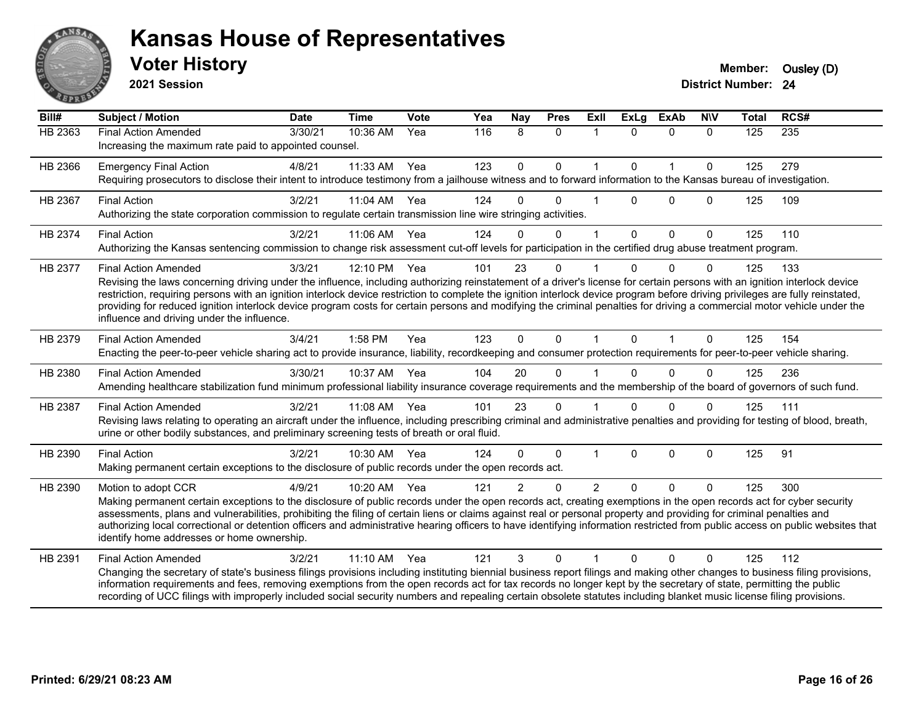

**2021 Session**

| $\overline{Bill#}$ | <b>Subject / Motion</b>                                                                                                                                                                                                                                                                                                                                                                                                                                                                                                                                                                                             | <b>Date</b> | <b>Time</b>  | Vote | Yea | Nay           | <b>Pres</b> | Exll           | <b>ExLg</b> | <b>ExAb</b>  | <b>NIV</b>   | <b>Total</b> | RCS# |
|--------------------|---------------------------------------------------------------------------------------------------------------------------------------------------------------------------------------------------------------------------------------------------------------------------------------------------------------------------------------------------------------------------------------------------------------------------------------------------------------------------------------------------------------------------------------------------------------------------------------------------------------------|-------------|--------------|------|-----|---------------|-------------|----------------|-------------|--------------|--------------|--------------|------|
| HB 2363            | <b>Final Action Amended</b><br>Increasing the maximum rate paid to appointed counsel.                                                                                                                                                                                                                                                                                                                                                                                                                                                                                                                               | 3/30/21     | 10:36 AM     | Yea  | 116 | 8             | $\Omega$    | $\mathbf{1}$   | $\Omega$    | $\Omega$     | $\Omega$     | 125          | 235  |
| HB 2366            | <b>Emergency Final Action</b><br>Requiring prosecutors to disclose their intent to introduce testimony from a jailhouse witness and to forward information to the Kansas bureau of investigation.                                                                                                                                                                                                                                                                                                                                                                                                                   | 4/8/21      | 11:33 AM     | Yea  | 123 | $\mathbf 0$   | $\mathbf 0$ | 1              | $\Omega$    | $\mathbf{1}$ | $\mathbf{0}$ | 125          | 279  |
| HB 2367            | <b>Final Action</b><br>Authorizing the state corporation commission to regulate certain transmission line wire stringing activities.                                                                                                                                                                                                                                                                                                                                                                                                                                                                                | 3/2/21      | 11:04 AM Yea |      | 124 | $\Omega$      | $\Omega$    |                | $\Omega$    | $\Omega$     | $\Omega$     | 125          | 109  |
| HB 2374            | <b>Final Action</b><br>Authorizing the Kansas sentencing commission to change risk assessment cut-off levels for participation in the certified drug abuse treatment program.                                                                                                                                                                                                                                                                                                                                                                                                                                       | 3/2/21      | 11:06 AM Yea |      | 124 | $\Omega$      | $\Omega$    | 1              | $\Omega$    | $\Omega$     | $\mathbf{0}$ | 125          | 110  |
| HB 2377            | <b>Final Action Amended</b><br>Revising the laws concerning driving under the influence, including authorizing reinstatement of a driver's license for certain persons with an ignition interlock device<br>restriction, requiring persons with an ignition interlock device restriction to complete the ignition interlock device program before driving privileges are fully reinstated,<br>providing for reduced ignition interlock device program costs for certain persons and modifying the criminal penalties for driving a commercial motor vehicle under the<br>influence and driving under the influence. | 3/3/21      | 12:10 PM     | Yea  | 101 | 23            | $\Omega$    |                | $\Omega$    | $\Omega$     | $\Omega$     | 125          | 133  |
| HB 2379            | <b>Final Action Amended</b><br>Enacting the peer-to-peer vehicle sharing act to provide insurance, liability, recordkeeping and consumer protection requirements for peer-to-peer vehicle sharing.                                                                                                                                                                                                                                                                                                                                                                                                                  | 3/4/21      | 1:58 PM      | Yea  | 123 | $\Omega$      | $\Omega$    | $\mathbf 1$    | $\Omega$    | $\mathbf{1}$ | $\Omega$     | 125          | 154  |
| HB 2380            | <b>Final Action Amended</b><br>Amending healthcare stabilization fund minimum professional liability insurance coverage requirements and the membership of the board of governors of such fund.                                                                                                                                                                                                                                                                                                                                                                                                                     | 3/30/21     | 10:37 AM     | Yea  | 104 | 20            | $\Omega$    |                |             | $\Omega$     | $\Omega$     | 125          | 236  |
| HB 2387            | <b>Final Action Amended</b><br>Revising laws relating to operating an aircraft under the influence, including prescribing criminal and administrative penalties and providing for testing of blood, breath,<br>urine or other bodily substances, and preliminary screening tests of breath or oral fluid.                                                                                                                                                                                                                                                                                                           | 3/2/21      | 11:08 AM     | Yea  | 101 | 23            | $\Omega$    |                | $\Omega$    | $\Omega$     | $\Omega$     | 125          | 111  |
| HB 2390            | <b>Final Action</b><br>Making permanent certain exceptions to the disclosure of public records under the open records act.                                                                                                                                                                                                                                                                                                                                                                                                                                                                                          | 3/2/21      | 10:30 AM     | Yea  | 124 | $\Omega$      | $\Omega$    |                | $\Omega$    | $\mathbf 0$  | 0            | 125          | 91   |
| HB 2390            | Motion to adopt CCR<br>Making permanent certain exceptions to the disclosure of public records under the open records act, creating exemptions in the open records act for cyber security<br>assessments, plans and vulnerabilities, prohibiting the filing of certain liens or claims against real or personal property and providing for criminal penalties and<br>authorizing local correctional or detention officers and administrative hearing officers to have identifying information restricted from public access on public websites that<br>identify home addresses or home ownership.                   | 4/9/21      | 10:20 AM     | Yea  | 121 | $\mathcal{P}$ | $\Omega$    | $\mathfrak{p}$ | $\Omega$    | $\Omega$     | $\Omega$     | 125          | 300  |
| HB 2391            | <b>Final Action Amended</b><br>Changing the secretary of state's business filings provisions including instituting biennial business report filings and making other changes to business filing provisions,<br>information requirements and fees, removing exemptions from the open records act for tax records no longer kept by the secretary of state, permitting the public<br>recording of UCC filings with improperly included social security numbers and repealing certain obsolete statutes including blanket music license filing provisions.                                                             | 3/2/21      | 11:10 AM     | Yea  | 121 | 3             | $\Omega$    |                | $\Omega$    | $\Omega$     | $\Omega$     | 125          | 112  |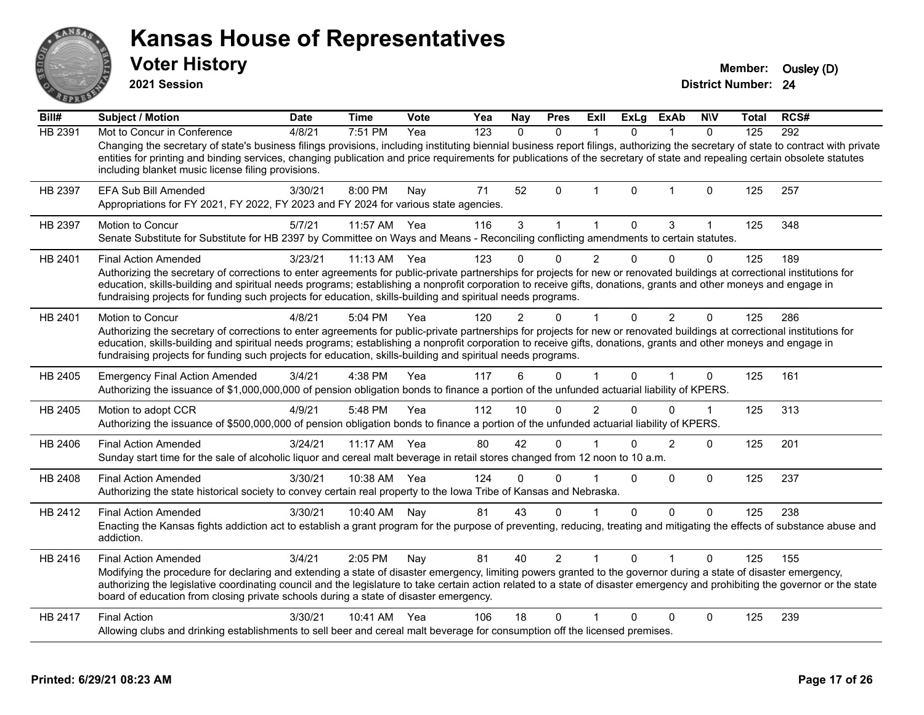| <b>ANSAS</b><br>65D | <b>Kansas House of Representatives</b><br><b>Voter History</b><br>2021 Session                                                                                                                                                                                                                                                                                                                                                                                                              |             |                    |      |     |                 |              |                |             |                |              | Member:<br><b>District Number: 24</b> | Ousley (D) |
|---------------------|---------------------------------------------------------------------------------------------------------------------------------------------------------------------------------------------------------------------------------------------------------------------------------------------------------------------------------------------------------------------------------------------------------------------------------------------------------------------------------------------|-------------|--------------------|------|-----|-----------------|--------------|----------------|-------------|----------------|--------------|---------------------------------------|------------|
| Bill#               | <b>Subject / Motion</b>                                                                                                                                                                                                                                                                                                                                                                                                                                                                     | <b>Date</b> | <b>Time</b>        | Vote | Yea | <b>Nay</b>      | <b>Pres</b>  | <b>ExII</b>    | <b>ExLg</b> | <b>ExAb</b>    | <b>NIV</b>   | Total                                 | RCS#       |
| <b>HB 2391</b>      | Mot to Concur in Conference<br>Changing the secretary of state's business filings provisions, including instituting biennial business report filings, authorizing the secretary of state to contract with private<br>entities for printing and binding services, changing publication and price requirements for publications of the secretary of state and repealing certain obsolete statutes<br>including blanket music license filing provisions.                                       | 4/8/21      | 7:51 PM            | Yea  | 123 | $\Omega$        | $\Omega$     |                | 0           |                | $\Omega$     | 125                                   | 292        |
| HB 2397             | <b>EFA Sub Bill Amended</b><br>Appropriations for FY 2021, FY 2022, FY 2023 and FY 2024 for various state agencies.                                                                                                                                                                                                                                                                                                                                                                         | 3/30/21     | 8:00 PM            | Nay  | 71  | 52              | $\mathbf 0$  | $\mathbf 1$    | 0           | $\overline{1}$ | 0            | 125                                   | 257        |
| HB 2397             | Motion to Concur<br>Senate Substitute for Substitute for HB 2397 by Committee on Ways and Means - Reconciling conflicting amendments to certain statutes.                                                                                                                                                                                                                                                                                                                                   | 5/7/21      | 11:57 AM           | Yea  | 116 | 3               | $\mathbf{1}$ | $\mathbf{1}$   | $\mathbf 0$ | 3              | $\mathbf{1}$ | 125                                   | 348        |
| HB 2401             | <b>Final Action Amended</b><br>Authorizing the secretary of corrections to enter agreements for public-private partnerships for projects for new or renovated buildings at correctional institutions for<br>education, skills-building and spiritual needs programs; establishing a nonprofit corporation to receive gifts, donations, grants and other moneys and engage in<br>fundraising projects for funding such projects for education, skills-building and spiritual needs programs. | 3/23/21     | $11:13 \text{ AM}$ | Yea  | 123 |                 | ŋ            | 2              | 0           | 0              | $\Omega$     | 125                                   | 189        |
| HB 2401             | Motion to Concur<br>Authorizing the secretary of corrections to enter agreements for public-private partnerships for projects for new or renovated buildings at correctional institutions for<br>education, skills-building and spiritual needs programs; establishing a nonprofit corporation to receive gifts, donations, grants and other moneys and engage in<br>fundraising projects for funding such projects for education, skills-building and spiritual needs programs.            | 4/8/21      | 5:04 PM            | Yea  | 120 | 2               | U            |                | 0           | $\overline{2}$ | $\Omega$     | 125                                   | 286        |
| HB 2405             | <b>Emergency Final Action Amended</b><br>Authorizing the issuance of \$1,000,000,000 of pension obligation bonds to finance a portion of the unfunded actuarial liability of KPERS.                                                                                                                                                                                                                                                                                                         | 3/4/21      | 4:38 PM            | Yea  | 117 | 6               | $\Omega$     |                | 0           |                | $\Omega$     | 125                                   | 161        |
| HB 2405             | Motion to adopt CCR<br>Authorizing the issuance of \$500,000,000 of pension obligation bonds to finance a portion of the unfunded actuarial liability of KPERS.                                                                                                                                                                                                                                                                                                                             | 4/9/21      | 5:48 PM            | Yea  | 112 | 10 <sup>1</sup> | $\Omega$     | $\overline{2}$ | $\Omega$    | $\Omega$       | $\mathbf{1}$ | 125                                   | 313        |
| HB 2406             | <b>Final Action Amended</b><br>Sunday start time for the sale of alcoholic liquor and cereal malt beverage in retail stores changed from 12 noon to 10 a.m.                                                                                                                                                                                                                                                                                                                                 | 3/24/21     | 11:17 AM           | Yea  | 80  | 42              | $\Omega$     |                | 0           | $\overline{2}$ | 0            | 125                                   | 201        |
| HB 2408             | <b>Final Action Amended</b><br>Authorizing the state historical society to convey certain real property to the Iowa Tribe of Kansas and Nebraska.                                                                                                                                                                                                                                                                                                                                           | 3/30/21     | 10:38 AM Yea       |      | 124 | 0               | $\Omega$     |                | $\Omega$    | 0              | $\mathbf 0$  | 125                                   | 237        |
| HB 2412             | <b>Final Action Amended</b><br>Enacting the Kansas fights addiction act to establish a grant program for the purpose of preventing, reducing, treating and mitigating the effects of substance abuse and<br>addiction.                                                                                                                                                                                                                                                                      | 3/30/21     | 10:40 AM           | Nav  | 81  | 43              | $\Omega$     |                | 0           | $\Omega$       | $\Omega$     | 125                                   | 238        |
| HB 2416             | <b>Final Action Amended</b><br>Modifying the procedure for declaring and extending a state of disaster emergency, limiting powers granted to the governor during a state of disaster emergency,                                                                                                                                                                                                                                                                                             | 3/4/21      | 2:05 PM            | Nay  | 81  | 40              | 2            |                | $\Omega$    |                | $\Omega$     | 125                                   | 155        |

ANSA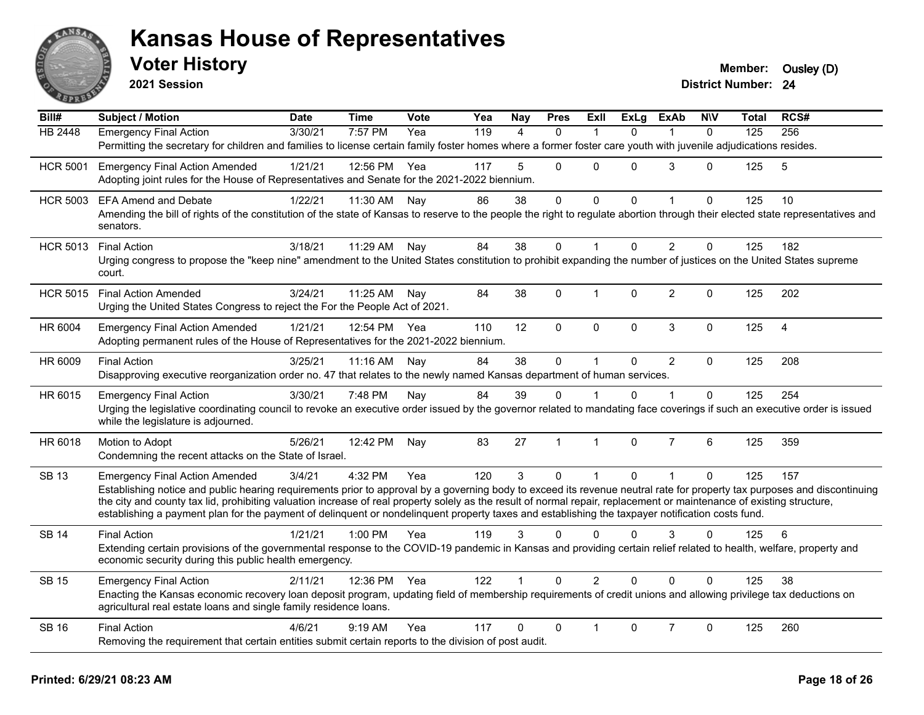

**2021 Session**

| Bill#           | <b>Subject / Motion</b>                                                                                                                                                                                                                                                                                                                                                                                                                                                                               | <b>Date</b> | <b>Time</b> | <b>Vote</b> | Yea | <b>Nay</b>     | <b>Pres</b>  | ExII           | ExLg     | <b>ExAb</b>    | <b>NIV</b>   | Total            | RCS#           |  |
|-----------------|-------------------------------------------------------------------------------------------------------------------------------------------------------------------------------------------------------------------------------------------------------------------------------------------------------------------------------------------------------------------------------------------------------------------------------------------------------------------------------------------------------|-------------|-------------|-------------|-----|----------------|--------------|----------------|----------|----------------|--------------|------------------|----------------|--|
| <b>HB 2448</b>  | <b>Emergency Final Action</b>                                                                                                                                                                                                                                                                                                                                                                                                                                                                         | 3/30/21     | 7:57 PM     | Yea         | 119 | $\overline{4}$ | $\mathbf{0}$ |                | $\Omega$ | $\overline{1}$ | $\mathbf{0}$ | $\overline{125}$ | 256            |  |
|                 | Permitting the secretary for children and families to license certain family foster homes where a former foster care youth with juvenile adjudications resides.                                                                                                                                                                                                                                                                                                                                       |             |             |             |     |                |              |                |          |                |              |                  |                |  |
| <b>HCR 5001</b> | <b>Emergency Final Action Amended</b>                                                                                                                                                                                                                                                                                                                                                                                                                                                                 | 1/21/21     | 12:56 PM    | Yea         | 117 | 5              | $\Omega$     | $\Omega$       | $\Omega$ | 3              | $\Omega$     | 125              | 5              |  |
|                 | Adopting joint rules for the House of Representatives and Senate for the 2021-2022 biennium.                                                                                                                                                                                                                                                                                                                                                                                                          |             |             |             |     |                |              |                |          |                |              |                  |                |  |
| <b>HCR 5003</b> | <b>EFA Amend and Debate</b>                                                                                                                                                                                                                                                                                                                                                                                                                                                                           | 1/22/21     | 11:30 AM    | Nav         | 86  | 38             | $\mathbf{0}$ | $\Omega$       | $\Omega$ |                | $\Omega$     | 125              | 10             |  |
|                 | Amending the bill of rights of the constitution of the state of Kansas to reserve to the people the right to regulate abortion through their elected state representatives and<br>senators.                                                                                                                                                                                                                                                                                                           |             |             |             |     |                |              |                |          |                |              |                  |                |  |
| <b>HCR 5013</b> | <b>Final Action</b>                                                                                                                                                                                                                                                                                                                                                                                                                                                                                   | 3/18/21     | 11:29 AM    | Nay         | 84  | 38             | $\mathbf{0}$ | $\mathbf{1}$   | $\Omega$ | $\overline{2}$ | $\Omega$     | 125              | 182            |  |
|                 | Urging congress to propose the "keep nine" amendment to the United States constitution to prohibit expanding the number of justices on the United States supreme<br>court.                                                                                                                                                                                                                                                                                                                            |             |             |             |     |                |              |                |          |                |              |                  |                |  |
| <b>HCR 5015</b> | <b>Final Action Amended</b>                                                                                                                                                                                                                                                                                                                                                                                                                                                                           | 3/24/21     | 11:25 AM    | Nay         | 84  | 38             | $\mathbf 0$  | $\mathbf{1}$   | 0        | $\overline{c}$ | $\mathbf 0$  | 125              | 202            |  |
|                 | Urging the United States Congress to reject the For the People Act of 2021.                                                                                                                                                                                                                                                                                                                                                                                                                           |             |             |             |     |                |              |                |          |                |              |                  |                |  |
| HR 6004         | <b>Emergency Final Action Amended</b>                                                                                                                                                                                                                                                                                                                                                                                                                                                                 | 1/21/21     | 12:54 PM    | Yea         | 110 | 12             | $\mathbf 0$  | $\mathbf{0}$   | 0        | $\mathbf{3}$   | $\mathbf 0$  | 125              | $\overline{4}$ |  |
|                 | Adopting permanent rules of the House of Representatives for the 2021-2022 biennium.                                                                                                                                                                                                                                                                                                                                                                                                                  |             |             |             |     |                |              |                |          |                |              |                  |                |  |
| HR 6009         | <b>Final Action</b>                                                                                                                                                                                                                                                                                                                                                                                                                                                                                   | 3/25/21     | 11:16 AM    | Nay         | 84  | 38             | $\Omega$     |                | $\Omega$ | $\overline{2}$ | $\Omega$     | 125              | 208            |  |
|                 | Disapproving executive reorganization order no. 47 that relates to the newly named Kansas department of human services.                                                                                                                                                                                                                                                                                                                                                                               |             |             |             |     |                |              |                |          |                |              |                  |                |  |
| HR 6015         | <b>Emergency Final Action</b>                                                                                                                                                                                                                                                                                                                                                                                                                                                                         | 3/30/21     | 7:48 PM     | Nay         | 84  | 39             | $\mathbf 0$  |                | $\Omega$ |                | $\mathbf{0}$ | 125              | 254            |  |
|                 | Urging the legislative coordinating council to revoke an executive order issued by the governor related to mandating face coverings if such an executive order is issued<br>while the legislature is adjourned.                                                                                                                                                                                                                                                                                       |             |             |             |     |                |              |                |          |                |              |                  |                |  |
| HR 6018         | Motion to Adopt                                                                                                                                                                                                                                                                                                                                                                                                                                                                                       | 5/26/21     | 12:42 PM    | Nay         | 83  | 27             | $\mathbf{1}$ | $\mathbf{1}$   | $\Omega$ | $\overline{7}$ | 6            | 125              | 359            |  |
|                 | Condemning the recent attacks on the State of Israel.                                                                                                                                                                                                                                                                                                                                                                                                                                                 |             |             |             |     |                |              |                |          |                |              |                  |                |  |
| <b>SB 13</b>    | <b>Emergency Final Action Amended</b>                                                                                                                                                                                                                                                                                                                                                                                                                                                                 | 3/4/21      | 4:32 PM     | Yea         | 120 | 3              | $\Omega$     | $\mathbf{1}$   | $\Omega$ | $\overline{1}$ | $\Omega$     | 125              | 157            |  |
|                 | Establishing notice and public hearing requirements prior to approval by a governing body to exceed its revenue neutral rate for property tax purposes and discontinuing<br>the city and county tax lid, prohibiting valuation increase of real property solely as the result of normal repair, replacement or maintenance of existing structure,<br>establishing a payment plan for the payment of delinquent or nondelinquent property taxes and establishing the taxpayer notification costs fund. |             |             |             |     |                |              |                |          |                |              |                  |                |  |
| <b>SB 14</b>    | <b>Final Action</b>                                                                                                                                                                                                                                                                                                                                                                                                                                                                                   | 1/21/21     | 1:00 PM     | Yea         | 119 | 3              | $\Omega$     | <sup>0</sup>   | $\Omega$ | $\mathcal{R}$  | $\Omega$     | 125              | 6              |  |
|                 | Extending certain provisions of the governmental response to the COVID-19 pandemic in Kansas and providing certain relief related to health, welfare, property and<br>economic security during this public health emergency.                                                                                                                                                                                                                                                                          |             |             |             |     |                |              |                |          |                |              |                  |                |  |
| <b>SB 15</b>    | <b>Emergency Final Action</b>                                                                                                                                                                                                                                                                                                                                                                                                                                                                         | 2/11/21     | 12:36 PM    | Yea         | 122 | 1              | $\mathbf{0}$ | $\overline{2}$ | $\Omega$ | $\Omega$       | $\Omega$     | 125              | 38             |  |
|                 | Enacting the Kansas economic recovery loan deposit program, updating field of membership requirements of credit unions and allowing privilege tax deductions on<br>agricultural real estate loans and single family residence loans.                                                                                                                                                                                                                                                                  |             |             |             |     |                |              |                |          |                |              |                  |                |  |
| <b>SB 16</b>    | <b>Final Action</b>                                                                                                                                                                                                                                                                                                                                                                                                                                                                                   | 4/6/21      | $9:19$ AM   | Yea         | 117 | $\Omega$       | $\mathbf{0}$ | $\mathbf 1$    | 0        | $\overline{7}$ | $\mathbf{0}$ | 125              | 260            |  |
|                 | Removing the requirement that certain entities submit certain reports to the division of post audit.                                                                                                                                                                                                                                                                                                                                                                                                  |             |             |             |     |                |              |                |          |                |              |                  |                |  |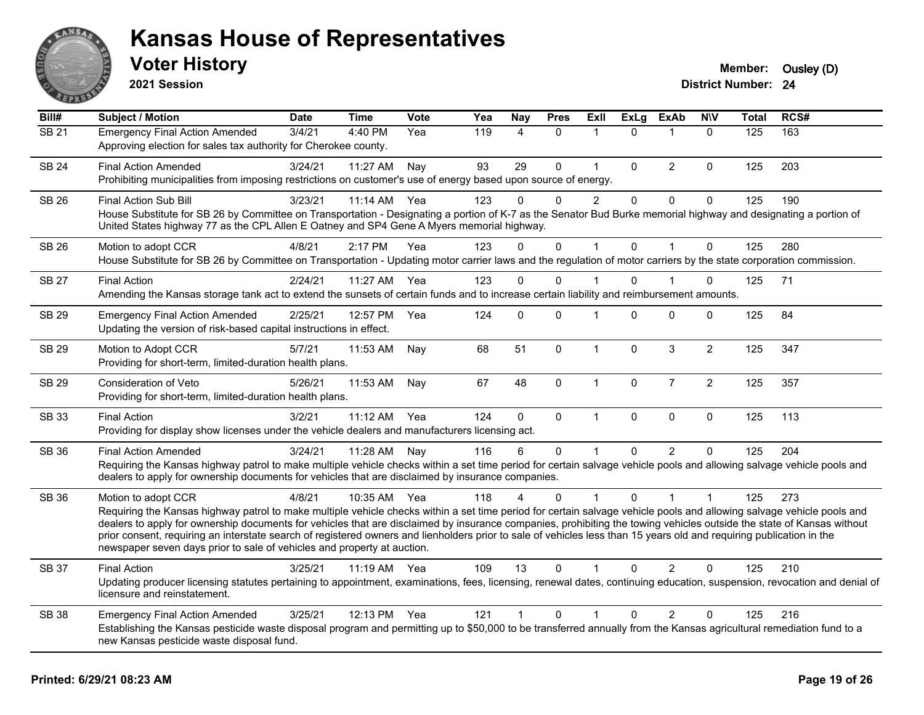

**2021 Session**

| Bill#        | <b>Subject / Motion</b>                                                                                                                                                                                                                                                                                                                                                                                                                                                                                                                                                                                                  | <b>Date</b> | <b>Time</b> | <b>Vote</b> | Yea | <b>Nay</b>     | <b>Pres</b>  | <b>Exll</b>    | <b>ExLg</b>  | <b>ExAb</b>    | <b>N\V</b>     | <b>Total</b> | RCS# |
|--------------|--------------------------------------------------------------------------------------------------------------------------------------------------------------------------------------------------------------------------------------------------------------------------------------------------------------------------------------------------------------------------------------------------------------------------------------------------------------------------------------------------------------------------------------------------------------------------------------------------------------------------|-------------|-------------|-------------|-----|----------------|--------------|----------------|--------------|----------------|----------------|--------------|------|
| <b>SB 21</b> | <b>Emergency Final Action Amended</b><br>Approving election for sales tax authority for Cherokee county.                                                                                                                                                                                                                                                                                                                                                                                                                                                                                                                 | 3/4/21      | 4:40 PM     | Yea         | 119 | $\overline{4}$ | $\mathbf{0}$ | $\mathbf 1$    | $\Omega$     | 1              | $\mathbf{0}$   | 125          | 163  |
| <b>SB 24</b> | <b>Final Action Amended</b><br>Prohibiting municipalities from imposing restrictions on customer's use of energy based upon source of energy.                                                                                                                                                                                                                                                                                                                                                                                                                                                                            | 3/24/21     | 11:27 AM    | Nay         | 93  | 29             | $\Omega$     | $\mathbf{1}$   | $\Omega$     | 2              | $\Omega$       | 125          | 203  |
| SB 26        | <b>Final Action Sub Bill</b><br>House Substitute for SB 26 by Committee on Transportation - Designating a portion of K-7 as the Senator Bud Burke memorial highway and designating a portion of<br>United States highway 77 as the CPL Allen E Oatney and SP4 Gene A Myers memorial highway.                                                                                                                                                                                                                                                                                                                             | 3/23/21     | 11:14 AM    | Yea         | 123 | $\Omega$       | $\Omega$     | $\overline{c}$ | $\mathbf{0}$ | $\mathbf 0$    | $\mathbf 0$    | 125          | 190  |
| <b>SB 26</b> | Motion to adopt CCR<br>House Substitute for SB 26 by Committee on Transportation - Updating motor carrier laws and the regulation of motor carriers by the state corporation commission.                                                                                                                                                                                                                                                                                                                                                                                                                                 | 4/8/21      | 2:17 PM     | Yea         | 123 | $\Omega$       | $\mathbf 0$  | $\mathbf{1}$   | $\mathbf{0}$ | $\mathbf{1}$   | $\mathbf{0}$   | 125          | 280  |
| <b>SB 27</b> | <b>Final Action</b><br>Amending the Kansas storage tank act to extend the sunsets of certain funds and to increase certain liability and reimbursement amounts.                                                                                                                                                                                                                                                                                                                                                                                                                                                          | 2/24/21     | 11:27 AM    | Yea         | 123 | 0              | $\mathbf 0$  | 1              | $\Omega$     |                | 0              | 125          | 71   |
| SB 29        | <b>Emergency Final Action Amended</b><br>Updating the version of risk-based capital instructions in effect.                                                                                                                                                                                                                                                                                                                                                                                                                                                                                                              | 2/25/21     | 12:57 PM    | Yea         | 124 | $\Omega$       | $\Omega$     | 1              | $\Omega$     | $\mathbf{0}$   | $\mathbf{0}$   | 125          | 84   |
| <b>SB 29</b> | Motion to Adopt CCR<br>Providing for short-term, limited-duration health plans.                                                                                                                                                                                                                                                                                                                                                                                                                                                                                                                                          | 5/7/21      | 11:53 AM    | Nay         | 68  | 51             | $\mathbf 0$  | $\mathbf{1}$   | $\mathbf 0$  | $\mathbf{3}$   | $\overline{2}$ | 125          | 347  |
| <b>SB 29</b> | Consideration of Veto<br>Providing for short-term, limited-duration health plans.                                                                                                                                                                                                                                                                                                                                                                                                                                                                                                                                        | 5/26/21     | 11:53 AM    | Nay         | 67  | 48             | $\mathbf 0$  | $\mathbf{1}$   | $\mathbf 0$  | $\overline{7}$ | $\overline{2}$ | 125          | 357  |
| SB 33        | <b>Final Action</b><br>Providing for display show licenses under the vehicle dealers and manufacturers licensing act.                                                                                                                                                                                                                                                                                                                                                                                                                                                                                                    | 3/2/21      | 11:12 AM    | Yea         | 124 | 0              | $\mathsf 0$  | $\mathbf{1}$   | $\Omega$     | $\pmb{0}$      | $\mathbf 0$    | 125          | 113  |
| SB 36        | <b>Final Action Amended</b><br>Requiring the Kansas highway patrol to make multiple vehicle checks within a set time period for certain salvage vehicle pools and allowing salvage vehicle pools and<br>dealers to apply for ownership documents for vehicles that are disclaimed by insurance companies.                                                                                                                                                                                                                                                                                                                | 3/24/21     | 11:28 AM    | Nay         | 116 | 6              | $\Omega$     | $\mathbf{1}$   | $\Omega$     | $\mathcal{P}$  | $\Omega$       | 125          | 204  |
| SB 36        | Motion to adopt CCR<br>Requiring the Kansas highway patrol to make multiple vehicle checks within a set time period for certain salvage vehicle pools and allowing salvage vehicle pools and<br>dealers to apply for ownership documents for vehicles that are disclaimed by insurance companies, prohibiting the towing vehicles outside the state of Kansas without<br>prior consent, requiring an interstate search of registered owners and lienholders prior to sale of vehicles less than 15 years old and requiring publication in the<br>newspaper seven days prior to sale of vehicles and property at auction. | 4/8/21      | 10:35 AM    | Yea         | 118 |                | 0            | 1              | 0            |                |                | 125          | 273  |
| <b>SB 37</b> | <b>Final Action</b><br>Updating producer licensing statutes pertaining to appointment, examinations, fees, licensing, renewal dates, continuing education, suspension, revocation and denial of<br>licensure and reinstatement.                                                                                                                                                                                                                                                                                                                                                                                          | 3/25/21     | 11:19 AM    | Yea         | 109 | 13             | $\Omega$     |                | 0            | 2              | $\Omega$       | 125          | 210  |
| <b>SB 38</b> | <b>Emergency Final Action Amended</b><br>Establishing the Kansas pesticide waste disposal program and permitting up to \$50,000 to be transferred annually from the Kansas agricultural remediation fund to a<br>new Kansas pesticide waste disposal fund.                                                                                                                                                                                                                                                                                                                                                               | 3/25/21     | 12:13 PM    | Yea         | 121 | 1              | 0            | 1              | 0            | $\overline{2}$ | 0              | 125          | 216  |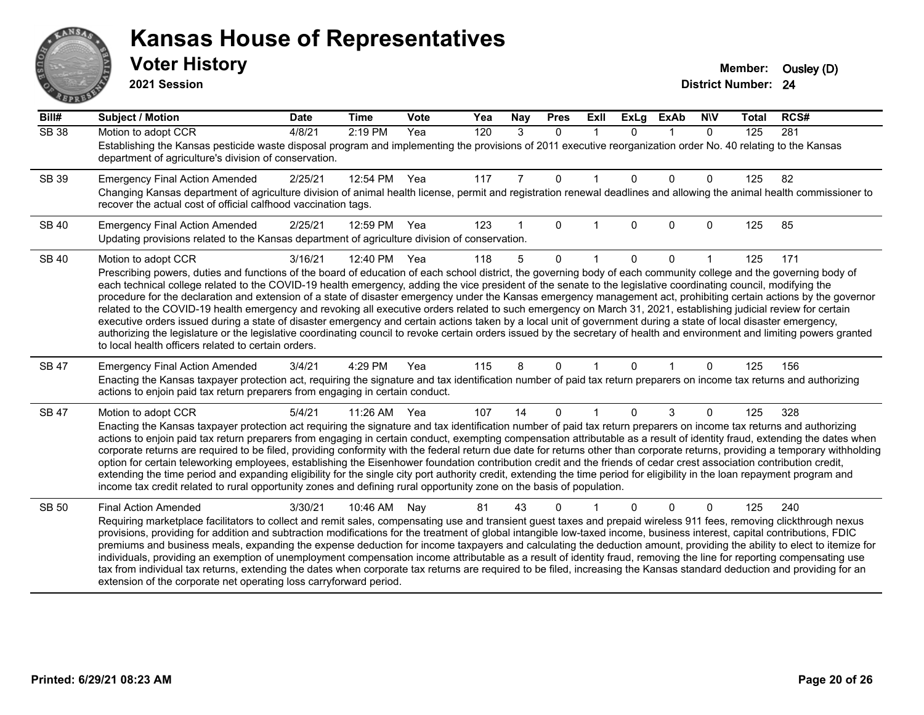# AN. **PARTIE**

#### **Kansas House of Representatives**

**2021 Session**

| Bill#        | <b>Subject / Motion</b>                                                                                                                                                                                                                                                                                                                                                                                                                                                                                                                                                                                                                                                                                                                                                                                                                                                                                                                                                                                                                                                                                          | <b>Date</b> | <b>Time</b> | Vote | Yea | Nay | <b>Pres</b>  | ExII        | <b>ExLg</b> | <b>ExAb</b> | <b>NIV</b>   | <b>Total</b> | RCS# |
|--------------|------------------------------------------------------------------------------------------------------------------------------------------------------------------------------------------------------------------------------------------------------------------------------------------------------------------------------------------------------------------------------------------------------------------------------------------------------------------------------------------------------------------------------------------------------------------------------------------------------------------------------------------------------------------------------------------------------------------------------------------------------------------------------------------------------------------------------------------------------------------------------------------------------------------------------------------------------------------------------------------------------------------------------------------------------------------------------------------------------------------|-------------|-------------|------|-----|-----|--------------|-------------|-------------|-------------|--------------|--------------|------|
| <b>SB 38</b> | Motion to adopt CCR<br>Establishing the Kansas pesticide waste disposal program and implementing the provisions of 2011 executive reorganization order No. 40 relating to the Kansas<br>department of agriculture's division of conservation.                                                                                                                                                                                                                                                                                                                                                                                                                                                                                                                                                                                                                                                                                                                                                                                                                                                                    | 4/8/21      | 2:19 PM     | Yea  | 120 | 3   | $\mathbf{0}$ | $\mathbf 1$ | $\Omega$    | $\mathbf 1$ | $\mathbf{0}$ | 125          | 281  |
| <b>SB 39</b> | <b>Emergency Final Action Amended</b><br>Changing Kansas department of agriculture division of animal health license, permit and registration renewal deadlines and allowing the animal health commissioner to<br>recover the actual cost of official calfhood vaccination tags.                                                                                                                                                                                                                                                                                                                                                                                                                                                                                                                                                                                                                                                                                                                                                                                                                                 | 2/25/21     | 12:54 PM    | Yea  | 117 | 7   | 0            | -1          | $\Omega$    | $\Omega$    | 0            | 125          | 82   |
| <b>SB 40</b> | <b>Emergency Final Action Amended</b><br>Updating provisions related to the Kansas department of agriculture division of conservation.                                                                                                                                                                                                                                                                                                                                                                                                                                                                                                                                                                                                                                                                                                                                                                                                                                                                                                                                                                           | 2/25/21     | 12:59 PM    | Yea  | 123 |     | 0            |             | $\Omega$    | $\Omega$    | 0            | 125          | 85   |
| <b>SB 40</b> | Motion to adopt CCR<br>Prescribing powers, duties and functions of the board of education of each school district, the governing body of each community college and the governing body of<br>each technical college related to the COVID-19 health emergency, adding the vice president of the senate to the legislative coordinating council, modifying the<br>procedure for the declaration and extension of a state of disaster emergency under the Kansas emergency management act, prohibiting certain actions by the governor<br>related to the COVID-19 health emergency and revoking all executive orders related to such emergency on March 31, 2021, establishing judicial review for certain<br>executive orders issued during a state of disaster emergency and certain actions taken by a local unit of government during a state of local disaster emergency,<br>authorizing the legislature or the legislative coordinating council to revoke certain orders issued by the secretary of health and environment and limiting powers granted<br>to local health officers related to certain orders. | 3/16/21     | 12:40 PM    | Yea  | 118 | 5   | $\Omega$     |             | $\Omega$    | $\Omega$    |              | 125          | 171  |
| SB 47        | <b>Emergency Final Action Amended</b><br>Enacting the Kansas taxpayer protection act, requiring the signature and tax identification number of paid tax return preparers on income tax returns and authorizing<br>actions to enjoin paid tax return preparers from engaging in certain conduct.                                                                                                                                                                                                                                                                                                                                                                                                                                                                                                                                                                                                                                                                                                                                                                                                                  | 3/4/21      | 4:29 PM     | Yea  | 115 | 8   | $\Omega$     |             | $\Omega$    |             | 0            | 125          | 156  |
| SB 47        | Motion to adopt CCR<br>Enacting the Kansas taxpayer protection act requiring the signature and tax identification number of paid tax return preparers on income tax returns and authorizing<br>actions to enjoin paid tax return preparers from engaging in certain conduct, exempting compensation attributable as a result of identity fraud, extending the dates when<br>corporate returns are required to be filed, providing conformity with the federal return due date for returns other than corporate returns, providing a temporary withholding<br>option for certain teleworking employees, establishing the Eisenhower foundation contribution credit and the friends of cedar crest association contribution credit,<br>extending the time period and expanding eligibility for the single city port authority credit, extending the time period for eligibility in the loan repayment program and<br>income tax credit related to rural opportunity zones and defining rural opportunity zone on the basis of population.                                                                          | 5/4/21      | 11:26 AM    | Yea  | 107 | 14  | $\Omega$     |             | 0           | 3           | 0            | 125          | 328  |
| <b>SB 50</b> | <b>Final Action Amended</b><br>Requiring marketplace facilitators to collect and remit sales, compensating use and transient guest taxes and prepaid wireless 911 fees, removing clickthrough nexus<br>provisions, providing for addition and subtraction modifications for the treatment of global intangible low-taxed income, business interest, capital contributions, FDIC<br>premiums and business meals, expanding the expense deduction for income taxpayers and calculating the deduction amount, providing the ability to elect to itemize for<br>individuals, providing an exemption of unemployment compensation income attributable as a result of identity fraud, removing the line for reporting compensating use<br>tax from individual tax returns, extending the dates when corporate tax returns are required to be filed, increasing the Kansas standard deduction and providing for an<br>extension of the corporate net operating loss carryforward period.                                                                                                                                | 3/30/21     | 10:46 AM    | Nay  | 81  | 43  | 0            |             |             | $\Omega$    | 0            | 125          | 240  |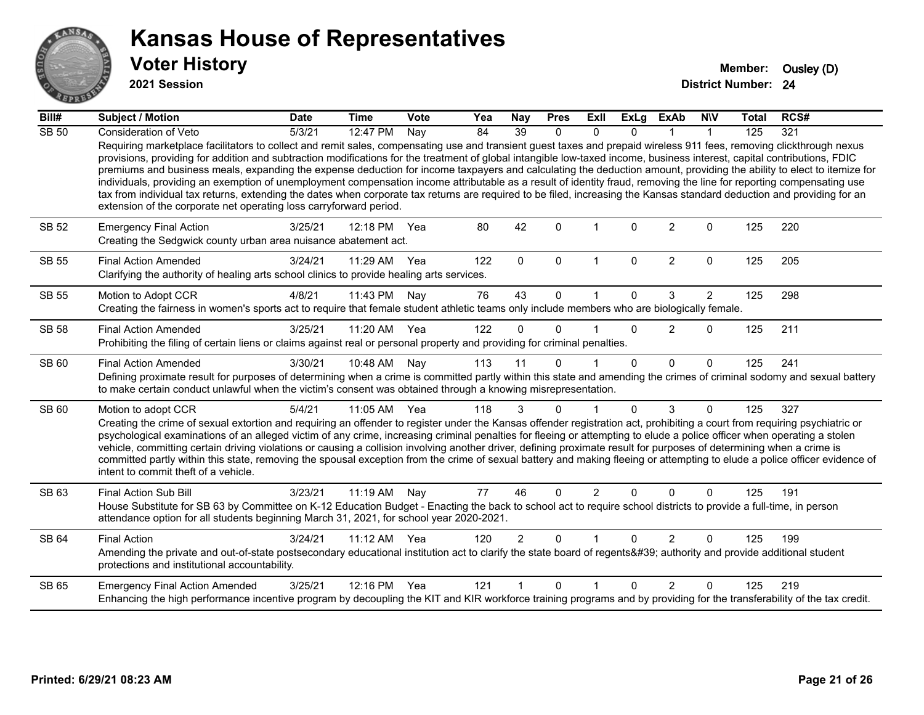

**2021 Session**

| Bill#        | Subject / Motion                                                                                                                                                                                                                                                                                                                                                                                                                                                                                                                                                                                                                                                                                                                                                                                                                                                                                                                                   | <b>Date</b> | <b>Time</b>  | <b>Vote</b> | Yea | Nay             | <b>Pres</b>  | Exll           | ExLg         | <b>ExAb</b>    | <b>NIV</b>     | <b>Total</b> | RCS# |
|--------------|----------------------------------------------------------------------------------------------------------------------------------------------------------------------------------------------------------------------------------------------------------------------------------------------------------------------------------------------------------------------------------------------------------------------------------------------------------------------------------------------------------------------------------------------------------------------------------------------------------------------------------------------------------------------------------------------------------------------------------------------------------------------------------------------------------------------------------------------------------------------------------------------------------------------------------------------------|-------------|--------------|-------------|-----|-----------------|--------------|----------------|--------------|----------------|----------------|--------------|------|
| <b>SB 50</b> | Consideration of Veto                                                                                                                                                                                                                                                                                                                                                                                                                                                                                                                                                                                                                                                                                                                                                                                                                                                                                                                              | 5/3/21      | 12:47 PM     | Nay         | 84  | $\overline{39}$ | $\Omega$     | $\Omega$       | $\Omega$     |                |                | 125          | 321  |
|              | Requiring marketplace facilitators to collect and remit sales, compensating use and transient guest taxes and prepaid wireless 911 fees, removing clickthrough nexus<br>provisions, providing for addition and subtraction modifications for the treatment of global intangible low-taxed income, business interest, capital contributions, FDIC<br>premiums and business meals, expanding the expense deduction for income taxpayers and calculating the deduction amount, providing the ability to elect to itemize for<br>individuals, providing an exemption of unemployment compensation income attributable as a result of identity fraud, removing the line for reporting compensating use<br>tax from individual tax returns, extending the dates when corporate tax returns are required to be filed, increasing the Kansas standard deduction and providing for an<br>extension of the corporate net operating loss carryforward period. |             |              |             |     |                 |              |                |              |                |                |              |      |
| <b>SB 52</b> | <b>Emergency Final Action</b><br>Creating the Sedgwick county urban area nuisance abatement act.                                                                                                                                                                                                                                                                                                                                                                                                                                                                                                                                                                                                                                                                                                                                                                                                                                                   | 3/25/21     | 12:18 PM     | Yea         | 80  | 42              | $\Omega$     |                | <sup>n</sup> | $\overline{2}$ | $\Omega$       | 125          | 220  |
| <b>SB 55</b> | <b>Final Action Amended</b><br>Clarifying the authority of healing arts school clinics to provide healing arts services.                                                                                                                                                                                                                                                                                                                                                                                                                                                                                                                                                                                                                                                                                                                                                                                                                           | 3/24/21     | 11:29 AM     | Yea         | 122 | $\mathbf{0}$    | $\mathbf{0}$ | 1              | $\Omega$     | $\overline{2}$ | $\mathbf{0}$   | 125          | 205  |
| <b>SB 55</b> | Motion to Adopt CCR                                                                                                                                                                                                                                                                                                                                                                                                                                                                                                                                                                                                                                                                                                                                                                                                                                                                                                                                | 4/8/21      | 11:43 PM     | Nay         | 76  | 43              | $\Omega$     |                | $\Omega$     | 3              | $\overline{2}$ | 125          | 298  |
|              | Creating the fairness in women's sports act to require that female student athletic teams only include members who are biologically female.                                                                                                                                                                                                                                                                                                                                                                                                                                                                                                                                                                                                                                                                                                                                                                                                        |             |              |             |     |                 |              |                |              |                |                |              |      |
| <b>SB 58</b> | <b>Final Action Amended</b><br>Prohibiting the filing of certain liens or claims against real or personal property and providing for criminal penalties.                                                                                                                                                                                                                                                                                                                                                                                                                                                                                                                                                                                                                                                                                                                                                                                           | 3/25/21     | 11:20 AM     | Yea         | 122 | $\Omega$        | $\Omega$     |                | $\Omega$     | $\overline{2}$ | $\mathbf 0$    | 125          | 211  |
| SB 60        | <b>Final Action Amended</b>                                                                                                                                                                                                                                                                                                                                                                                                                                                                                                                                                                                                                                                                                                                                                                                                                                                                                                                        | 3/30/21     | 10:48 AM     | Nay         | 113 | 11              | $\Omega$     |                | $\Omega$     | $\Omega$       | $\Omega$       | 125          | 241  |
|              | Defining proximate result for purposes of determining when a crime is committed partly within this state and amending the crimes of criminal sodomy and sexual battery<br>to make certain conduct unlawful when the victim's consent was obtained through a knowing misrepresentation.                                                                                                                                                                                                                                                                                                                                                                                                                                                                                                                                                                                                                                                             |             |              |             |     |                 |              |                |              |                |                |              |      |
| SB 60        | Motion to adopt CCR                                                                                                                                                                                                                                                                                                                                                                                                                                                                                                                                                                                                                                                                                                                                                                                                                                                                                                                                | 5/4/21      | 11:05 AM Yea |             | 118 | 3               | $\mathbf{0}$ | 1              | 0            | 3              | $\Omega$       | 125          | 327  |
|              | Creating the crime of sexual extortion and requiring an offender to register under the Kansas offender registration act, prohibiting a court from requiring psychiatric or<br>psychological examinations of an alleged victim of any crime, increasing criminal penalties for fleeing or attempting to elude a police officer when operating a stolen<br>vehicle, committing certain driving violations or causing a collision involving another driver, defining proximate result for purposes of determining when a crime is<br>committed partly within this state, removing the spousal exception from the crime of sexual battery and making fleeing or attempting to elude a police officer evidence of<br>intent to commit theft of a vehicle.                                                                                                                                                                                               |             |              |             |     |                 |              |                |              |                |                |              |      |
| SB 63        | <b>Final Action Sub Bill</b>                                                                                                                                                                                                                                                                                                                                                                                                                                                                                                                                                                                                                                                                                                                                                                                                                                                                                                                       | 3/23/21     | 11:19 AM Nay |             | 77  | 46              | $\Omega$     | $\overline{2}$ | 0            | $\Omega$       | $\Omega$       | 125          | 191  |
|              | House Substitute for SB 63 by Committee on K-12 Education Budget - Enacting the back to school act to require school districts to provide a full-time, in person<br>attendance option for all students beginning March 31, 2021, for school year 2020-2021.                                                                                                                                                                                                                                                                                                                                                                                                                                                                                                                                                                                                                                                                                        |             |              |             |     |                 |              |                |              |                |                |              |      |
| SB 64        | <b>Final Action</b>                                                                                                                                                                                                                                                                                                                                                                                                                                                                                                                                                                                                                                                                                                                                                                                                                                                                                                                                | 3/24/21     | 11:12 AM     | Yea         | 120 | $\overline{2}$  | $\Omega$     |                | $\Omega$     | 2              | $\Omega$       | 125          | 199  |
|              | Amending the private and out-of-state postsecondary educational institution act to clarify the state board of regents' authority and provide additional student<br>protections and institutional accountability.                                                                                                                                                                                                                                                                                                                                                                                                                                                                                                                                                                                                                                                                                                                                   |             |              |             |     |                 |              |                |              |                |                |              |      |
| SB 65        | <b>Emergency Final Action Amended</b>                                                                                                                                                                                                                                                                                                                                                                                                                                                                                                                                                                                                                                                                                                                                                                                                                                                                                                              | 3/25/21     | 12:16 PM Yea |             | 121 |                 | $\Omega$     | 1              | <sup>n</sup> | $\mathcal{P}$  | $\Omega$       | 125          | 219  |
|              | Enhancing the high performance incentive program by decoupling the KIT and KIR workforce training programs and by providing for the transferability of the tax credit.                                                                                                                                                                                                                                                                                                                                                                                                                                                                                                                                                                                                                                                                                                                                                                             |             |              |             |     |                 |              |                |              |                |                |              |      |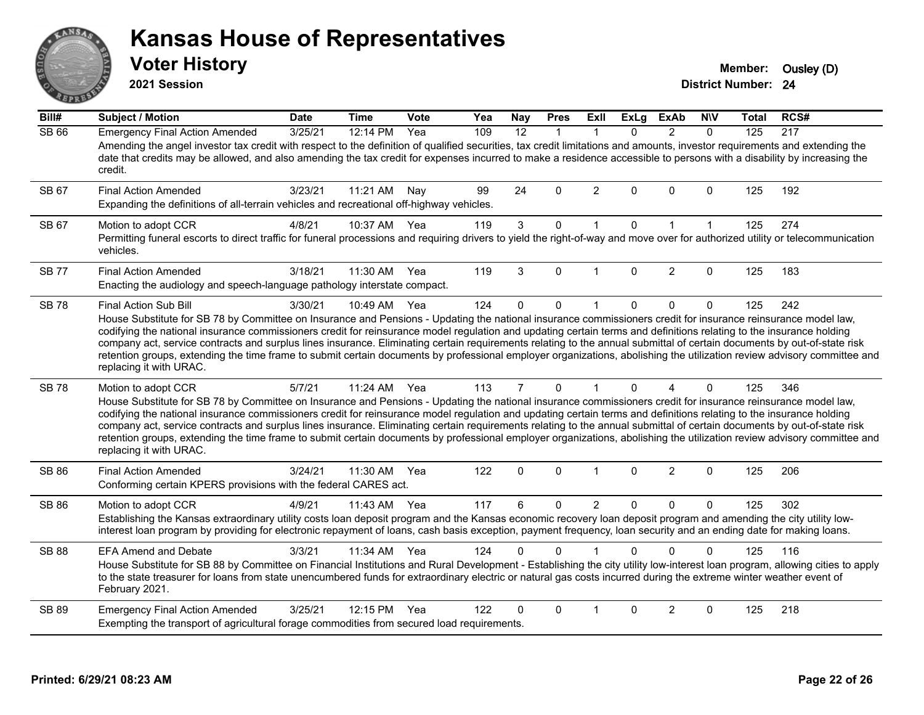# $ANS$ **PIVE**

#### **Kansas House of Representatives**

**2021 Session**

**Voter History Member:** Ousley (D)

| Bill#        | Subject / Motion                                                                                                                                                                                                                                                                                                                                                                                                                                                                                                                                                                                                                                                                                                                               | <b>Date</b> | <b>Time</b> | Vote | Yea | <b>Nay</b>     | <b>Pres</b>  | <b>Exll</b>    | <b>ExLg</b>  | <b>ExAb</b>    | <b>NIV</b>   | Total | RCS# |
|--------------|------------------------------------------------------------------------------------------------------------------------------------------------------------------------------------------------------------------------------------------------------------------------------------------------------------------------------------------------------------------------------------------------------------------------------------------------------------------------------------------------------------------------------------------------------------------------------------------------------------------------------------------------------------------------------------------------------------------------------------------------|-------------|-------------|------|-----|----------------|--------------|----------------|--------------|----------------|--------------|-------|------|
| <b>SB 66</b> | <b>Emergency Final Action Amended</b>                                                                                                                                                                                                                                                                                                                                                                                                                                                                                                                                                                                                                                                                                                          | 3/25/21     | 12:14 PM    | Yea  | 109 | 12             | $\mathbf{1}$ | $\mathbf{1}$   | $\Omega$     | $\overline{2}$ | $\Omega$     | 125   | 217  |
|              | Amending the angel investor tax credit with respect to the definition of qualified securities, tax credit limitations and amounts, investor requirements and extending the<br>date that credits may be allowed, and also amending the tax credit for expenses incurred to make a residence accessible to persons with a disability by increasing the<br>credit.                                                                                                                                                                                                                                                                                                                                                                                |             |             |      |     |                |              |                |              |                |              |       |      |
| SB 67        | <b>Final Action Amended</b><br>Expanding the definitions of all-terrain vehicles and recreational off-highway vehicles.                                                                                                                                                                                                                                                                                                                                                                                                                                                                                                                                                                                                                        | 3/23/21     | 11:21 AM    | Nav  | 99  | 24             | $\Omega$     | $\overline{2}$ | $\Omega$     | $\Omega$       | 0            | 125   | 192  |
| SB 67        | Motion to adopt CCR<br>Permitting funeral escorts to direct traffic for funeral processions and requiring drivers to yield the right-of-way and move over for authorized utility or telecommunication<br>vehicles.                                                                                                                                                                                                                                                                                                                                                                                                                                                                                                                             | 4/8/21      | 10:37 AM    | Yea  | 119 | $\mathbf{3}$   | 0            | $\mathbf{1}$   | $\mathbf 0$  | $\mathbf{1}$   | $\mathbf{1}$ | 125   | 274  |
| <b>SB 77</b> | <b>Final Action Amended</b><br>Enacting the audiology and speech-language pathology interstate compact.                                                                                                                                                                                                                                                                                                                                                                                                                                                                                                                                                                                                                                        | 3/18/21     | 11:30 AM    | Yea  | 119 | 3              | $\Omega$     | $\mathbf{1}$   | $\Omega$     | $\overline{2}$ | 0            | 125   | 183  |
| <b>SB78</b>  | Final Action Sub Bill<br>House Substitute for SB 78 by Committee on Insurance and Pensions - Updating the national insurance commissioners credit for insurance reinsurance model law,<br>codifying the national insurance commissioners credit for reinsurance model regulation and updating certain terms and definitions relating to the insurance holding<br>company act, service contracts and surplus lines insurance. Eliminating certain requirements relating to the annual submittal of certain documents by out-of-state risk<br>retention groups, extending the time frame to submit certain documents by professional employer organizations, abolishing the utilization review advisory committee and<br>replacing it with URAC. | 3/30/21     | 10:49 AM    | Yea  | 124 | $\Omega$       | 0            | $\overline{1}$ | $\Omega$     | 0              | 0            | 125   | 242  |
| <b>SB78</b>  | Motion to adopt CCR<br>House Substitute for SB 78 by Committee on Insurance and Pensions - Updating the national insurance commissioners credit for insurance reinsurance model law,<br>codifying the national insurance commissioners credit for reinsurance model regulation and updating certain terms and definitions relating to the insurance holding<br>company act, service contracts and surplus lines insurance. Eliminating certain requirements relating to the annual submittal of certain documents by out-of-state risk<br>retention groups, extending the time frame to submit certain documents by professional employer organizations, abolishing the utilization review advisory committee and<br>replacing it with URAC.   | 5/7/21      | 11:24 AM    | Yea  | 113 | $\overline{7}$ | $\Omega$     | $\mathbf 1$    | $\Omega$     | 4              | 0            | 125   | 346  |
| <b>SB 86</b> | <b>Final Action Amended</b><br>Conforming certain KPERS provisions with the federal CARES act.                                                                                                                                                                                                                                                                                                                                                                                                                                                                                                                                                                                                                                                 | 3/24/21     | 11:30 AM    | Yea  | 122 | 0              | $\Omega$     | $\mathbf{1}$   | $\Omega$     | $\overline{2}$ | 0            | 125   | 206  |
| <b>SB 86</b> | Motion to adopt CCR<br>Establishing the Kansas extraordinary utility costs loan deposit program and the Kansas economic recovery loan deposit program and amending the city utility low-<br>interest loan program by providing for electronic repayment of loans, cash basis exception, payment frequency, loan security and an ending date for making loans.                                                                                                                                                                                                                                                                                                                                                                                  | 4/9/21      | 11:43 AM    | Yea  | 117 | 6              | 0            | $\overline{2}$ | $\mathbf{0}$ | 0              | 0            | 125   | 302  |
| <b>SB 88</b> | <b>EFA Amend and Debate</b><br>House Substitute for SB 88 by Committee on Financial Institutions and Rural Development - Establishing the city utility low-interest loan program, allowing cities to apply<br>to the state treasurer for loans from state unencumbered funds for extraordinary electric or natural gas costs incurred during the extreme winter weather event of<br>February 2021.                                                                                                                                                                                                                                                                                                                                             | 3/3/21      | 11:34 AM    | Yea  | 124 | 0              | $\Omega$     |                | $\Omega$     | $\Omega$       | 0            | 125   | 116  |
| <b>SB 89</b> | <b>Emergency Final Action Amended</b><br>Exempting the transport of agricultural forage commodities from secured load requirements.                                                                                                                                                                                                                                                                                                                                                                                                                                                                                                                                                                                                            | 3/25/21     | 12:15 PM    | Yea  | 122 | 0              | $\Omega$     | $\mathbf{1}$   | $\Omega$     | 2              | 0            | 125   | 218  |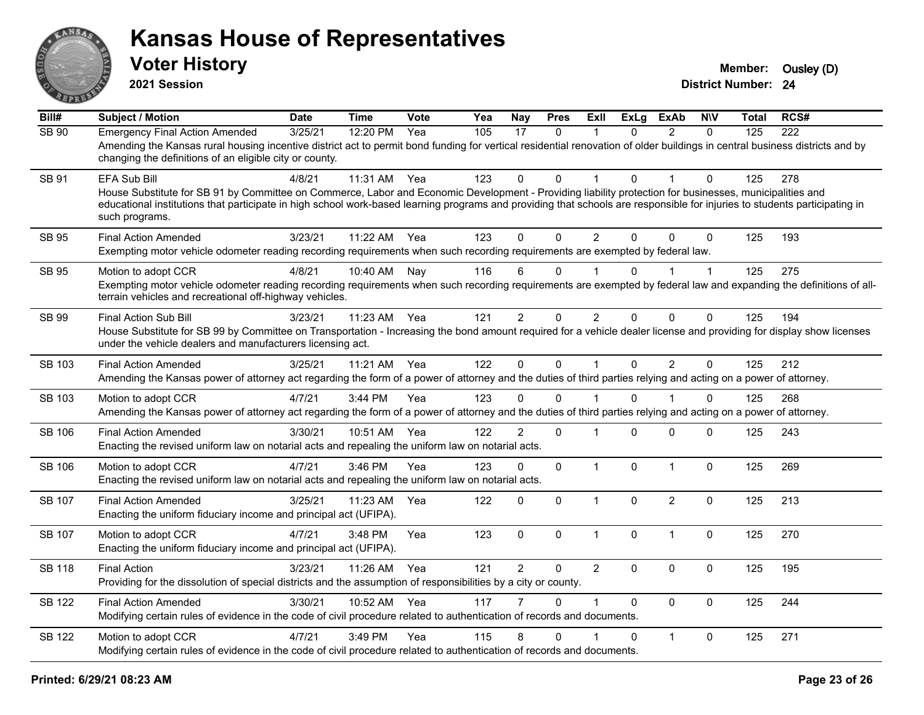

**2021 Session**

| $\overline{BiII#}$ | <b>Subject / Motion</b>                                                                                                                                                                                                                                                                                                                                                        | <b>Date</b> | <b>Time</b> | Vote | Yea | Nay            | <b>Pres</b>  | <b>Exll</b>    | <b>ExLg</b>  | <b>ExAb</b>    | <b>NIV</b>   | Total | RCS# |
|--------------------|--------------------------------------------------------------------------------------------------------------------------------------------------------------------------------------------------------------------------------------------------------------------------------------------------------------------------------------------------------------------------------|-------------|-------------|------|-----|----------------|--------------|----------------|--------------|----------------|--------------|-------|------|
| <b>SB 90</b>       | <b>Emergency Final Action Amended</b><br>Amending the Kansas rural housing incentive district act to permit bond funding for vertical residential renovation of older buildings in central business districts and by<br>changing the definitions of an eligible city or county.                                                                                                | 3/25/21     | 12:20 PM    | Yea  | 105 | 17             | $\mathbf{0}$ | 1              | $\Omega$     | $\overline{2}$ | $\mathbf{0}$ | 125   | 222  |
| SB 91              | <b>EFA Sub Bill</b><br>House Substitute for SB 91 by Committee on Commerce, Labor and Economic Development - Providing liability protection for businesses, municipalities and<br>educational institutions that participate in high school work-based learning programs and providing that schools are responsible for injuries to students participating in<br>such programs. | 4/8/21      | 11:31 AM    | Yea  | 123 | $\Omega$       | $\Omega$     | 1              | $\Omega$     |                | 0            | 125   | 278  |
| SB 95              | <b>Final Action Amended</b><br>Exempting motor vehicle odometer reading recording requirements when such recording requirements are exempted by federal law.                                                                                                                                                                                                                   | 3/23/21     | 11:22 AM    | Yea  | 123 | $\Omega$       | $\Omega$     | $\overline{2}$ | $\Omega$     | $\Omega$       | $\Omega$     | 125   | 193  |
| <b>SB 95</b>       | Motion to adopt CCR<br>Exempting motor vehicle odometer reading recording requirements when such recording requirements are exempted by federal law and expanding the definitions of all-<br>terrain vehicles and recreational off-highway vehicles.                                                                                                                           | 4/8/21      | 10:40 AM    | Nay  | 116 | 6              | $\mathbf{0}$ |                | $\Omega$     |                | 1            | 125   | 275  |
| SB 99              | Final Action Sub Bill<br>House Substitute for SB 99 by Committee on Transportation - Increasing the bond amount required for a vehicle dealer license and providing for display show licenses<br>under the vehicle dealers and manufacturers licensing act.                                                                                                                    | 3/23/21     | 11:23 AM    | Yea  | 121 | $\overline{2}$ | 0            | $\overline{2}$ | $\Omega$     | 0              | 0            | 125   | 194  |
| SB 103             | <b>Final Action Amended</b><br>Amending the Kansas power of attorney act regarding the form of a power of attorney and the duties of third parties relying and acting on a power of attorney.                                                                                                                                                                                  | 3/25/21     | 11:21 AM    | Yea  | 122 | $\mathbf 0$    | $\mathsf{O}$ | $\mathbf{1}$   | $\mathbf 0$  | $\overline{2}$ | $\mathbf 0$  | 125   | 212  |
| SB 103             | Motion to adopt CCR<br>Amending the Kansas power of attorney act regarding the form of a power of attorney and the duties of third parties relying and acting on a power of attorney.                                                                                                                                                                                          | 4/7/21      | 3:44 PM     | Yea  | 123 | 0              | 0            |                | $\Omega$     |                | 0            | 125   | 268  |
| SB 106             | <b>Final Action Amended</b><br>Enacting the revised uniform law on notarial acts and repealing the uniform law on notarial acts.                                                                                                                                                                                                                                               | 3/30/21     | 10:51 AM    | Yea  | 122 | $\overline{2}$ | $\mathsf{O}$ | $\overline{1}$ | $\Omega$     | $\mathbf 0$    | 0            | 125   | 243  |
| <b>SB 106</b>      | Motion to adopt CCR<br>Enacting the revised uniform law on notarial acts and repealing the uniform law on notarial acts.                                                                                                                                                                                                                                                       | 4/7/21      | 3:46 PM     | Yea  | 123 | 0              | $\mathbf 0$  | $\mathbf{1}$   | $\mathbf 0$  | $\mathbf{1}$   | $\mathbf 0$  | 125   | 269  |
| SB 107             | <b>Final Action Amended</b><br>Enacting the uniform fiduciary income and principal act (UFIPA).                                                                                                                                                                                                                                                                                | 3/25/21     | 11:23 AM    | Yea  | 122 | $\Omega$       | 0            | $\mathbf{1}$   | $\mathbf{0}$ | $\overline{2}$ | $\mathbf 0$  | 125   | 213  |
| <b>SB 107</b>      | Motion to adopt CCR<br>Enacting the uniform fiduciary income and principal act (UFIPA).                                                                                                                                                                                                                                                                                        | 4/7/21      | 3:48 PM     | Yea  | 123 | $\mathbf 0$    | 0            | $\mathbf{1}$   | $\mathbf 0$  | $\mathbf{1}$   | $\mathbf 0$  | 125   | 270  |
| <b>SB 118</b>      | <b>Final Action</b><br>Providing for the dissolution of special districts and the assumption of responsibilities by a city or county.                                                                                                                                                                                                                                          | 3/23/21     | 11:26 AM    | Yea  | 121 | $\overline{2}$ | 0            | $\overline{2}$ | $\mathbf{0}$ | $\mathbf 0$    | $\mathbf 0$  | 125   | 195  |
| <b>SB 122</b>      | <b>Final Action Amended</b><br>Modifying certain rules of evidence in the code of civil procedure related to authentication of records and documents.                                                                                                                                                                                                                          | 3/30/21     | 10:52 AM    | Yea  | 117 |                | 0            | $\overline{1}$ | $\Omega$     | $\Omega$       | 0            | 125   | 244  |
| SB 122             | Motion to adopt CCR<br>Modifying certain rules of evidence in the code of civil procedure related to authentication of records and documents.                                                                                                                                                                                                                                  | 4/7/21      | 3:49 PM     | Yea  | 115 | 8              | 0            |                | $\Omega$     | $\mathbf{1}$   | 0            | 125   | 271  |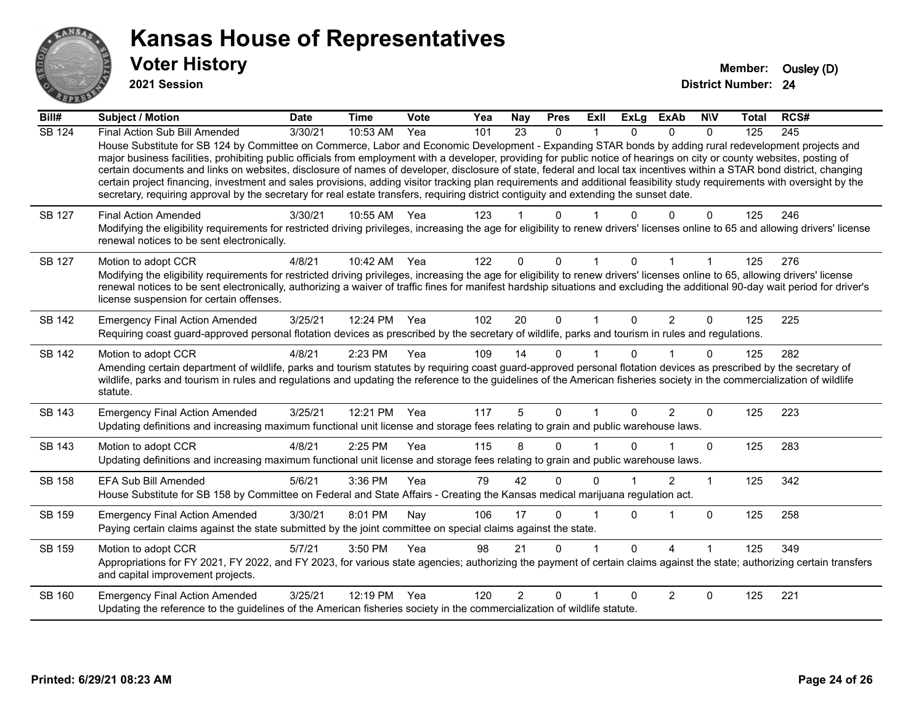

**2021 Session**

| Bill#         | Subject / Motion                                                                                                                                                                                                                                                                                                                                                                                                                                                                                                                                                                                                                                                                                                                                                                                                                                                     | <b>Date</b> | <b>Time</b>  | Vote | Yea | <b>Nay</b>     | <b>Pres</b>  | ExII | <b>ExLg</b> | <b>ExAb</b>    | <b>NIV</b>   | <b>Total</b> | RCS#             |
|---------------|----------------------------------------------------------------------------------------------------------------------------------------------------------------------------------------------------------------------------------------------------------------------------------------------------------------------------------------------------------------------------------------------------------------------------------------------------------------------------------------------------------------------------------------------------------------------------------------------------------------------------------------------------------------------------------------------------------------------------------------------------------------------------------------------------------------------------------------------------------------------|-------------|--------------|------|-----|----------------|--------------|------|-------------|----------------|--------------|--------------|------------------|
| <b>SB 124</b> | Final Action Sub Bill Amended<br>House Substitute for SB 124 by Committee on Commerce, Labor and Economic Development - Expanding STAR bonds by adding rural redevelopment projects and<br>major business facilities, prohibiting public officials from employment with a developer, providing for public notice of hearings on city or county websites, posting of<br>certain documents and links on websites, disclosure of names of developer, disclosure of state, federal and local tax incentives within a STAR bond district, changing<br>certain project financing, investment and sales provisions, adding visitor tracking plan requirements and additional feasibility study requirements with oversight by the<br>secretary, requiring approval by the secretary for real estate transfers, requiring district contiguity and extending the sunset date. | 3/30/21     | 10:53 AM     | Yea  | 101 | 23             | 0            |      | 0           | $\Omega$       | $\Omega$     | 125          | $\overline{245}$ |
| SB 127        | <b>Final Action Amended</b><br>Modifying the eligibility requirements for restricted driving privileges, increasing the age for eligibility to renew drivers' licenses online to 65 and allowing drivers' license<br>renewal notices to be sent electronically.                                                                                                                                                                                                                                                                                                                                                                                                                                                                                                                                                                                                      | 3/30/21     | 10:55 AM     | Yea  | 123 |                | U            |      |             |                | 0            | 125          | 246              |
| <b>SB 127</b> | Motion to adopt CCR<br>Modifying the eligibility requirements for restricted driving privileges, increasing the age for eligibility to renew drivers' licenses online to 65, allowing drivers' license<br>renewal notices to be sent electronically, authorizing a waiver of traffic fines for manifest hardship situations and excluding the additional 90-day wait period for driver's<br>license suspension for certain offenses.                                                                                                                                                                                                                                                                                                                                                                                                                                 | 4/8/21      | 10:42 AM     | Yea  | 122 | $\Omega$       | $\Omega$     |      | 0           |                |              | 125          | 276              |
| SB 142        | <b>Emergency Final Action Amended</b><br>Requiring coast guard-approved personal flotation devices as prescribed by the secretary of wildlife, parks and tourism in rules and regulations.                                                                                                                                                                                                                                                                                                                                                                                                                                                                                                                                                                                                                                                                           | 3/25/21     | 12:24 PM     | Yea  | 102 | 20             | $\mathbf 0$  | 1    | $\Omega$    | $\overline{2}$ | $\mathbf{0}$ | 125          | 225              |
| <b>SB 142</b> | Motion to adopt CCR<br>Amending certain department of wildlife, parks and tourism statutes by requiring coast guard-approved personal flotation devices as prescribed by the secretary of<br>wildlife, parks and tourism in rules and regulations and updating the reference to the guidelines of the American fisheries society in the commercialization of wildlife<br>statute.                                                                                                                                                                                                                                                                                                                                                                                                                                                                                    | 4/8/21      | 2:23 PM      | Yea  | 109 | 14             | $\Omega$     |      | 0           |                | $\Omega$     | 125          | 282              |
| SB 143        | <b>Emergency Final Action Amended</b><br>Updating definitions and increasing maximum functional unit license and storage fees relating to grain and public warehouse laws.                                                                                                                                                                                                                                                                                                                                                                                                                                                                                                                                                                                                                                                                                           | 3/25/21     | 12:21 PM Yea |      | 117 | 5              | $\Omega$     |      | $\Omega$    | $\overline{2}$ | $\Omega$     | 125          | 223              |
| SB 143        | Motion to adopt CCR<br>Updating definitions and increasing maximum functional unit license and storage fees relating to grain and public warehouse laws.                                                                                                                                                                                                                                                                                                                                                                                                                                                                                                                                                                                                                                                                                                             | 4/8/21      | 2:25 PM      | Yea  | 115 | 8              | 0            |      |             |                | $\Omega$     | 125          | 283              |
| SB 158        | <b>EFA Sub Bill Amended</b><br>House Substitute for SB 158 by Committee on Federal and State Affairs - Creating the Kansas medical marijuana regulation act.                                                                                                                                                                                                                                                                                                                                                                                                                                                                                                                                                                                                                                                                                                         | 5/6/21      | 3:36 PM      | Yea  | 79  | 42             | $\Omega$     | ∩    |             | 2              | 1            | 125          | 342              |
| SB 159        | <b>Emergency Final Action Amended</b><br>Paying certain claims against the state submitted by the joint committee on special claims against the state.                                                                                                                                                                                                                                                                                                                                                                                                                                                                                                                                                                                                                                                                                                               | 3/30/21     | 8:01 PM      | Nav  | 106 | 17             | 0            |      | 0           |                | $\mathbf{0}$ | 125          | 258              |
| SB 159        | Motion to adopt CCR<br>Appropriations for FY 2021, FY 2022, and FY 2023, for various state agencies; authorizing the payment of certain claims against the state; authorizing certain transfers<br>and capital improvement projects.                                                                                                                                                                                                                                                                                                                                                                                                                                                                                                                                                                                                                                 | 5/7/21      | 3:50 PM      | Yea  | 98  | 21             | $\mathbf{0}$ |      | $\Omega$    | $\Lambda$      |              | 125          | 349              |
| SB 160        | <b>Emergency Final Action Amended</b><br>Updating the reference to the guidelines of the American fisheries society in the commercialization of wildlife statute.                                                                                                                                                                                                                                                                                                                                                                                                                                                                                                                                                                                                                                                                                                    | 3/25/21     | 12:19 PM     | Yea  | 120 | $\overline{2}$ | $\Omega$     |      | U           | 2              | 0            | 125          | 221              |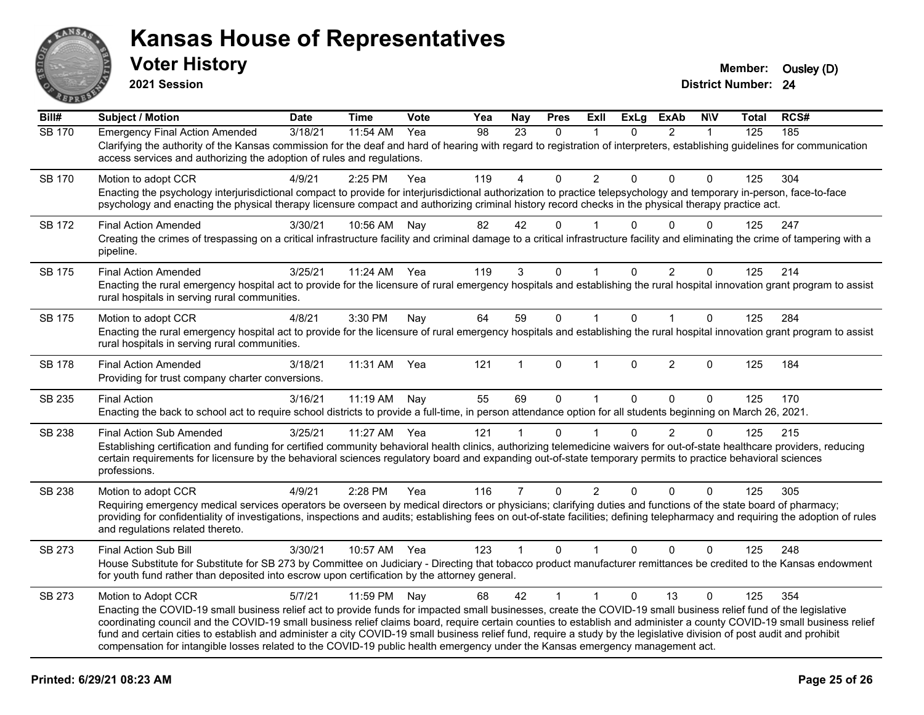

**2021 Session**

| Bill#         | <b>Subject / Motion</b>                                                                                                                                                                                                                                                                                                                                                                                                                                                                                                                                                                                                                                                       | <b>Date</b> | <b>Time</b> | <b>Vote</b> | Yea | <b>Nay</b>     | <b>Pres</b>  | ExII           | <b>ExLg</b>  | <b>ExAb</b>    | <b>N\V</b>   | <b>Total</b> | RCS# |
|---------------|-------------------------------------------------------------------------------------------------------------------------------------------------------------------------------------------------------------------------------------------------------------------------------------------------------------------------------------------------------------------------------------------------------------------------------------------------------------------------------------------------------------------------------------------------------------------------------------------------------------------------------------------------------------------------------|-------------|-------------|-------------|-----|----------------|--------------|----------------|--------------|----------------|--------------|--------------|------|
| <b>SB 170</b> | <b>Emergency Final Action Amended</b><br>Clarifying the authority of the Kansas commission for the deaf and hard of hearing with regard to registration of interpreters, establishing guidelines for communication<br>access services and authorizing the adoption of rules and regulations.                                                                                                                                                                                                                                                                                                                                                                                  | 3/18/21     | 11:54 AM    | Yea         | 98  | 23             | $\mathbf{0}$ | $\mathbf 1$    | $\Omega$     | $\overline{2}$ | 1            | 125          | 185  |
| <b>SB 170</b> | Motion to adopt CCR<br>Enacting the psychology interjurisdictional compact to provide for interjurisdictional authorization to practice telepsychology and temporary in-person, face-to-face<br>psychology and enacting the physical therapy licensure compact and authorizing criminal history record checks in the physical therapy practice act.                                                                                                                                                                                                                                                                                                                           | 4/9/21      | 2:25 PM     | Yea         | 119 | 4              | $\Omega$     | $\overline{2}$ | $\Omega$     | $\Omega$       | $\Omega$     | 125          | 304  |
| SB 172        | <b>Final Action Amended</b><br>Creating the crimes of trespassing on a critical infrastructure facility and criminal damage to a critical infrastructure facility and eliminating the crime of tampering with a<br>pipeline.                                                                                                                                                                                                                                                                                                                                                                                                                                                  | 3/30/21     | 10:56 AM    | Nay         | 82  | 42             | 0            |                | 0            | $\Omega$       | $\Omega$     | 125          | 247  |
| SB 175        | <b>Final Action Amended</b><br>Enacting the rural emergency hospital act to provide for the licensure of rural emergency hospitals and establishing the rural hospital innovation grant program to assist<br>rural hospitals in serving rural communities.                                                                                                                                                                                                                                                                                                                                                                                                                    | 3/25/21     | 11:24 AM    | Yea         | 119 | 3              | $\Omega$     |                | $\Omega$     | $\overline{2}$ | $\Omega$     | 125          | 214  |
| SB 175        | Motion to adopt CCR<br>Enacting the rural emergency hospital act to provide for the licensure of rural emergency hospitals and establishing the rural hospital innovation grant program to assist<br>rural hospitals in serving rural communities.                                                                                                                                                                                                                                                                                                                                                                                                                            | 4/8/21      | 3:30 PM     | Nay         | 64  | 59             | $\mathbf 0$  | $\mathbf{1}$   | $\Omega$     | $\mathbf{1}$   | $\mathbf{0}$ | 125          | 284  |
| <b>SB 178</b> | <b>Final Action Amended</b><br>Providing for trust company charter conversions.                                                                                                                                                                                                                                                                                                                                                                                                                                                                                                                                                                                               | 3/18/21     | 11:31 AM    | Yea         | 121 |                | $\Omega$     | 1              | $\mathbf{0}$ | $\overline{2}$ | $\Omega$     | 125          | 184  |
| SB 235        | <b>Final Action</b><br>Enacting the back to school act to require school districts to provide a full-time, in person attendance option for all students beginning on March 26, 2021.                                                                                                                                                                                                                                                                                                                                                                                                                                                                                          | 3/16/21     | 11:19 AM    | Nay         | 55  | 69             | 0            | $\mathbf{1}$   | $\mathbf{0}$ | $\Omega$       | $\mathbf{0}$ | 125          | 170  |
| SB 238        | <b>Final Action Sub Amended</b><br>Establishing certification and funding for certified community behavioral health clinics, authorizing telemedicine waivers for out-of-state healthcare providers, reducing<br>certain requirements for licensure by the behavioral sciences regulatory board and expanding out-of-state temporary permits to practice behavioral sciences<br>professions.                                                                                                                                                                                                                                                                                  | 3/25/21     | 11:27 AM    | Yea         | 121 | 1              | $\Omega$     |                | $\Omega$     | $\overline{2}$ | $\mathbf{0}$ | 125          | 215  |
| SB 238        | Motion to adopt CCR<br>Requiring emergency medical services operators be overseen by medical directors or physicians; clarifying duties and functions of the state board of pharmacy;<br>providing for confidentiality of investigations, inspections and audits; establishing fees on out-of-state facilities; defining telepharmacy and requiring the adoption of rules<br>and regulations related thereto.                                                                                                                                                                                                                                                                 | 4/9/21      | 2:28 PM     | Yea         | 116 | $\overline{7}$ | $\mathbf 0$  | $\overline{2}$ | $\mathbf{0}$ | $\Omega$       | $\mathbf 0$  | 125          | 305  |
| SB 273        | Final Action Sub Bill<br>House Substitute for Substitute for SB 273 by Committee on Judiciary - Directing that tobacco product manufacturer remittances be credited to the Kansas endowment<br>for youth fund rather than deposited into escrow upon certification by the attorney general.                                                                                                                                                                                                                                                                                                                                                                                   | 3/30/21     | 10:57 AM    | Yea         | 123 | $\mathbf{1}$   | $\mathbf 0$  | $\mathbf 1$    | $\mathbf{0}$ | $\Omega$       | $\mathbf{0}$ | 125          | 248  |
| SB 273        | Motion to Adopt CCR<br>Enacting the COVID-19 small business relief act to provide funds for impacted small businesses, create the COVID-19 small business relief fund of the legislative<br>coordinating council and the COVID-19 small business relief claims board, require certain counties to establish and administer a county COVID-19 small business relief<br>fund and certain cities to establish and administer a city COVID-19 small business relief fund, require a study by the legislative division of post audit and prohibit<br>compensation for intangible losses related to the COVID-19 public health emergency under the Kansas emergency management act. | 5/7/21      | 11:59 PM    | Nay         | 68  | 42             | $\mathbf{1}$ | $\mathbf{1}$   | $\Omega$     | 13             | $\Omega$     | 125          | 354  |